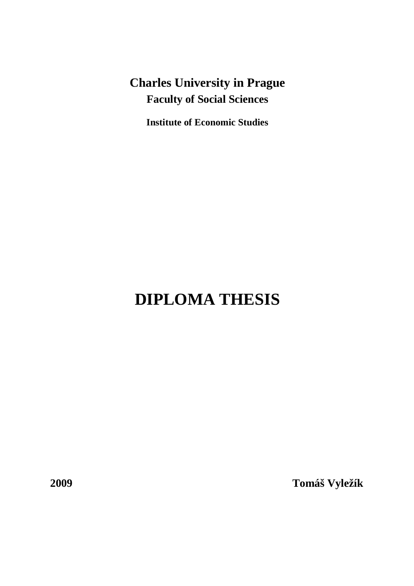**Charles University in Prague Faculty of Social Sciences** 

**Institute of Economic Studies** 

# **DIPLOMA THESIS**

**2009 Tomáš Vyležík**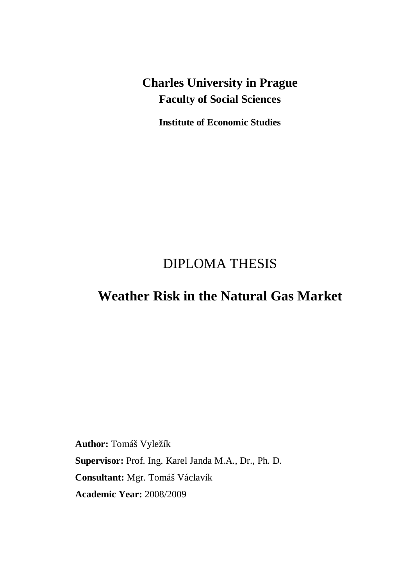**Charles University in Prague Faculty of Social Sciences** 

**Institute of Economic Studies** 

# DIPLOMA THESIS

# **Weather Risk in the Natural Gas Market**

**Author:** Tomáš Vyležík **Supervisor:** Prof. Ing. Karel Janda M.A., Dr., Ph. D. **Consultant:** Mgr. Tomáš Václavík **Academic Year:** 2008/2009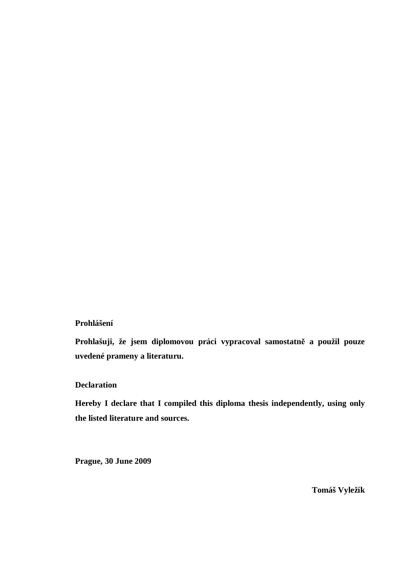#### **Prohlášení**

**Prohlašuji, že jsem diplomovou práci vypracoval samostatně a použil pouze uvedené prameny a literaturu.** 

#### **Declaration**

**Hereby I declare that I compiled this diploma thesis independently, using only the listed literature and sources.** 

**Prague, 30 June 2009** 

**Tomáš Vyležík**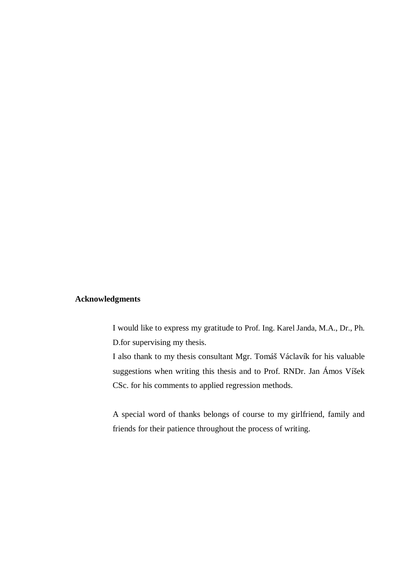#### **Acknowledgments**

I would like to express my gratitude to Prof. Ing. Karel Janda, M.A., Dr., Ph. D.for supervising my thesis.

I also thank to my thesis consultant Mgr. Tomáš Václavík for his valuable suggestions when writing this thesis and to Prof. RNDr. Jan Ámos Víšek CSc. for his comments to applied regression methods.

A special word of thanks belongs of course to my girlfriend, family and friends for their patience throughout the process of writing.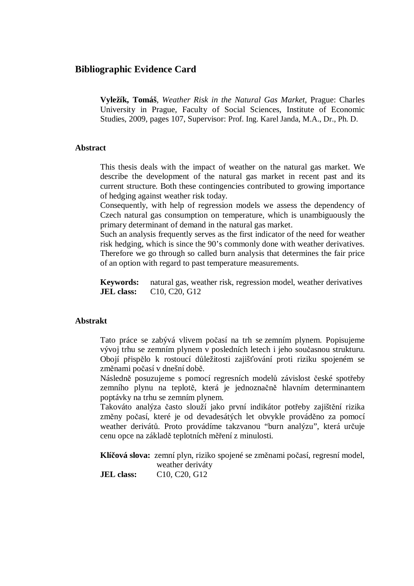#### **Bibliographic Evidence Card**

**Vyležík, Tomáš**, *Weather Risk in the Natural Gas Market*, Prague: Charles University in Prague, Faculty of Social Sciences, Institute of Economic Studies, 2009, pages 107, Supervisor: Prof. Ing. Karel Janda, M.A., Dr., Ph. D.

#### **Abstract**

This thesis deals with the impact of weather on the natural gas market. We describe the development of the natural gas market in recent past and its current structure. Both these contingencies contributed to growing importance of hedging against weather risk today.

Consequently, with help of regression models we assess the dependency of Czech natural gas consumption on temperature, which is unambiguously the primary determinant of demand in the natural gas market.

Such an analysis frequently serves as the first indicator of the need for weather risk hedging, which is since the 90's commonly done with weather derivatives. Therefore we go through so called burn analysis that determines the fair price of an option with regard to past temperature measurements.

**Keywords:** natural gas, weather risk, regression model, weather derivatives **JEL class:** C10, C20, G12

#### **Abstrakt**

Tato práce se zabývá vlivem počasí na trh se zemním plynem. Popisujeme vývoj trhu se zemním plynem v posledních letech i jeho současnou strukturu. Obojí přispělo k rostoucí důležitosti zajišťování proti riziku spojeném se změnami počasí v dnešní době.

Následně posuzujeme s pomocí regresních modelů závislost české spotřeby zemního plynu na teplotě, která je jednoznačně hlavním determinantem poptávky na trhu se zemním plynem.

Takováto analýza často slouží jako první indikátor potřeby zajištění rizika změny počasí, které je od devadesátých let obvykle prováděno za pomocí weather derivátů. Proto provádíme takzvanou "burn analýzu", která určuje cenu opce na základě teplotních měření z minulosti.

**Klíčová slova:** zemní plyn, riziko spojené se změnami počasí, regresní model, weather deriváty

**JEL class:** C10, C20, G12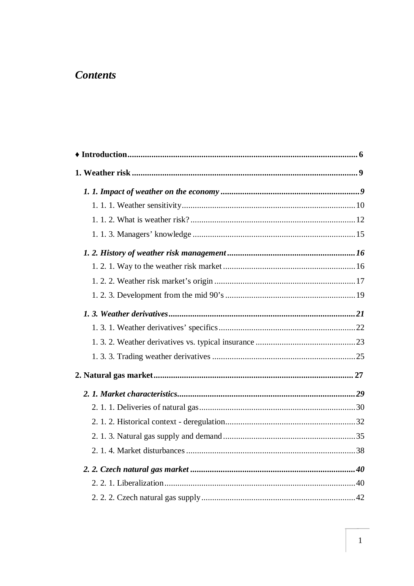### **Contents**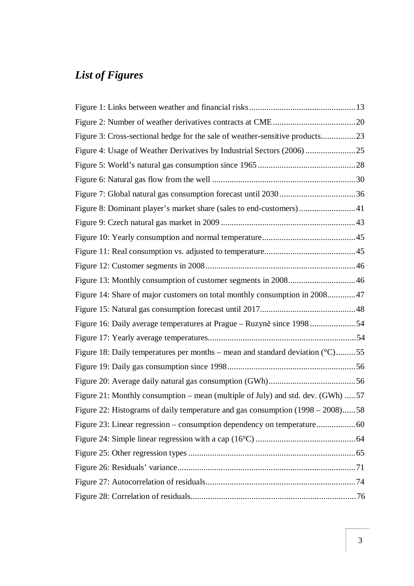## *List of Figures*

| Figure 4: Usage of Weather Derivatives by Industrial Sectors (2006) 25           |  |
|----------------------------------------------------------------------------------|--|
|                                                                                  |  |
|                                                                                  |  |
|                                                                                  |  |
| Figure 8: Dominant player's market share (sales to end-customers)41              |  |
|                                                                                  |  |
|                                                                                  |  |
|                                                                                  |  |
|                                                                                  |  |
| Figure 13: Monthly consumption of customer segments in 2008 46                   |  |
| Figure 14: Share of major customers on total monthly consumption in 2008 47      |  |
|                                                                                  |  |
| Figure 16: Daily average temperatures at Prague – Ruzyně since 1998 54           |  |
|                                                                                  |  |
| Figure 18: Daily temperatures per months – mean and standard deviation $(°C)$ 55 |  |
|                                                                                  |  |
|                                                                                  |  |
| Figure 21: Monthly consumption – mean (multiple of July) and std. dev. (GWh) 57  |  |
| Figure 22: Histograms of daily temperature and gas consumption (1998 – 2008)58   |  |
| Figure 23: Linear regression - consumption dependency on temperature60           |  |
|                                                                                  |  |
|                                                                                  |  |
|                                                                                  |  |
|                                                                                  |  |
|                                                                                  |  |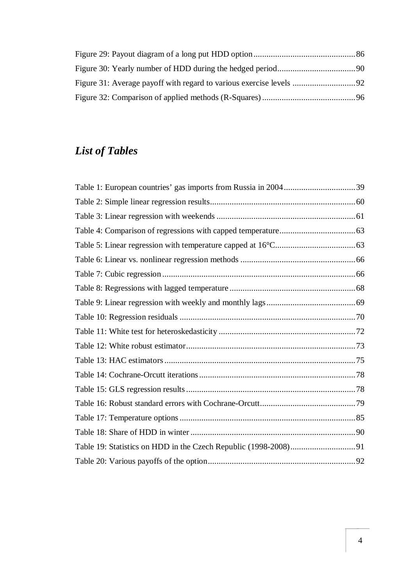## *List of Tables*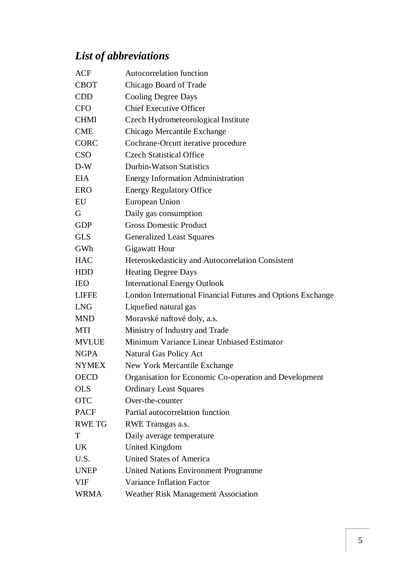# *List of abbreviations*

| <b>ACF</b>    | <b>Autocorrelation function</b>                             |  |  |
|---------------|-------------------------------------------------------------|--|--|
| <b>CBOT</b>   | Chicago Board of Trade                                      |  |  |
| <b>CDD</b>    | <b>Cooling Degree Days</b>                                  |  |  |
| <b>CFO</b>    | <b>Chief Executive Officer</b>                              |  |  |
| <b>CHMI</b>   | Czech Hydrometeorological Institute                         |  |  |
| <b>CME</b>    | Chicago Mercantile Exchange                                 |  |  |
| <b>CORC</b>   | Cochrane-Orcutt iterative procedure                         |  |  |
| <b>CSO</b>    | <b>Czech Statistical Office</b>                             |  |  |
| $D-W$         | <b>Durbin-Watson Statistics</b>                             |  |  |
| <b>EIA</b>    | <b>Energy Information Administration</b>                    |  |  |
| <b>ERO</b>    | <b>Energy Regulatory Office</b>                             |  |  |
| EU            | European Union                                              |  |  |
| G             | Daily gas consumption                                       |  |  |
| <b>GDP</b>    | <b>Gross Domestic Product</b>                               |  |  |
| <b>GLS</b>    | <b>Generalized Least Squares</b>                            |  |  |
| GWh           | <b>Gigawatt Hour</b>                                        |  |  |
| <b>HAC</b>    | Heteroskedasticity and Autocorrelation Consistent           |  |  |
| <b>HDD</b>    | <b>Heating Degree Days</b>                                  |  |  |
| <b>IEO</b>    | <b>International Energy Outlook</b>                         |  |  |
| <b>LIFFE</b>  | London International Financial Futures and Options Exchange |  |  |
| <b>LNG</b>    | Liquefied natural gas                                       |  |  |
| <b>MND</b>    | Moravské naftové doly, a.s.                                 |  |  |
| <b>MTI</b>    | Ministry of Industry and Trade                              |  |  |
| <b>MVLUE</b>  | Minimum Variance Linear Unbiased Estimator                  |  |  |
| <b>NGPA</b>   | <b>Natural Gas Policy Act</b>                               |  |  |
| <b>NYMEX</b>  | New York Mercantile Exchange                                |  |  |
| <b>OECD</b>   | Organisation for Economic Co-operation and Development      |  |  |
| <b>OLS</b>    | <b>Ordinary Least Squares</b>                               |  |  |
| <b>OTC</b>    | Over-the-counter                                            |  |  |
| <b>PACF</b>   | Partial autocorrelation function                            |  |  |
| <b>RWE TG</b> | RWE Transgas a.s.                                           |  |  |
| T             | Daily average temperature                                   |  |  |
| UK            | <b>United Kingdom</b>                                       |  |  |
| U.S.          | <b>United States of America</b>                             |  |  |
| <b>UNEP</b>   | <b>United Nations Environment Programme</b>                 |  |  |
| <b>VIF</b>    | <b>Variance Inflation Factor</b>                            |  |  |
| WRMA          | <b>Weather Risk Management Association</b>                  |  |  |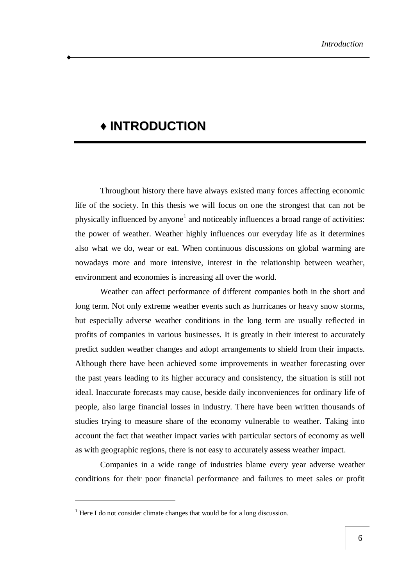### **♦ INTRODUCTION**

Throughout history there have always existed many forces affecting economic life of the society. In this thesis we will focus on one the strongest that can not be physically influenced by anyone<sup>1</sup> and noticeably influences a broad range of activities: the power of weather. Weather highly influences our everyday life as it determines also what we do, wear or eat. When continuous discussions on global warming are nowadays more and more intensive, interest in the relationship between weather, environment and economies is increasing all over the world.

Weather can affect performance of different companies both in the short and long term. Not only extreme weather events such as hurricanes or heavy snow storms, but especially adverse weather conditions in the long term are usually reflected in profits of companies in various businesses. It is greatly in their interest to accurately predict sudden weather changes and adopt arrangements to shield from their impacts. Although there have been achieved some improvements in weather forecasting over the past years leading to its higher accuracy and consistency, the situation is still not ideal. Inaccurate forecasts may cause, beside daily inconveniences for ordinary life of people, also large financial losses in industry. There have been written thousands of studies trying to measure share of the economy vulnerable to weather. Taking into account the fact that weather impact varies with particular sectors of economy as well as with geographic regions, there is not easy to accurately assess weather impact.

Companies in a wide range of industries blame every year adverse weather conditions for their poor financial performance and failures to meet sales or profit

 $<sup>1</sup>$  Here I do not consider climate changes that would be for a long discussion.</sup>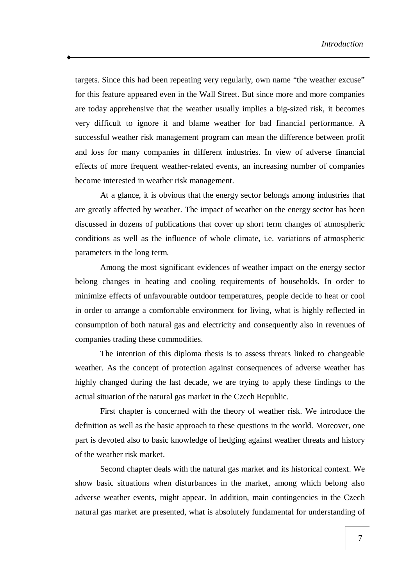targets. Since this had been repeating very regularly, own name "the weather excuse" for this feature appeared even in the Wall Street. But since more and more companies are today apprehensive that the weather usually implies a big-sized risk, it becomes very difficult to ignore it and blame weather for bad financial performance. A successful weather risk management program can mean the difference between profit and loss for many companies in different industries. In view of adverse financial effects of more frequent weather-related events, an increasing number of companies become interested in weather risk management.

At a glance, it is obvious that the energy sector belongs among industries that are greatly affected by weather. The impact of weather on the energy sector has been discussed in dozens of publications that cover up short term changes of atmospheric conditions as well as the influence of whole climate, i.e. variations of atmospheric parameters in the long term.

Among the most significant evidences of weather impact on the energy sector belong changes in heating and cooling requirements of households. In order to minimize effects of unfavourable outdoor temperatures, people decide to heat or cool in order to arrange a comfortable environment for living, what is highly reflected in consumption of both natural gas and electricity and consequently also in revenues of companies trading these commodities.

The intention of this diploma thesis is to assess threats linked to changeable weather. As the concept of protection against consequences of adverse weather has highly changed during the last decade, we are trying to apply these findings to the actual situation of the natural gas market in the Czech Republic.

First chapter is concerned with the theory of weather risk. We introduce the definition as well as the basic approach to these questions in the world. Moreover, one part is devoted also to basic knowledge of hedging against weather threats and history of the weather risk market.

Second chapter deals with the natural gas market and its historical context. We show basic situations when disturbances in the market, among which belong also adverse weather events, might appear. In addition, main contingencies in the Czech natural gas market are presented, what is absolutely fundamental for understanding of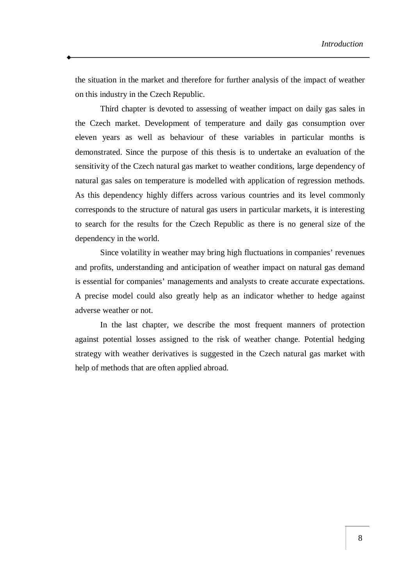the situation in the market and therefore for further analysis of the impact of weather on this industry in the Czech Republic.

Third chapter is devoted to assessing of weather impact on daily gas sales in the Czech market. Development of temperature and daily gas consumption over eleven years as well as behaviour of these variables in particular months is demonstrated. Since the purpose of this thesis is to undertake an evaluation of the sensitivity of the Czech natural gas market to weather conditions, large dependency of natural gas sales on temperature is modelled with application of regression methods. As this dependency highly differs across various countries and its level commonly corresponds to the structure of natural gas users in particular markets, it is interesting to search for the results for the Czech Republic as there is no general size of the dependency in the world.

Since volatility in weather may bring high fluctuations in companies' revenues and profits, understanding and anticipation of weather impact on natural gas demand is essential for companies' managements and analysts to create accurate expectations. A precise model could also greatly help as an indicator whether to hedge against adverse weather or not.

In the last chapter, we describe the most frequent manners of protection against potential losses assigned to the risk of weather change. Potential hedging strategy with weather derivatives is suggested in the Czech natural gas market with help of methods that are often applied abroad.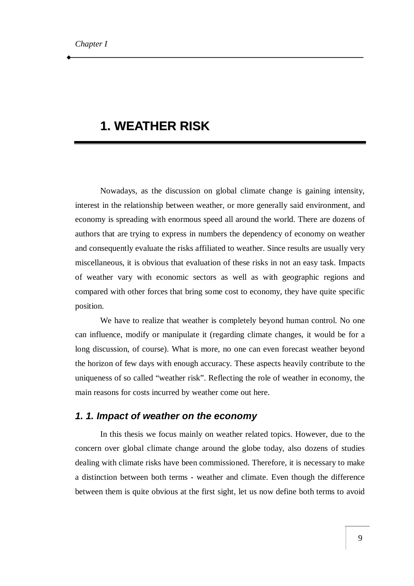### **1. WEATHER RISK**

Nowadays, as the discussion on global climate change is gaining intensity, interest in the relationship between weather, or more generally said environment, and economy is spreading with enormous speed all around the world. There are dozens of authors that are trying to express in numbers the dependency of economy on weather and consequently evaluate the risks affiliated to weather. Since results are usually very miscellaneous, it is obvious that evaluation of these risks in not an easy task. Impacts of weather vary with economic sectors as well as with geographic regions and compared with other forces that bring some cost to economy, they have quite specific position.

We have to realize that weather is completely beyond human control. No one can influence, modify or manipulate it (regarding climate changes, it would be for a long discussion, of course). What is more, no one can even forecast weather beyond the horizon of few days with enough accuracy. These aspects heavily contribute to the uniqueness of so called "weather risk". Reflecting the role of weather in economy, the main reasons for costs incurred by weather come out here.

#### *1. 1. Impact of weather on the economy*

In this thesis we focus mainly on weather related topics. However, due to the concern over global climate change around the globe today, also dozens of studies dealing with climate risks have been commissioned. Therefore, it is necessary to make a distinction between both terms - weather and climate. Even though the difference between them is quite obvious at the first sight, let us now define both terms to avoid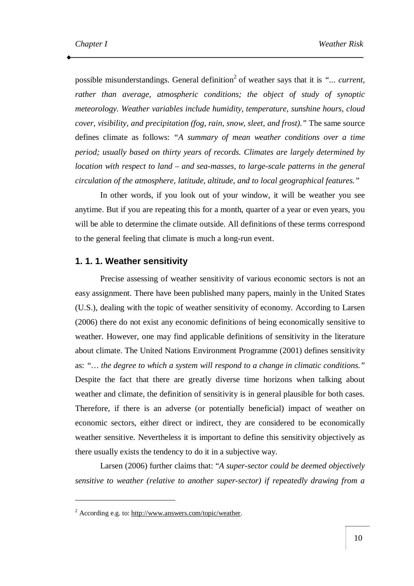possible misunderstandings. General definition 2 of weather says that it is *"... current, rather than average, atmospheric conditions; the object of study of synoptic meteorology. Weather variables include humidity, temperature, sunshine hours, cloud cover, visibility, and precipitation (fog, rain, snow, sleet, and frost)."* The same source defines climate as follows: *"A summary of mean weather conditions over a time period; usually based on thirty years of records. Climates are largely determined by location with respect to land – and sea-masses, to large-scale patterns in the general circulation of the atmosphere, latitude, altitude, and to local geographical features."*

In other words, if you look out of your window, it will be weather you see anytime. But if you are repeating this for a month, quarter of a year or even years, you will be able to determine the climate outside. All definitions of these terms correspond to the general feeling that climate is much a long-run event.

#### **1. 1. 1. Weather sensitivity**

Precise assessing of weather sensitivity of various economic sectors is not an easy assignment. There have been published many papers, mainly in the United States (U.S.), dealing with the topic of weather sensitivity of economy. According to Larsen (2006) there do not exist any economic definitions of being economically sensitive to weather. However, one may find applicable definitions of sensitivity in the literature about climate. The United Nations Environment Programme (2001) defines sensitivity as: *"… the degree to which a system will respond to a change in climatic conditions."* Despite the fact that there are greatly diverse time horizons when talking about weather and climate, the definition of sensitivity is in general plausible for both cases. Therefore, if there is an adverse (or potentially beneficial) impact of weather on economic sectors, either direct or indirect, they are considered to be economically weather sensitive. Nevertheless it is important to define this sensitivity objectively as there usually exists the tendency to do it in a subjective way.

Larsen (2006) further claims that: "*A super-sector could be deemed objectively sensitive to weather (relative to another super-sector) if repeatedly drawing from a* 

<sup>2</sup> According e.g. to: [http://www.answers.com/topic/weather.](http://www.answers.com/topic/weather)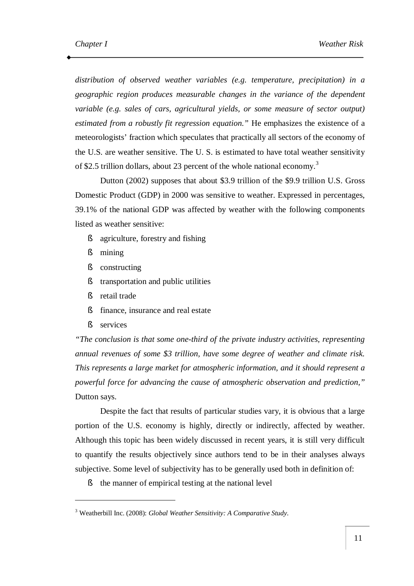*distribution of observed weather variables (e.g. temperature, precipitation) in a geographic region produces measurable changes in the variance of the dependent variable (e.g. sales of cars, agricultural yields, or some measure of sector output) estimated from a robustly fit regression equation."* He emphasizes the existence of a meteorologists' fraction which speculates that practically all sectors of the economy of the U.S. are weather sensitive. The U. S. is estimated to have total weather sensitivity of \$2.5 trillion dollars, about 23 percent of the whole national economy.<sup>3</sup>

Dutton (2002) supposes that about \$3.9 trillion of the \$9.9 trillion U.S. Gross Domestic Product (GDP) in 2000 was sensitive to weather. Expressed in percentages, 39.1% of the national GDP was affected by weather with the following components listed as weather sensitive:

- § agriculture, forestry and fishing
- § mining
- § constructing
- § transportation and public utilities
- § retail trade
- § finance, insurance and real estate
- § services

 $\overline{a}$ 

*"The conclusion is that some one-third of the private industry activities, representing annual revenues of some \$3 trillion, have some degree of weather and climate risk. This represents a large market for atmospheric information, and it should represent a powerful force for advancing the cause of atmospheric observation and prediction,"* Dutton says.

Despite the fact that results of particular studies vary, it is obvious that a large portion of the U.S. economy is highly, directly or indirectly, affected by weather. Although this topic has been widely discussed in recent years, it is still very difficult to quantify the results objectively since authors tend to be in their analyses always subjective. Some level of subjectivity has to be generally used both in definition of:

§ the manner of empirical testing at the national level

<sup>3</sup> Weatherbill Inc. (2008): *Global Weather Sensitivity: A Comparative Study*.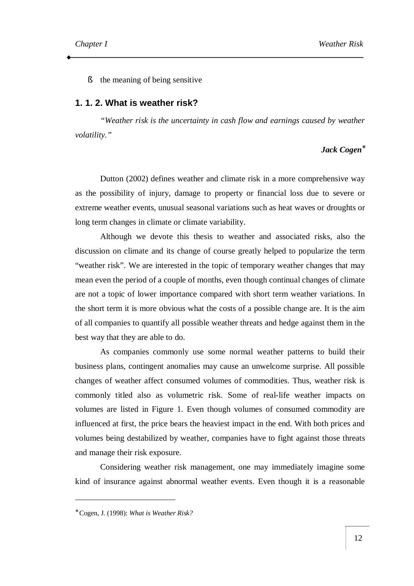§ the meaning of being sensitive

#### **1. 1. 2. What is weather risk?**

*"Weather risk is the uncertainty in cash flow and earnings caused by weather volatility."*

#### *Jack Cogen\**

Dutton (2002) defines weather and climate risk in a more comprehensive way as the possibility of injury, damage to property or financial loss due to severe or extreme weather events, unusual seasonal variations such as heat waves or droughts or long term changes in climate or climate variability.

Although we devote this thesis to weather and associated risks, also the discussion on climate and its change of course greatly helped to popularize the term "weather risk". We are interested in the topic of temporary weather changes that may mean even the period of a couple of months, even though continual changes of climate are not a topic of lower importance compared with short term weather variations. In the short term it is more obvious what the costs of a possible change are. It is the aim of all companies to quantify all possible weather threats and hedge against them in the best way that they are able to do.

As companies commonly use some normal weather patterns to build their business plans, contingent anomalies may cause an unwelcome surprise. All possible changes of weather affect consumed volumes of commodities. Thus, weather risk is commonly titled also as volumetric risk. Some of real-life weather impacts on volumes are listed in Figure 1. Even though volumes of consumed commodity are influenced at first, the price bears the heaviest impact in the end. With both prices and volumes being destabilized by weather, companies have to fight against those threats and manage their risk exposure.

Considering weather risk management, one may immediately imagine some kind of insurance against abnormal weather events. Even though it is a reasonable

<sup>∗</sup> Cogen, J. (1998): *What is Weather Risk?*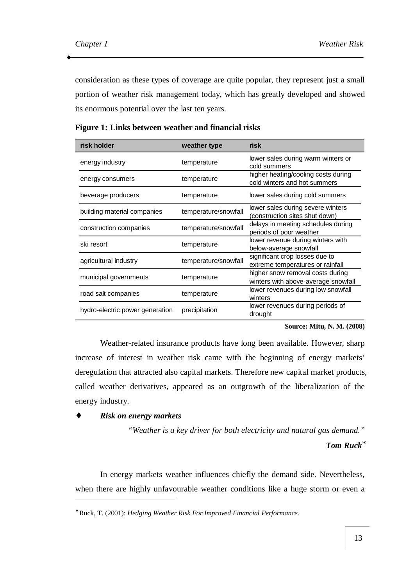consideration as these types of coverage are quite popular, they represent just a small portion of weather risk management today, which has greatly developed and showed its enormous potential over the last ten years.

| risk holder                     | weather type         | risk                                                                    |
|---------------------------------|----------------------|-------------------------------------------------------------------------|
| energy industry                 | temperature          | lower sales during warm winters or<br>cold summers                      |
| energy consumers                | temperature          | higher heating/cooling costs during<br>cold winters and hot summers     |
| beverage producers              | temperature          | lower sales during cold summers                                         |
| building material companies     | temperature/snowfall | lower sales during severe winters<br>(construction sites shut down)     |
| construction companies          | temperature/snowfall | delays in meeting schedules during<br>periods of poor weather           |
| ski resort                      | temperature          | lower revenue during winters with<br>below-average snowfall             |
| agricultural industry           | temperature/snowfall | significant crop losses due to<br>extreme temperatures or rainfall      |
| municipal governments           | temperature          | higher snow removal costs during<br>winters with above-average snowfall |
| road salt companies             | temperature          | lower revenues during low snowfall<br>winters                           |
| hydro-electric power generation | precipitation        | lower revenues during periods of<br>drought                             |

**Figure 1: Links between weather and financial risks** 

**Source: Mitu, N. M. (2008)** 

Weather-related insurance products have long been available. However, sharp increase of interest in weather risk came with the beginning of energy markets' deregulation that attracted also capital markets. Therefore new capital market products, called weather derivatives, appeared as an outgrowth of the liberalization of the energy industry.

♦ *Risk on energy markets* 

 $\overline{a}$ 

*"Weather is a key driver for both electricity and natural gas demand."* 

*Tom Ruck***\***

In energy markets weather influences chiefly the demand side. Nevertheless, when there are highly unfavourable weather conditions like a huge storm or even a

<sup>∗</sup> Ruck, T. (2001): *Hedging Weather Risk For Improved Financial Performance.*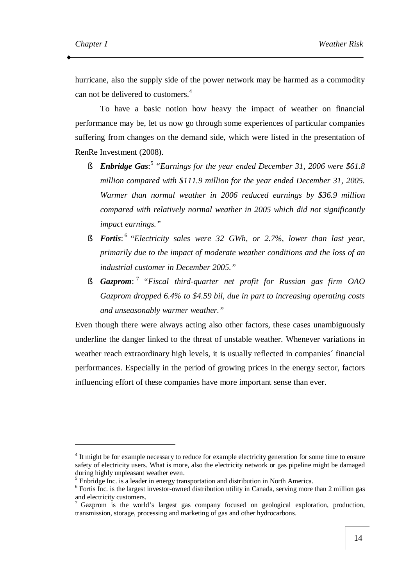hurricane, also the supply side of the power network may be harmed as a commodity can not be delivered to customers. 4

To have a basic notion how heavy the impact of weather on financial performance may be, let us now go through some experiences of particular companies suffering from changes on the demand side, which were listed in the presentation of RenRe Investment (2008).

- § *Enbridge Gas*: 5 *"Earnings for the year ended December 31, 2006 were \$61.8 million compared with \$111.9 million for the year ended December 31, 2005. Warmer than normal weather in 2006 reduced earnings by \$36.9 million compared with relatively normal weather in 2005 which did not significantly impact earnings."*
- § *Fortis*: 6 "*Electricity sales were 32 GWh, or 2.7%, lower than last year, primarily due to the impact of moderate weather conditions and the loss of an industrial customer in December 2005."*
- § *Gazprom*: 7 *"Fiscal third-quarter net profit for Russian gas firm OAO Gazprom dropped 6.4% to \$4.59 bil, due in part to increasing operating costs and unseasonably warmer weather."*

Even though there were always acting also other factors, these cases unambiguously underline the danger linked to the threat of unstable weather. Whenever variations in weather reach extraordinary high levels, it is usually reflected in companies´ financial performances. Especially in the period of growing prices in the energy sector, factors influencing effort of these companies have more important sense than ever.

<sup>&</sup>lt;sup>4</sup> It might be for example necessary to reduce for example electricity generation for some time to ensure safety of electricity users. What is more, also the electricity network or gas pipeline might be damaged during highly unpleasant weather even.

<sup>5</sup> Enbridge Inc. is a leader in energy transportation and distribution in North America.

<sup>&</sup>lt;sup>6</sup> Fortis Inc. is the largest investor-owned distribution utility in Canada, serving more than 2 million gas and electricity customers.

 $\frac{7}{7}$  Gazprom is the world's largest gas company focused on geological exploration, production, transmission, storage, processing and marketing of gas and other hydrocarbons.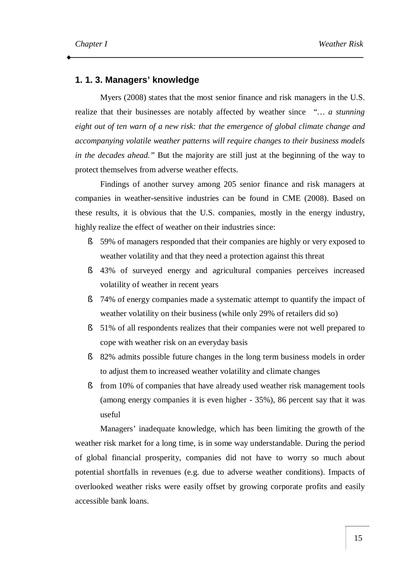#### **1. 1. 3. Managers' knowledge**

Myers (2008) states that the most senior finance and risk managers in the U.S. realize that their businesses are notably affected by weather since *"… a stunning eight out of ten warn of a new risk: that the emergence of global climate change and accompanying volatile weather patterns will require changes to their business models in the decades ahead."* But the majority are still just at the beginning of the way to protect themselves from adverse weather effects.

Findings of another survey among 205 senior finance and risk managers at companies in weather-sensitive industries can be found in CME (2008). Based on these results, it is obvious that the U.S. companies, mostly in the energy industry, highly realize the effect of weather on their industries since:

- § 59% of managers responded that their companies are highly or very exposed to weather volatility and that they need a protection against this threat
- § 43% of surveyed energy and agricultural companies perceives increased volatility of weather in recent years
- § 74% of energy companies made a systematic attempt to quantify the impact of weather volatility on their business (while only 29% of retailers did so)
- § 51% of all respondents realizes that their companies were not well prepared to cope with weather risk on an everyday basis
- § 82% admits possible future changes in the long term business models in order to adjust them to increased weather volatility and climate changes
- § from 10% of companies that have already used weather risk management tools (among energy companies it is even higher - 35%), 86 percent say that it was useful

Managers' inadequate knowledge, which has been limiting the growth of the weather risk market for a long time, is in some way understandable. During the period of global financial prosperity, companies did not have to worry so much about potential shortfalls in revenues (e.g. due to adverse weather conditions). Impacts of overlooked weather risks were easily offset by growing corporate profits and easily accessible bank loans.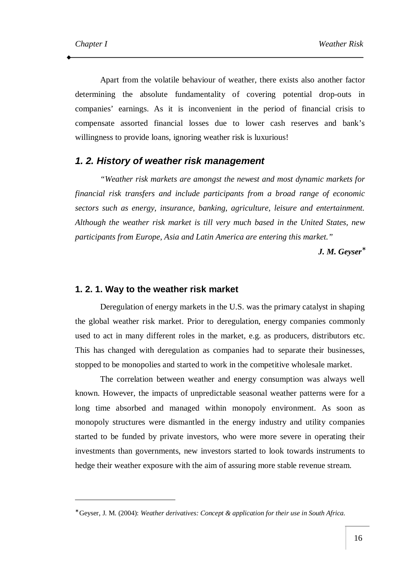Apart from the volatile behaviour of weather, there exists also another factor determining the absolute fundamentality of covering potential drop-outs in companies' earnings. As it is inconvenient in the period of financial crisis to compensate assorted financial losses due to lower cash reserves and bank's willingness to provide loans, ignoring weather risk is luxurious!

#### *1. 2. History of weather risk management*

*"Weather risk markets are amongst the newest and most dynamic markets for financial risk transfers and include participants from a broad range of economic sectors such as energy, insurance, banking, agriculture, leisure and entertainment. Although the weather risk market is till very much based in the United States, new participants from Europe, Asia and Latin America are entering this market."* 

*J. M. Geyser\**

#### **1. 2. 1. Way to the weather risk market**

Deregulation of energy markets in the U.S. was the primary catalyst in shaping the global weather risk market. Prior to deregulation, energy companies commonly used to act in many different roles in the market, e.g. as producers, distributors etc. This has changed with deregulation as companies had to separate their businesses, stopped to be monopolies and started to work in the competitive wholesale market.

The correlation between weather and energy consumption was always well known. However, the impacts of unpredictable seasonal weather patterns were for a long time absorbed and managed within monopoly environment. As soon as monopoly structures were dismantled in the energy industry and utility companies started to be funded by private investors, who were more severe in operating their investments than governments, new investors started to look towards instruments to hedge their weather exposure with the aim of assuring more stable revenue stream.

<sup>∗</sup> Geyser, J. M. (2004): *Weather derivatives: Concept & application for their use in South Africa.*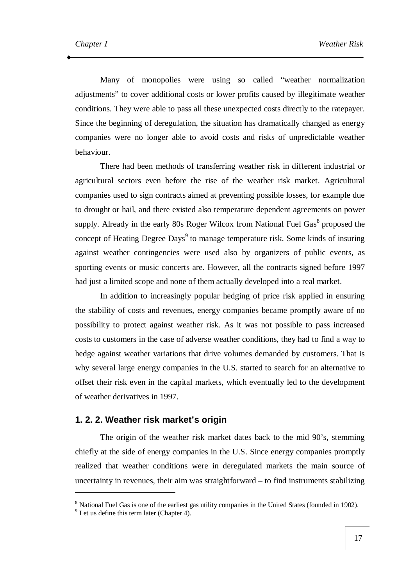Many of monopolies were using so called "weather normalization adjustments" to cover additional costs or lower profits caused by illegitimate weather conditions. They were able to pass all these unexpected costs directly to the ratepayer. Since the beginning of deregulation, the situation has dramatically changed as energy companies were no longer able to avoid costs and risks of unpredictable weather behaviour.

There had been methods of transferring weather risk in different industrial or agricultural sectors even before the rise of the weather risk market. Agricultural companies used to sign contracts aimed at preventing possible losses, for example due to drought or hail, and there existed also temperature dependent agreements on power supply. Already in the early 80s Roger Wilcox from National Fuel Gas $<sup>8</sup>$  proposed the</sup> concept of Heating Degree Days<sup>9</sup> to manage temperature risk. Some kinds of insuring against weather contingencies were used also by organizers of public events, as sporting events or music concerts are. However, all the contracts signed before 1997 had just a limited scope and none of them actually developed into a real market.

In addition to increasingly popular hedging of price risk applied in ensuring the stability of costs and revenues, energy companies became promptly aware of no possibility to protect against weather risk. As it was not possible to pass increased costs to customers in the case of adverse weather conditions, they had to find a way to hedge against weather variations that drive volumes demanded by customers. That is why several large energy companies in the U.S. started to search for an alternative to offset their risk even in the capital markets, which eventually led to the development of weather derivatives in 1997.

#### **1. 2. 2. Weather risk market's origin**

The origin of the weather risk market dates back to the mid 90's, stemming chiefly at the side of energy companies in the U.S. Since energy companies promptly realized that weather conditions were in deregulated markets the main source of uncertainty in revenues, their aim was straightforward – to find instruments stabilizing

<sup>8</sup> National Fuel Gas is one of the earliest gas utility companies in the United States (founded in 1902).

 $<sup>9</sup>$  Let us define this term later (Chapter 4).</sup>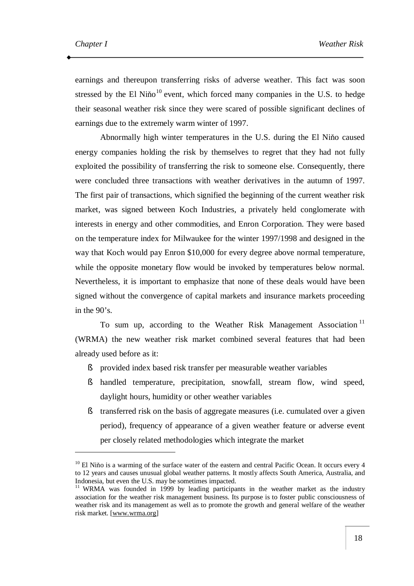earnings and thereupon transferring risks of adverse weather. This fact was soon stressed by the El Niňo<sup>10</sup> event, which forced many companies in the U.S. to hedge their seasonal weather risk since they were scared of possible significant declines of earnings due to the extremely warm winter of 1997.

Abnormally high winter temperatures in the U.S. during the El Niňo caused energy companies holding the risk by themselves to regret that they had not fully exploited the possibility of transferring the risk to someone else. Consequently, there were concluded three transactions with weather derivatives in the autumn of 1997. The first pair of transactions, which signified the beginning of the current weather risk market, was signed between Koch Industries, a privately held conglomerate with interests in energy and other commodities, and Enron Corporation. They were based on the temperature index for Milwaukee for the winter 1997/1998 and designed in the way that Koch would pay Enron \$10,000 for every degree above normal temperature, while the opposite monetary flow would be invoked by temperatures below normal. Nevertheless, it is important to emphasize that none of these deals would have been signed without the convergence of capital markets and insurance markets proceeding in the 90's.

To sum up, according to the Weather Risk Management Association<sup>11</sup> (WRMA) the new weather risk market combined several features that had been already used before as it:

- § provided index based risk transfer per measurable weather variables
- § handled temperature, precipitation, snowfall, stream flow, wind speed, daylight hours, humidity or other weather variables
- § transferred risk on the basis of aggregate measures (i.e. cumulated over a given period), frequency of appearance of a given weather feature or adverse event per closely related methodologies which integrate the market

<sup>&</sup>lt;sup>10</sup> El Niňo is a warming of the surface water of the eastern and central Pacific Ocean. It occurs every 4 to 12 years and causes unusual global weather patterns. It mostly affects South America, Australia, and Indonesia, but even the U.S. may be sometimes impacted.

<sup>&</sup>lt;sup>11</sup> WRMA was founded in 1999 by leading participants in the weather market as the industry association for the weather risk management business. Its purpose is to foster public consciousness of weather risk and its management as well as to promote the growth and general welfare of the weather risk market. [[www.wrma.org\]](http://www.wrma.org)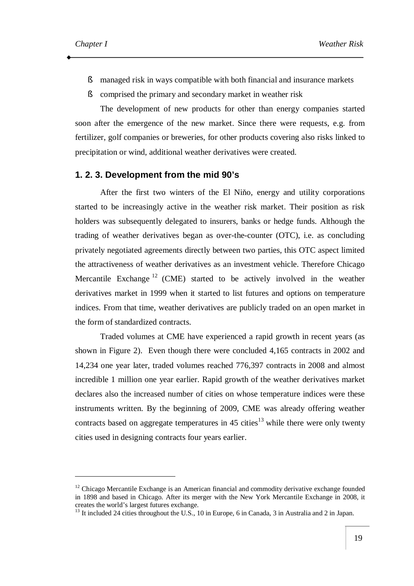- § managed risk in ways compatible with both financial and insurance markets
- § comprised the primary and secondary market in weather risk

The development of new products for other than energy companies started soon after the emergence of the new market. Since there were requests, e.g. from fertilizer, golf companies or breweries, for other products covering also risks linked to precipitation or wind, additional weather derivatives were created.

#### **1. 2. 3. Development from the mid 90's**

After the first two winters of the El Niňo, energy and utility corporations started to be increasingly active in the weather risk market. Their position as risk holders was subsequently delegated to insurers, banks or hedge funds. Although the trading of weather derivatives began as over-the-counter (OTC), i.e. as concluding privately negotiated agreements directly between two parties, this OTC aspect limited the attractiveness of weather derivatives as an investment vehicle. Therefore Chicago Mercantile Exchange<sup>12</sup> (CME) started to be actively involved in the weather derivatives market in 1999 when it started to list futures and options on temperature indices. From that time, weather derivatives are publicly traded on an open market in the form of standardized contracts.

Traded volumes at CME have experienced a rapid growth in recent years (as shown in Figure 2). Even though there were concluded 4,165 contracts in 2002 and 14,234 one year later, traded volumes reached 776,397 contracts in 2008 and almost incredible 1 million one year earlier. Rapid growth of the weather derivatives market declares also the increased number of cities on whose temperature indices were these instruments written. By the beginning of 2009, CME was already offering weather contracts based on aggregate temperatures in 45 cities<sup>13</sup> while there were only twenty cities used in designing contracts four years earlier.

<sup>&</sup>lt;sup>12</sup> Chicago Mercantile Exchange is an American financial and commodity derivative exchange founded in 1898 and based in Chicago. After its merger with the New York Mercantile Exchange in 2008, it creates the world's largest futures exchange.

<sup>&</sup>lt;sup>13</sup> It included 24 cities throughout the U.S., 10 in Europe, 6 in Canada, 3 in Australia and 2 in Japan.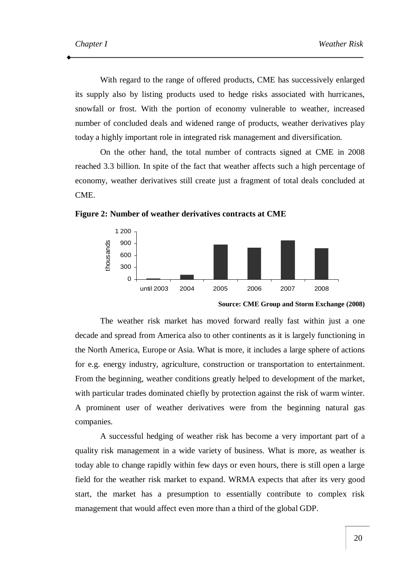With regard to the range of offered products, CME has successively enlarged its supply also by listing products used to hedge risks associated with hurricanes, snowfall or frost. With the portion of economy vulnerable to weather, increased number of concluded deals and widened range of products, weather derivatives play today a highly important role in integrated risk management and diversification.

On the other hand, the total number of contracts signed at CME in 2008 reached 3.3 billion. In spite of the fact that weather affects such a high percentage of economy, weather derivatives still create just a fragment of total deals concluded at CME.



**Figure 2: Number of weather derivatives contracts at CME** 

The weather risk market has moved forward really fast within just a one decade and spread from America also to other continents as it is largely functioning in the North America, Europe or Asia. What is more, it includes a large sphere of actions for e.g. energy industry, agriculture, construction or transportation to entertainment. From the beginning, weather conditions greatly helped to development of the market, with particular trades dominated chiefly by protection against the risk of warm winter. A prominent user of weather derivatives were from the beginning natural gas companies.

A successful hedging of weather risk has become a very important part of a quality risk management in a wide variety of business. What is more, as weather is today able to change rapidly within few days or even hours, there is still open a large field for the weather risk market to expand. WRMA expects that after its very good start, the market has a presumption to essentially contribute to complex risk management that would affect even more than a third of the global GDP.

**Source: CME Group and Storm Exchange (2008)**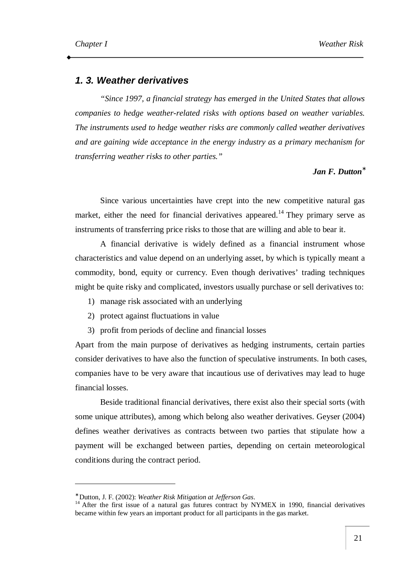#### *1. 3. Weather derivatives*

*"Since 1997, a financial strategy has emerged in the United States that allows companies to hedge weather-related risks with options based on weather variables. The instruments used to hedge weather risks are commonly called weather derivatives and are gaining wide acceptance in the energy industry as a primary mechanism for transferring weather risks to other parties."*

#### *Jan F. Dutton\**

Since various uncertainties have crept into the new competitive natural gas market, either the need for financial derivatives appeared.<sup>14</sup> They primary serve as instruments of transferring price risks to those that are willing and able to bear it.

A financial derivative is widely defined as a financial instrument whose characteristics and value depend on an underlying asset, by which is typically meant a commodity, bond, equity or currency. Even though derivatives' trading techniques might be quite risky and complicated, investors usually purchase or sell derivatives to:

- 1) manage risk associated with an underlying
- 2) protect against fluctuations in value
- 3) profit from periods of decline and financial losses

Apart from the main purpose of derivatives as hedging instruments, certain parties consider derivatives to have also the function of speculative instruments. In both cases, companies have to be very aware that incautious use of derivatives may lead to huge financial losses.

Beside traditional financial derivatives, there exist also their special sorts (with some unique attributes), among which belong also weather derivatives. Geyser (2004) defines weather derivatives as contracts between two parties that stipulate how a payment will be exchanged between parties, depending on certain meteorological conditions during the contract period.

<sup>∗</sup> Dutton, J. F. (2002): *Weather Risk Mitigation at Jefferson Gas*.

<sup>&</sup>lt;sup>14</sup> After the first issue of a natural gas futures contract by NYMEX in 1990, financial derivatives became within few years an important product for all participants in the gas market.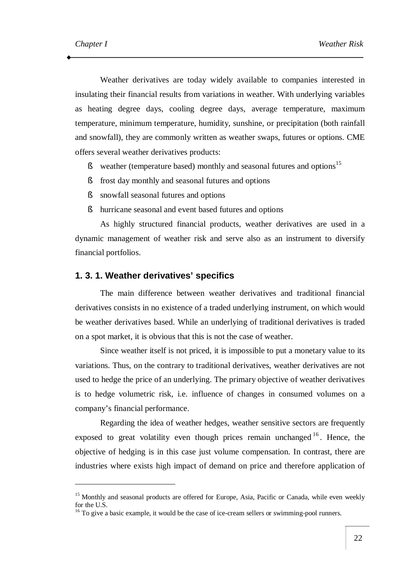Weather derivatives are today widely available to companies interested in insulating their financial results from variations in weather. With underlying variables as heating degree days, cooling degree days, average temperature, maximum temperature, minimum temperature, humidity, sunshine, or precipitation (both rainfall and snowfall), they are commonly written as weather swaps, futures or options. CME offers several weather derivatives products:

- § weather (temperature based) monthly and seasonal futures and options<sup>15</sup>
- § frost day monthly and seasonal futures and options
- § snowfall seasonal futures and options
- § hurricane seasonal and event based futures and options

As highly structured financial products, weather derivatives are used in a dynamic management of weather risk and serve also as an instrument to diversify financial portfolios.

#### **1. 3. 1. Weather derivatives' specifics**

The main difference between weather derivatives and traditional financial derivatives consists in no existence of a traded underlying instrument, on which would be weather derivatives based. While an underlying of traditional derivatives is traded on a spot market, it is obvious that this is not the case of weather.

Since weather itself is not priced, it is impossible to put a monetary value to its variations. Thus, on the contrary to traditional derivatives, weather derivatives are not used to hedge the price of an underlying. The primary objective of weather derivatives is to hedge volumetric risk, i.e. influence of changes in consumed volumes on a company's financial performance.

Regarding the idea of weather hedges, weather sensitive sectors are frequently exposed to great volatility even though prices remain unchanged  $16$ . Hence, the objective of hedging is in this case just volume compensation. In contrast, there are industries where exists high impact of demand on price and therefore application of

<sup>&</sup>lt;sup>15</sup> Monthly and seasonal products are offered for Europe, Asia, Pacific or Canada, while even weekly for the U.S.

 $16$  To give a basic example, it would be the case of ice-cream sellers or swimming-pool runners.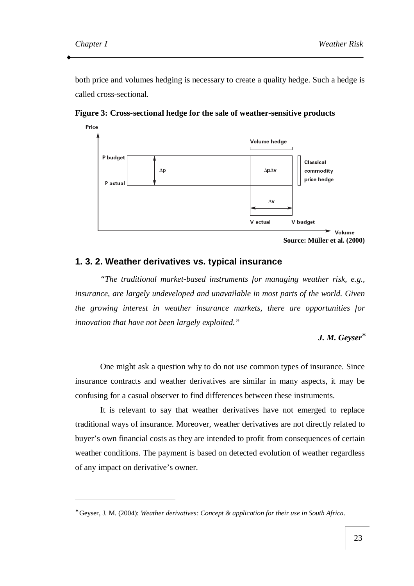both price and volumes hedging is necessary to create a quality hedge. Such a hedge is called cross-sectional.



**Figure 3: Cross-sectional hedge for the sale of weather-sensitive products** 

```
Source: Müller et al. (2000)
```
#### **1. 3. 2. Weather derivatives vs. typical insurance**

*"The traditional market-based instruments for managing weather risk, e.g., insurance, are largely undeveloped and unavailable in most parts of the world. Given the growing interest in weather insurance markets, there are opportunities for innovation that have not been largely exploited."* 

*J. M. Geyser\**

One might ask a question why to do not use common types of insurance. Since insurance contracts and weather derivatives are similar in many aspects, it may be confusing for a casual observer to find differences between these instruments.

It is relevant to say that weather derivatives have not emerged to replace traditional ways of insurance. Moreover, weather derivatives are not directly related to buyer's own financial costs as they are intended to profit from consequences of certain weather conditions. The payment is based on detected evolution of weather regardless of any impact on derivative's owner.

<sup>∗</sup> Geyser, J. M. (2004): *Weather derivatives: Concept & application for their use in South Africa*.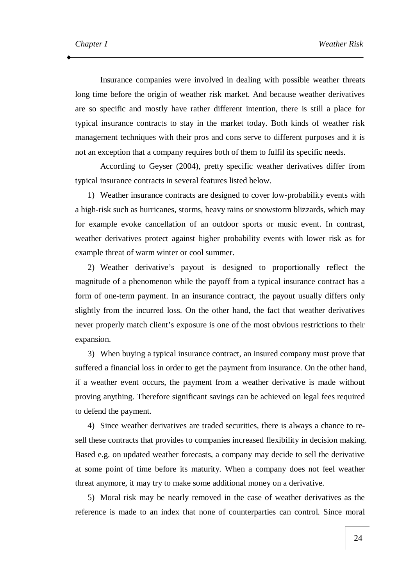Insurance companies were involved in dealing with possible weather threats long time before the origin of weather risk market. And because weather derivatives are so specific and mostly have rather different intention, there is still a place for typical insurance contracts to stay in the market today. Both kinds of weather risk management techniques with their pros and cons serve to different purposes and it is not an exception that a company requires both of them to fulfil its specific needs.

According to Geyser (2004), pretty specific weather derivatives differ from typical insurance contracts in several features listed below.

1) Weather insurance contracts are designed to cover low-probability events with a high-risk such as hurricanes, storms, heavy rains or snowstorm blizzards, which may for example evoke cancellation of an outdoor sports or music event. In contrast, weather derivatives protect against higher probability events with lower risk as for example threat of warm winter or cool summer.

2) Weather derivative's payout is designed to proportionally reflect the magnitude of a phenomenon while the payoff from a typical insurance contract has a form of one-term payment. In an insurance contract, the payout usually differs only slightly from the incurred loss. On the other hand, the fact that weather derivatives never properly match client's exposure is one of the most obvious restrictions to their expansion.

3) When buying a typical insurance contract, an insured company must prove that suffered a financial loss in order to get the payment from insurance. On the other hand, if a weather event occurs, the payment from a weather derivative is made without proving anything. Therefore significant savings can be achieved on legal fees required to defend the payment.

4) Since weather derivatives are traded securities, there is always a chance to resell these contracts that provides to companies increased flexibility in decision making. Based e.g. on updated weather forecasts, a company may decide to sell the derivative at some point of time before its maturity. When a company does not feel weather threat anymore, it may try to make some additional money on a derivative.

5) Moral risk may be nearly removed in the case of weather derivatives as the reference is made to an index that none of counterparties can control. Since moral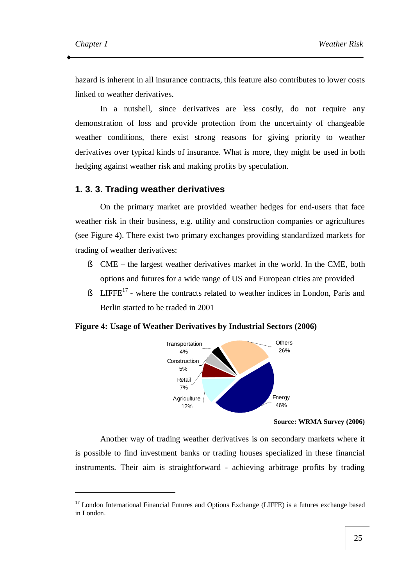hazard is inherent in all insurance contracts, this feature also contributes to lower costs linked to weather derivatives.

In a nutshell, since derivatives are less costly, do not require any demonstration of loss and provide protection from the uncertainty of changeable weather conditions, there exist strong reasons for giving priority to weather derivatives over typical kinds of insurance. What is more, they might be used in both hedging against weather risk and making profits by speculation.

#### **1. 3. 3. Trading weather derivatives**

On the primary market are provided weather hedges for end-users that face weather risk in their business, e.g. utility and construction companies or agricultures (see Figure 4). There exist two primary exchanges providing standardized markets for trading of weather derivatives:

- § CME the largest weather derivatives market in the world. In the CME, both options and futures for a wide range of US and European cities are provided
- $\text{\$}$  LIFFE<sup>17</sup> where the contracts related to weather indices in London, Paris and Berlin started to be traded in 2001

#### **Figure 4: Usage of Weather Derivatives by Industrial Sectors (2006)**



#### **Source: WRMA Survey (2006)**

Another way of trading weather derivatives is on secondary markets where it is possible to find investment banks or trading houses specialized in these financial instruments. Their aim is straightforward - achieving arbitrage profits by trading

<sup>&</sup>lt;sup>17</sup> London International Financial Futures and Options Exchange (LIFFE) is a futures exchange based in London.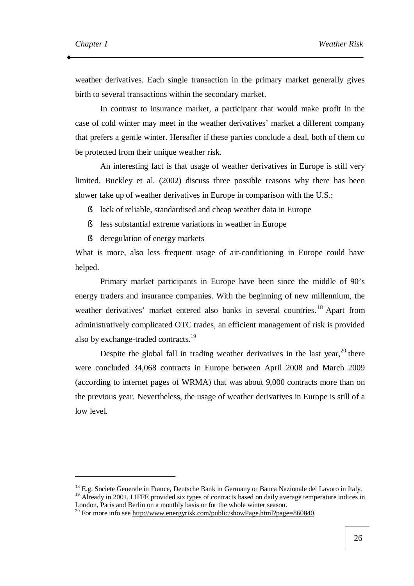weather derivatives. Each single transaction in the primary market generally gives birth to several transactions within the secondary market.

In contrast to insurance market, a participant that would make profit in the case of cold winter may meet in the weather derivatives' market a different company that prefers a gentle winter. Hereafter if these parties conclude a deal, both of them co be protected from their unique weather risk.

An interesting fact is that usage of weather derivatives in Europe is still very limited. Buckley et al. (2002) discuss three possible reasons why there has been slower take up of weather derivatives in Europe in comparison with the U.S.:

- § lack of reliable, standardised and cheap weather data in Europe
- § less substantial extreme variations in weather in Europe
- § deregulation of energy markets

What is more, also less frequent usage of air-conditioning in Europe could have helped.

Primary market participants in Europe have been since the middle of 90's energy traders and insurance companies. With the beginning of new millennium, the weather derivatives' market entered also banks in several countries.<sup>18</sup> Apart from administratively complicated OTC trades, an efficient management of risk is provided also by exchange-traded contracts.<sup>19</sup>

Despite the global fall in trading weather derivatives in the last year,  $20$  there were concluded 34,068 contracts in Europe between April 2008 and March 2009 (according to internet pages of WRMA) that was about 9,000 contracts more than on the previous year. Nevertheless, the usage of weather derivatives in Europe is still of a low level.

<sup>&</sup>lt;sup>18</sup> E.g. Societe Generale in France, Deutsche Bank in Germany or Banca Nazionale del Lavoro in Italy. <sup>19</sup> Already in 2001, LIFFE provided six types of contracts based on daily average temperature indices in London, Paris and Berlin on a monthly basis or for the whole winter season.

<sup>&</sup>lt;sup>20</sup> For more info see<http://www.energyrisk.com/public/showPage.html?page=860840>.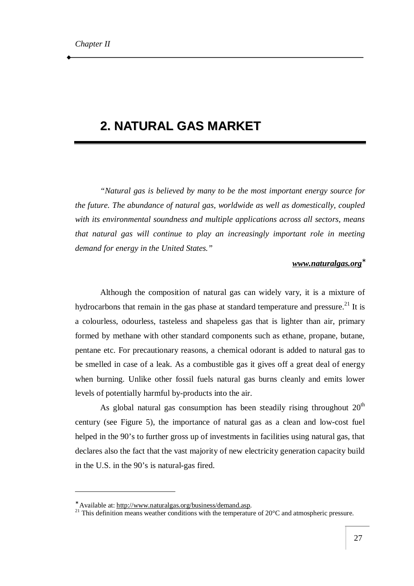### **2. NATURAL GAS MARKET**

*"Natural gas is believed by many to be the most important energy source for the future. The abundance of natural gas, worldwide as well as domestically, coupled with its environmental soundness and multiple applications across all sectors, means that natural gas will continue to play an increasingly important role in meeting demand for energy in the United States."* 

#### *[www.naturalgas.org](http://www.naturalgas.org)\**

Although the composition of natural gas can widely vary, it is a mixture of hydrocarbons that remain in the gas phase at standard temperature and pressure.<sup>21</sup> It is a colourless, odourless, tasteless and shapeless gas that is lighter than air, primary formed by methane with other standard components such as ethane, propane, butane, pentane etc. For precautionary reasons, a chemical odorant is added to natural gas to be smelled in case of a leak. As a combustible gas it gives off a great deal of energy when burning. Unlike other fossil fuels natural gas burns cleanly and emits lower levels of potentially harmful by-products into the air.

As global natural gas consumption has been steadily rising throughout  $20<sup>th</sup>$ century (see Figure 5), the importance of natural gas as a clean and low-cost fuel helped in the 90's to further gross up of investments in facilities using natural gas, that declares also the fact that the vast majority of new electricity generation capacity build in the U.S. in the 90's is natural-gas fired.

<sup>∗</sup> Available at: [http://www.naturalgas.org/business/demand.asp.](http://www.naturalgas.org/business/demand.asp)

<sup>&</sup>lt;sup>21</sup> This definition means weather conditions with the temperature of  $20^{\circ}$ C and atmospheric pressure.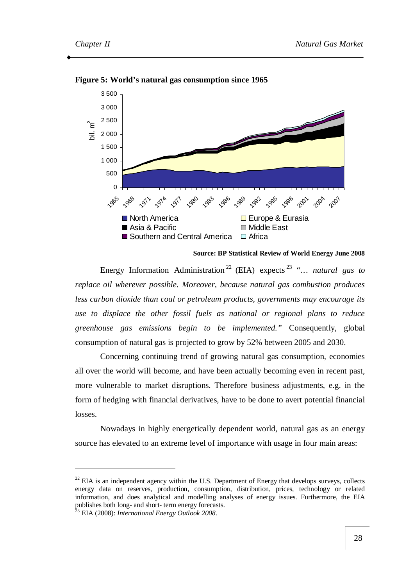

**Figure 5: World's natural gas consumption since 1965** 

**Source: BP Statistical Review of World Energy June 2008** 

Energy Information Administration <sup>22</sup> (EIA) expects <sup>23</sup> *"… natural gas to replace oil wherever possible. Moreover, because natural gas combustion produces less carbon dioxide than coal or petroleum products, governments may encourage its use to displace the other fossil fuels as national or regional plans to reduce greenhouse gas emissions begin to be implemented."* Consequently, global consumption of natural gas is projected to grow by 52% between 2005 and 2030.

Concerning continuing trend of growing natural gas consumption, economies all over the world will become, and have been actually becoming even in recent past, more vulnerable to market disruptions. Therefore business adjustments, e.g. in the form of hedging with financial derivatives, have to be done to avert potential financial losses.

Nowadays in highly energetically dependent world, natural gas as an energy source has elevated to an extreme level of importance with usage in four main areas:

 $22$  EIA is an independent agency within the U.S. Department of Energy that develops surveys, collects energy data on reserves, production, consumption, distribution, prices, technology or related information, and does analytical and modelling analyses of energy issues. Furthermore, the EIA publishes both long- and short- term energy forecasts.

<sup>23</sup> EIA (2008): *International Energy Outlook 2008*.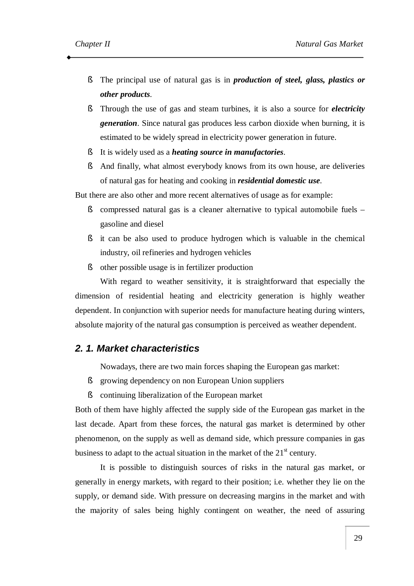- § The principal use of natural gas is in *production of steel, glass, plastics or other products*.
- § Through the use of gas and steam turbines, it is also a source for *electricity generation*. Since natural gas produces less carbon dioxide when burning, it is estimated to be widely spread in electricity power generation in future.
- § It is widely used as a *heating source in manufactories*.
- § And finally, what almost everybody knows from its own house, are deliveries of natural gas for heating and cooking in *residential domestic use*.

But there are also other and more recent alternatives of usage as for example:

- § compressed natural gas is a cleaner alternative to typical automobile fuels gasoline and diesel
- § it can be also used to produce hydrogen which is valuable in the chemical industry, oil refineries and hydrogen vehicles
- § other possible usage is in fertilizer production

With regard to weather sensitivity, it is straightforward that especially the dimension of residential heating and electricity generation is highly weather dependent. In conjunction with superior needs for manufacture heating during winters, absolute majority of the natural gas consumption is perceived as weather dependent.

#### *2. 1. Market characteristics*

Nowadays, there are two main forces shaping the European gas market:

- § growing dependency on non European Union suppliers
- § continuing liberalization of the European market

Both of them have highly affected the supply side of the European gas market in the last decade. Apart from these forces, the natural gas market is determined by other phenomenon, on the supply as well as demand side, which pressure companies in gas business to adapt to the actual situation in the market of the  $21<sup>st</sup>$  century.

It is possible to distinguish sources of risks in the natural gas market, or generally in energy markets, with regard to their position; i.e. whether they lie on the supply, or demand side. With pressure on decreasing margins in the market and with the majority of sales being highly contingent on weather, the need of assuring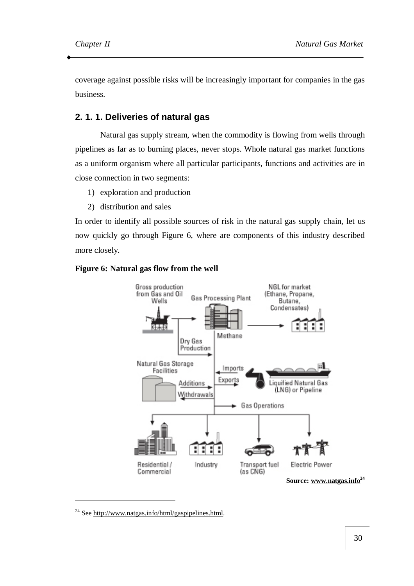coverage against possible risks will be increasingly important for companies in the gas business.

#### **2. 1. 1. Deliveries of natural gas**

Natural gas supply stream, when the commodity is flowing from wells through pipelines as far as to burning places, never stops. Whole natural gas market functions as a uniform organism where all particular participants, functions and activities are in close connection in two segments:

- 1) exploration and production
- 2) distribution and sales

In order to identify all possible sources of risk in the natural gas supply chain, let us now quickly go through Figure 6, where are components of this industry described more closely.





<sup>&</sup>lt;sup>24</sup> See [http://www.natgas.info/html/gaspipelines.html.](http://www.natgas.info/html/gaspipelines.html)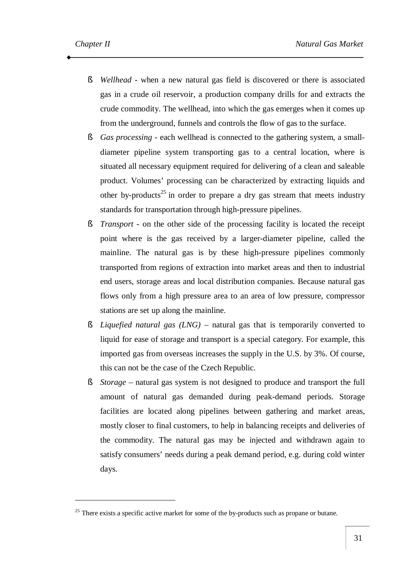- § *Wellhead* when a new natural gas field is discovered or there is associated gas in a crude oil reservoir, a production company drills for and extracts the crude commodity. The wellhead, into which the gas emerges when it comes up from the underground, funnels and controls the flow of gas to the surface.
- § *Gas processing* each wellhead is connected to the gathering system, a smalldiameter pipeline system transporting gas to a central location, where is situated all necessary equipment required for delivering of a clean and saleable product. Volumes' processing can be characterized by extracting liquids and other by-products<sup>25</sup> in order to prepare a dry gas stream that meets industry standards for transportation through high-pressure pipelines.
- § *Transport* on the other side of the processing facility is located the receipt point where is the gas received by a larger-diameter pipeline, called the mainline. The natural gas is by these high-pressure pipelines commonly transported from regions of extraction into market areas and then to industrial end users, storage areas and local distribution companies. Because natural gas flows only from a high pressure area to an area of low pressure, compressor stations are set up along the mainline.
- § *Liquefied natural gas (LNG)*  natural gas that is temporarily converted to liquid for ease of storage and transport is a special category. For example, this imported gas from overseas increases the supply in the U.S. by 3%. Of course, this can not be the case of the Czech Republic.
- § *Storage* natural gas system is not designed to produce and transport the full amount of natural gas demanded during peak-demand periods. Storage facilities are located along pipelines between gathering and market areas, mostly closer to final customers, to help in balancing receipts and deliveries of the commodity. The natural gas may be injected and withdrawn again to satisfy consumers' needs during a peak demand period, e.g. during cold winter days.

 $25$  There exists a specific active market for some of the by-products such as propane or butane.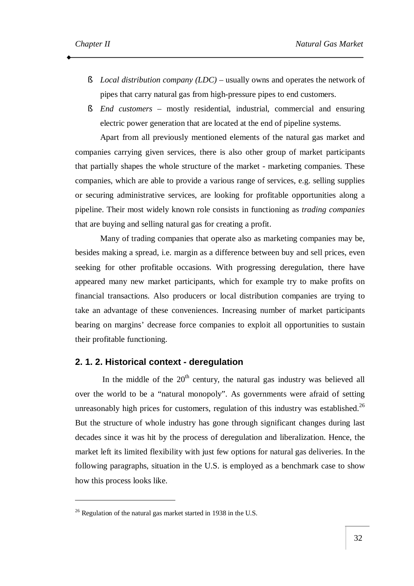- § *Local distribution company (LDC)* usually owns and operates the network of pipes that carry natural gas from high-pressure pipes to end customers.
- § *End customers* mostly residential, industrial, commercial and ensuring electric power generation that are located at the end of pipeline systems.

Apart from all previously mentioned elements of the natural gas market and companies carrying given services, there is also other group of market participants that partially shapes the whole structure of the market - marketing companies. These companies, which are able to provide a various range of services, e.g. selling supplies or securing administrative services, are looking for profitable opportunities along a pipeline. Their most widely known role consists in functioning as *trading companies* that are buying and selling natural gas for creating a profit.

Many of trading companies that operate also as marketing companies may be, besides making a spread, i.e. margin as a difference between buy and sell prices, even seeking for other profitable occasions. With progressing deregulation, there have appeared many new market participants, which for example try to make profits on financial transactions. Also producers or local distribution companies are trying to take an advantage of these conveniences. Increasing number of market participants bearing on margins' decrease force companies to exploit all opportunities to sustain their profitable functioning.

### **2. 1. 2. Historical context - deregulation**

In the middle of the  $20<sup>th</sup>$  century, the natural gas industry was believed all over the world to be a "natural monopoly". As governments were afraid of setting unreasonably high prices for customers, regulation of this industry was established.<sup>26</sup> But the structure of whole industry has gone through significant changes during last decades since it was hit by the process of deregulation and liberalization. Hence, the market left its limited flexibility with just few options for natural gas deliveries. In the following paragraphs, situation in the U.S. is employed as a benchmark case to show how this process looks like.

 $\overline{a}$ 

 $26$  Regulation of the natural gas market started in 1938 in the U.S.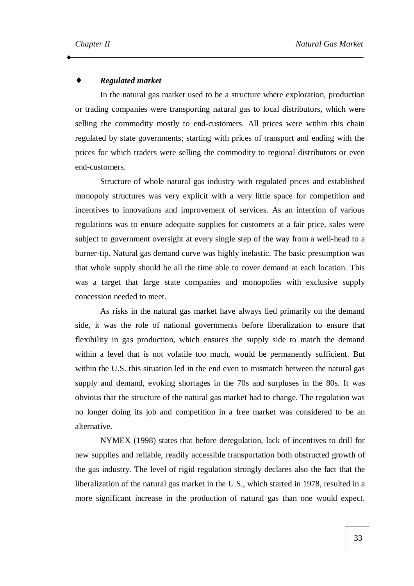### ♦ *Regulated market*

In the natural gas market used to be a structure where exploration, production or trading companies were transporting natural gas to local distributors, which were selling the commodity mostly to end-customers. All prices were within this chain regulated by state governments; starting with prices of transport and ending with the prices for which traders were selling the commodity to regional distributors or even end-customers.

Structure of whole natural gas industry with regulated prices and established monopoly structures was very explicit with a very little space for competition and incentives to innovations and improvement of services. As an intention of various regulations was to ensure adequate supplies for customers at a fair price, sales were subject to government oversight at every single step of the way from a well-head to a burner-tip. Natural gas demand curve was highly inelastic. The basic presumption was that whole supply should be all the time able to cover demand at each location. This was a target that large state companies and monopolies with exclusive supply concession needed to meet.

As risks in the natural gas market have always lied primarily on the demand side, it was the role of national governments before liberalization to ensure that flexibility in gas production, which ensures the supply side to match the demand within a level that is not volatile too much, would be permanently sufficient. But within the U.S. this situation led in the end even to mismatch between the natural gas supply and demand, evoking shortages in the 70s and surpluses in the 80s. It was obvious that the structure of the natural gas market had to change. The regulation was no longer doing its job and competition in a free market was considered to be an alternative.

NYMEX (1998) states that before deregulation, lack of incentives to drill for new supplies and reliable, readily accessible transportation both obstructed growth of the gas industry. The level of rigid regulation strongly declares also the fact that the liberalization of the natural gas market in the U.S., which started in 1978, resulted in a more significant increase in the production of natural gas than one would expect.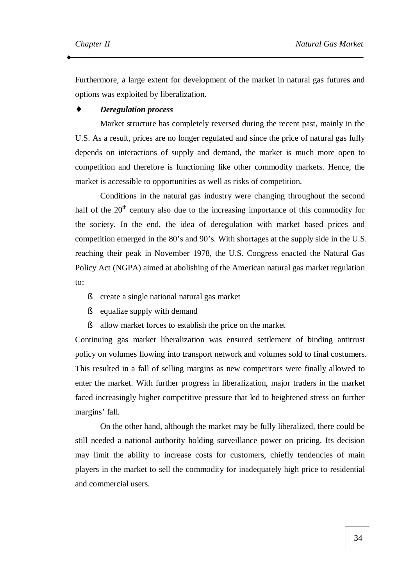Furthermore, a large extent for development of the market in natural gas futures and options was exploited by liberalization.

#### *Deregulation process*

Market structure has completely reversed during the recent past, mainly in the U.S. As a result, prices are no longer regulated and since the price of natural gas fully depends on interactions of supply and demand, the market is much more open to competition and therefore is functioning like other commodity markets. Hence, the market is accessible to opportunities as well as risks of competition.

Conditions in the natural gas industry were changing throughout the second half of the  $20<sup>th</sup>$  century also due to the increasing importance of this commodity for the society. In the end, the idea of deregulation with market based prices and competition emerged in the 80's and 90's. With shortages at the supply side in the U.S. reaching their peak in November 1978, the U.S. Congress enacted the Natural Gas Policy Act (NGPA) aimed at abolishing of the American natural gas market regulation to:

- § create a single national natural gas market
- § equalize supply with demand
- § allow market forces to establish the price on the market

Continuing gas market liberalization was ensured settlement of binding antitrust policy on volumes flowing into transport network and volumes sold to final costumers. This resulted in a fall of selling margins as new competitors were finally allowed to enter the market. With further progress in liberalization, major traders in the market faced increasingly higher competitive pressure that led to heightened stress on further margins' fall.

On the other hand, although the market may be fully liberalized, there could be still needed a national authority holding surveillance power on pricing. Its decision may limit the ability to increase costs for customers, chiefly tendencies of main players in the market to sell the commodity for inadequately high price to residential and commercial users.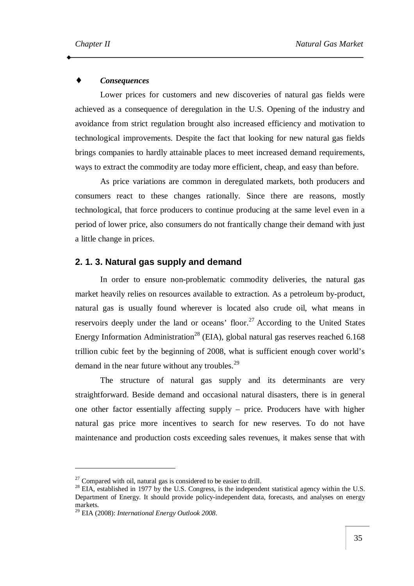### $Consequences$

Lower prices for customers and new discoveries of natural gas fields were achieved as a consequence of deregulation in the U.S. Opening of the industry and avoidance from strict regulation brought also increased efficiency and motivation to technological improvements. Despite the fact that looking for new natural gas fields brings companies to hardly attainable places to meet increased demand requirements, ways to extract the commodity are today more efficient, cheap, and easy than before.

As price variations are common in deregulated markets, both producers and consumers react to these changes rationally. Since there are reasons, mostly technological, that force producers to continue producing at the same level even in a period of lower price, also consumers do not frantically change their demand with just a little change in prices.

### **2. 1. 3. Natural gas supply and demand**

In order to ensure non-problematic commodity deliveries, the natural gas market heavily relies on resources available to extraction. As a petroleum by-product, natural gas is usually found wherever is located also crude oil, what means in reservoirs deeply under the land or oceans' floor.<sup>27</sup> According to the United States Energy Information Administration<sup>28</sup> (EIA), global natural gas reserves reached  $6.168$ trillion cubic feet by the beginning of 2008, what is sufficient enough cover world's demand in the near future without any troubles.<sup>29</sup>

The structure of natural gas supply and its determinants are very straightforward. Beside demand and occasional natural disasters, there is in general one other factor essentially affecting supply – price. Producers have with higher natural gas price more incentives to search for new reserves. To do not have maintenance and production costs exceeding sales revenues, it makes sense that with

 $\overline{a}$ 

 $27$  Compared with oil, natural gas is considered to be easier to drill.

<sup>&</sup>lt;sup>28</sup> EIA, established in 1977 by the U.S. Congress, is the independent statistical agency within the U.S. Department of Energy. It should provide policy-independent data, forecasts, and analyses on energy markets.

<sup>29</sup> EIA (2008): *International Energy Outlook 2008*.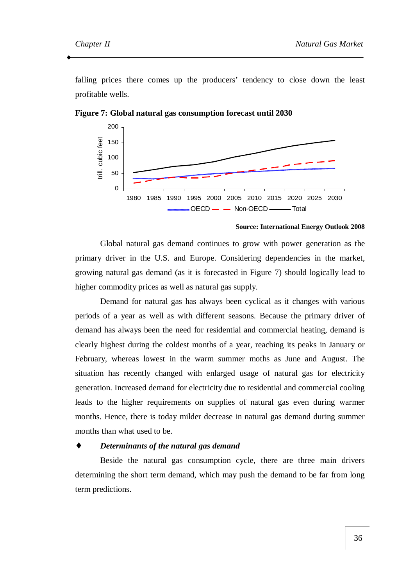falling prices there comes up the producers' tendency to close down the least profitable wells.



**Figure 7: Global natural gas consumption forecast until 2030** 

#### **Source: International Energy Outlook 2008**

Global natural gas demand continues to grow with power generation as the primary driver in the U.S. and Europe. Considering dependencies in the market, growing natural gas demand (as it is forecasted in Figure 7) should logically lead to higher commodity prices as well as natural gas supply.

Demand for natural gas has always been cyclical as it changes with various periods of a year as well as with different seasons. Because the primary driver of demand has always been the need for residential and commercial heating, demand is clearly highest during the coldest months of a year, reaching its peaks in January or February, whereas lowest in the warm summer moths as June and August. The situation has recently changed with enlarged usage of natural gas for electricity generation. Increased demand for electricity due to residential and commercial cooling leads to the higher requirements on supplies of natural gas even during warmer months. Hence, there is today milder decrease in natural gas demand during summer months than what used to be.

### ♦ *Determinants of the natural gas demand*

Beside the natural gas consumption cycle, there are three main drivers determining the short term demand, which may push the demand to be far from long term predictions.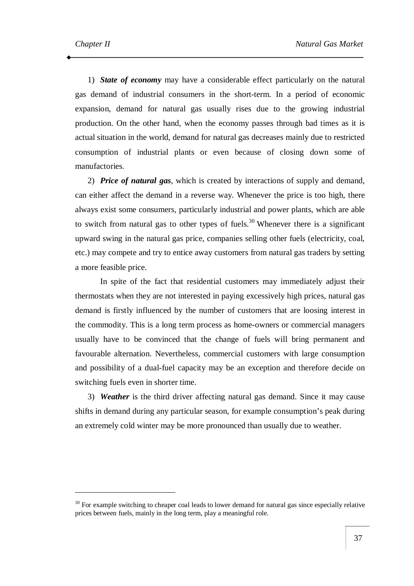1) *State of economy* may have a considerable effect particularly on the natural gas demand of industrial consumers in the short-term. In a period of economic expansion, demand for natural gas usually rises due to the growing industrial production. On the other hand, when the economy passes through bad times as it is actual situation in the world, demand for natural gas decreases mainly due to restricted consumption of industrial plants or even because of closing down some of manufactories.

2) *Price of natural gas*, which is created by interactions of supply and demand, can either affect the demand in a reverse way. Whenever the price is too high, there always exist some consumers, particularly industrial and power plants, which are able to switch from natural gas to other types of fuels.<sup>30</sup> Whenever there is a significant upward swing in the natural gas price, companies selling other fuels (electricity, coal, etc.) may compete and try to entice away customers from natural gas traders by setting a more feasible price.

In spite of the fact that residential customers may immediately adjust their thermostats when they are not interested in paying excessively high prices, natural gas demand is firstly influenced by the number of customers that are loosing interest in the commodity. This is a long term process as home-owners or commercial managers usually have to be convinced that the change of fuels will bring permanent and favourable alternation. Nevertheless, commercial customers with large consumption and possibility of a dual-fuel capacity may be an exception and therefore decide on switching fuels even in shorter time.

3) *Weather* is the third driver affecting natural gas demand. Since it may cause shifts in demand during any particular season, for example consumption's peak during an extremely cold winter may be more pronounced than usually due to weather.

<sup>&</sup>lt;sup>30</sup> For example switching to cheaper coal leads to lower demand for natural gas since especially relative prices between fuels, mainly in the long term, play a meaningful role.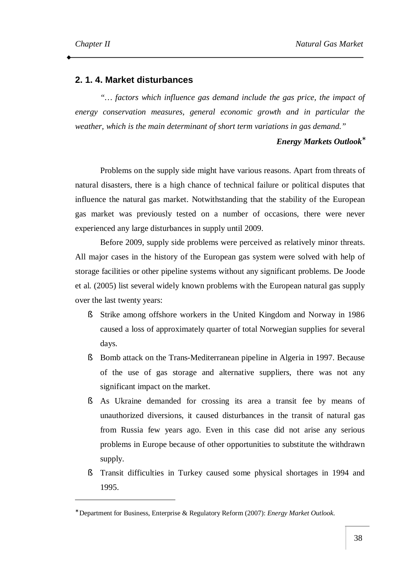# **2. 1. 4. Market disturbances**

*"… factors which influence gas demand include the gas price, the impact of energy conservation measures, general economic growth and in particular the weather, which is the main determinant of short term variations in gas demand."*

### *Energy Markets Outlook\**

Problems on the supply side might have various reasons. Apart from threats of natural disasters, there is a high chance of technical failure or political disputes that influence the natural gas market. Notwithstanding that the stability of the European gas market was previously tested on a number of occasions, there were never experienced any large disturbances in supply until 2009.

Before 2009, supply side problems were perceived as relatively minor threats. All major cases in the history of the European gas system were solved with help of storage facilities or other pipeline systems without any significant problems. De Joode et al. (2005) list several widely known problems with the European natural gas supply over the last twenty years:

- § Strike among offshore workers in the United Kingdom and Norway in 1986 caused a loss of approximately quarter of total Norwegian supplies for several days.
- § Bomb attack on the Trans-Mediterranean pipeline in Algeria in 1997. Because of the use of gas storage and alternative suppliers, there was not any significant impact on the market.
- § As Ukraine demanded for crossing its area a transit fee by means of unauthorized diversions, it caused disturbances in the transit of natural gas from Russia few years ago. Even in this case did not arise any serious problems in Europe because of other opportunities to substitute the withdrawn supply.
- § Transit difficulties in Turkey caused some physical shortages in 1994 and 1995.

<sup>∗</sup> Department for Business, Enterprise & Regulatory Reform (2007): *Energy Market Outlook*.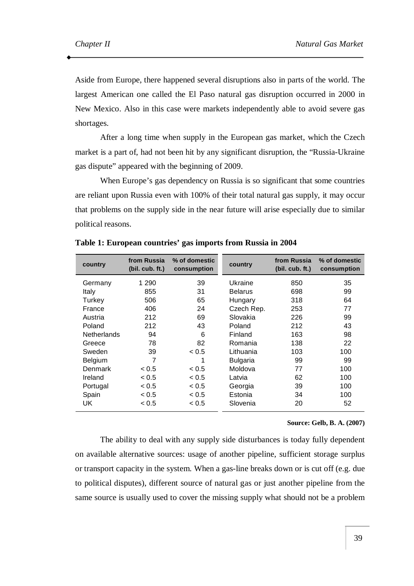Aside from Europe, there happened several disruptions also in parts of the world. The largest American one called the El Paso natural gas disruption occurred in 2000 in New Mexico. Also in this case were markets independently able to avoid severe gas shortages.

After a long time when supply in the European gas market, which the Czech market is a part of, had not been hit by any significant disruption, the "Russia-Ukraine gas dispute" appeared with the beginning of 2009.

When Europe's gas dependency on Russia is so significant that some countries are reliant upon Russia even with 100% of their total natural gas supply, it may occur that problems on the supply side in the near future will arise especially due to similar political reasons.

| country            | from Russia<br>(bil. cub. ft.) | % of domestic<br>consumption | country         | from Russia<br>(bil. cub. ft.) | % of domestic<br>consumption |
|--------------------|--------------------------------|------------------------------|-----------------|--------------------------------|------------------------------|
| Germany            | 1 2 9 0                        | 39                           | Ukraine         | 850                            | 35                           |
| Italy              | 855                            | 31                           | <b>Belarus</b>  | 698                            | 99                           |
| Turkey             | 506                            | 65                           | Hungary         | 318                            | 64                           |
| France             | 406                            | 24                           | Czech Rep.      | 253                            | 77                           |
| Austria            | 212                            | 69                           | Slovakia        | 226                            | 99                           |
| Poland             | 212                            | 43                           | Poland          | 212                            | 43                           |
| <b>Netherlands</b> | 94                             | 6                            | Finland         | 163                            | 98                           |
| Greece             | 78                             | 82                           | Romania         | 138                            | 22                           |
| Sweden             | 39                             | ~< 0.5                       | Lithuania       | 103                            | 100                          |
| Belgium            | 7                              | 1                            | <b>Bulgaria</b> | 99                             | 99                           |
| Denmark            | ~< 0.5                         | ~< 0.5                       | Moldova         | 77                             | 100                          |
| Ireland            | ~< 0.5                         | < 0.5                        | Latvia          | 62                             | 100                          |
| Portugal           | < 0.5                          | ~< 0.5                       | Georgia         | 39                             | 100                          |
| Spain              | < 0.5                          | ~< 0.5                       | Estonia         | 34                             | 100                          |
| UK                 | < 0.5                          | ~< 0.5                       | Slovenia        | 20                             | 52                           |

**Table 1: European countries' gas imports from Russia in 2004** 

#### **Source: Gelb, B. A. (2007)**

The ability to deal with any supply side disturbances is today fully dependent on available alternative sources: usage of another pipeline, sufficient storage surplus or transport capacity in the system. When a gas-line breaks down or is cut off (e.g. due to political disputes), different source of natural gas or just another pipeline from the same source is usually used to cover the missing supply what should not be a problem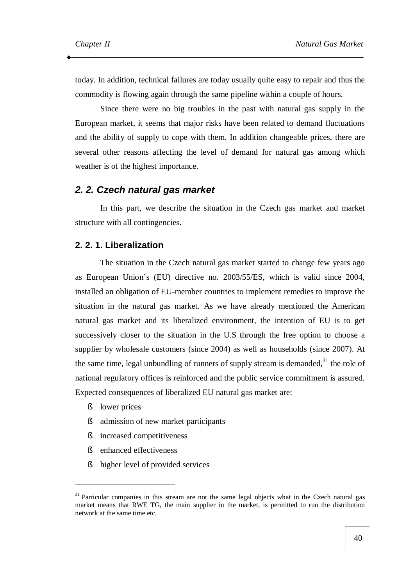today. In addition, technical failures are today usually quite easy to repair and thus the commodity is flowing again through the same pipeline within a couple of hours.

Since there were no big troubles in the past with natural gas supply in the European market, it seems that major risks have been related to demand fluctuations and the ability of supply to cope with them. In addition changeable prices, there are several other reasons affecting the level of demand for natural gas among which weather is of the highest importance.

### *2. 2. Czech natural gas market*

In this part, we describe the situation in the Czech gas market and market structure with all contingencies.

### **2. 2. 1. Liberalization**

The situation in the Czech natural gas market started to change few years ago as European Union's (EU) directive no. 2003/55/ES, which is valid since 2004, installed an obligation of EU-member countries to implement remedies to improve the situation in the natural gas market. As we have already mentioned the American natural gas market and its liberalized environment, the intention of EU is to get successively closer to the situation in the U.S through the free option to choose a supplier by wholesale customers (since 2004) as well as households (since 2007). At the same time, legal unbundling of runners of supply stream is demanded, $31$  the role of national regulatory offices is reinforced and the public service commitment is assured. Expected consequences of liberalized EU natural gas market are:

§ lower prices

 $\overline{a}$ 

- § admission of new market participants
- § increased competitiveness
- § enhanced effectiveness
- § higher level of provided services

<sup>&</sup>lt;sup>31</sup> Particular companies in this stream are not the same legal objects what in the Czech natural gas market means that RWE TG, the main supplier in the market, is permitted to run the distribution network at the same time etc.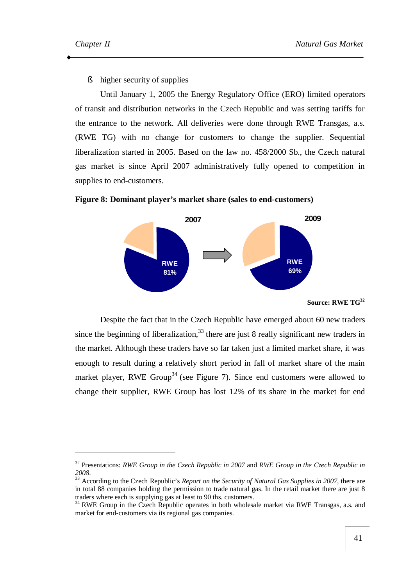§ higher security of supplies

Until January 1, 2005 the Energy Regulatory Office (ERO) limited operators of transit and distribution networks in the Czech Republic and was setting tariffs for the entrance to the network. All deliveries were done through RWE Transgas, a.s. (RWE TG) with no change for customers to change the supplier. Sequential liberalization started in 2005. Based on the law no. 458/2000 Sb., the Czech natural gas market is since April 2007 administratively fully opened to competition in supplies to end-customers.





**Source: RWE TG<sup>32</sup>** 

Despite the fact that in the Czech Republic have emerged about 60 new traders since the beginning of liberalization.<sup>33</sup> there are just 8 really significant new traders in the market. Although these traders have so far taken just a limited market share, it was enough to result during a relatively short period in fall of market share of the main market player, RWE Group<sup>34</sup> (see Figure 7). Since end customers were allowed to change their supplier, RWE Group has lost 12% of its share in the market for end

<sup>32</sup> Presentations: *RWE Group in the Czech Republic in 2007* and *RWE Group in the Czech Republic in 2008*.

<sup>33</sup> According to the Czech Republic's *Report on the Security of Natural Gas Supplies in 2007*, there are in total 88 companies holding the permission to trade natural gas. In the retail market there are just 8 traders where each is supplying gas at least to 90 ths. customers.

<sup>&</sup>lt;sup>34</sup> RWE Group in the Czech Republic operates in both wholesale market via RWE Transgas, a.s. and market for end-customers via its regional gas companies.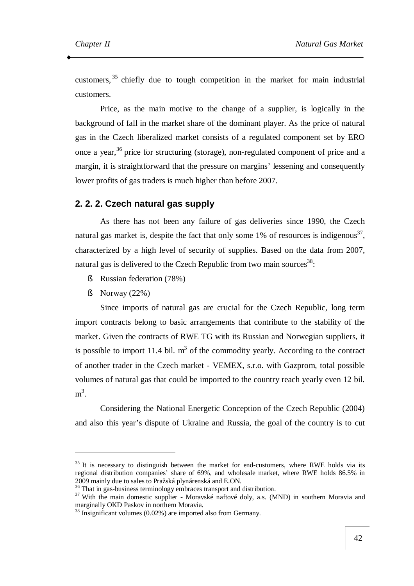customers,  $35$  chiefly due to tough competition in the market for main industrial customers.

Price, as the main motive to the change of a supplier, is logically in the background of fall in the market share of the dominant player. As the price of natural gas in the Czech liberalized market consists of a regulated component set by ERO once a year,<sup>36</sup> price for structuring (storage), non-regulated component of price and a margin, it is straightforward that the pressure on margins' lessening and consequently lower profits of gas traders is much higher than before 2007.

### **2. 2. 2. Czech natural gas supply**

As there has not been any failure of gas deliveries since 1990, the Czech natural gas market is, despite the fact that only some 1% of resources is indigenous<sup>37</sup>, characterized by a high level of security of supplies. Based on the data from 2007, natural gas is delivered to the Czech Republic from two main sources<sup>38</sup>:

- § Russian federation (78%)
- § Norway (22%)

 $\overline{a}$ 

Since imports of natural gas are crucial for the Czech Republic, long term import contracts belong to basic arrangements that contribute to the stability of the market. Given the contracts of RWE TG with its Russian and Norwegian suppliers, it is possible to import 11.4 bil.  $m<sup>3</sup>$  of the commodity yearly. According to the contract of another trader in the Czech market - VEMEX, s.r.o. with Gazprom, total possible volumes of natural gas that could be imported to the country reach yearly even 12 bil.  $m^3$ .

Considering the National Energetic Conception of the Czech Republic (2004) and also this year's dispute of Ukraine and Russia, the goal of the country is to cut

 $35$  It is necessary to distinguish between the market for end-customers, where RWE holds via its regional distribution companies' share of 69%, and wholesale market, where RWE holds 86.5% in 2009 mainly due to sales to Pražská plynárenská and E.ON.

<sup>&</sup>lt;sup>36</sup> That in gas-business terminology embraces transport and distribution.

<sup>&</sup>lt;sup>37</sup> With the main domestic supplier - Moravské naftové doly, a.s. (MND) in southern Moravia and marginally OKD Paskov in northern Moravia.

<sup>&</sup>lt;sup>38</sup> Insignificant volumes (0.02%) are imported also from Germany.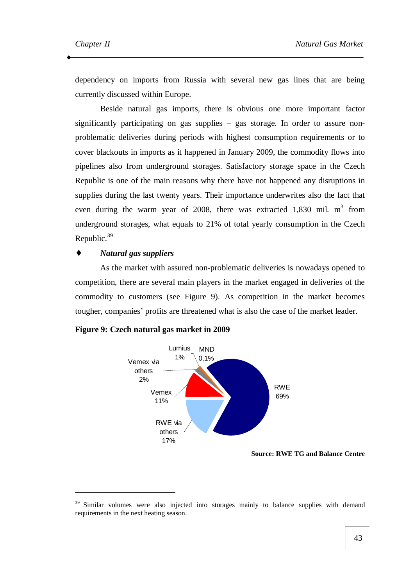dependency on imports from Russia with several new gas lines that are being currently discussed within Europe.

Beside natural gas imports, there is obvious one more important factor significantly participating on gas supplies – gas storage. In order to assure nonproblematic deliveries during periods with highest consumption requirements or to cover blackouts in imports as it happened in January 2009, the commodity flows into pipelines also from underground storages. Satisfactory storage space in the Czech Republic is one of the main reasons why there have not happened any disruptions in supplies during the last twenty years. Their importance underwrites also the fact that even during the warm year of 2008, there was extracted  $1,830$  mil. m<sup>3</sup> from underground storages, what equals to 21% of total yearly consumption in the Czech Republic.<sup>39</sup>

### ♦ *Natural gas suppliers*

 $\overline{a}$ 

As the market with assured non-problematic deliveries is nowadays opened to competition, there are several main players in the market engaged in deliveries of the commodity to customers (see Figure 9). As competition in the market becomes tougher, companies' profits are threatened what is also the case of the market leader.





**Source: RWE TG and Balance Centre** 

<sup>&</sup>lt;sup>39</sup> Similar volumes were also injected into storages mainly to balance supplies with demand requirements in the next heating season.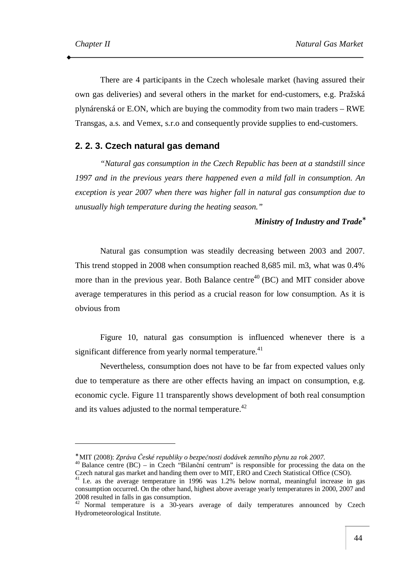There are 4 participants in the Czech wholesale market (having assured their own gas deliveries) and several others in the market for end-customers, e.g. Pražská plynárenská or E.ON, which are buying the commodity from two main traders – RWE Transgas, a.s. and Vemex, s.r.o and consequently provide supplies to end-customers.

# **2. 2. 3. Czech natural gas demand**

*"Natural gas consumption in the Czech Republic has been at a standstill since 1997 and in the previous years there happened even a mild fall in consumption. An exception is year 2007 when there was higher fall in natural gas consumption due to unusually high temperature during the heating season."* 

### *Ministry of Industry and Trade\**

Natural gas consumption was steadily decreasing between 2003 and 2007. This trend stopped in 2008 when consumption reached 8,685 mil. m3, what was 0.4% more than in the previous year. Both Balance centre<sup>40</sup> (BC) and MIT consider above average temperatures in this period as a crucial reason for low consumption. As it is obvious from

Figure 10, natural gas consumption is influenced whenever there is a significant difference from yearly normal temperature.<sup>41</sup>

Nevertheless, consumption does not have to be far from expected values only due to temperature as there are other effects having an impact on consumption, e.g. economic cycle. Figure 11 transparently shows development of both real consumption and its values adjusted to the normal temperature.<sup>42</sup>

<sup>∗</sup> MIT (2008): *Zpráva České republiky o bezpečnosti dodávek zemního plynu za rok 2007*.

<sup>&</sup>lt;sup>40</sup> Balance centre (BC) – in Czech "Bilanční centrum" is responsible for processing the data on the Czech natural gas market and handing them over to MIT, ERO and Czech Statistical Office (CSO).

<sup>&</sup>lt;sup>41</sup> I.e. as the average temperature in 1996 was 1.2% below normal, meaningful increase in gas consumption occurred. On the other hand, highest above average yearly temperatures in 2000, 2007 and 2008 resulted in falls in gas consumption.

<sup>&</sup>lt;sup>42</sup> Normal temperature is a 30-years average of daily temperatures announced by Czech Hydrometeorological Institute.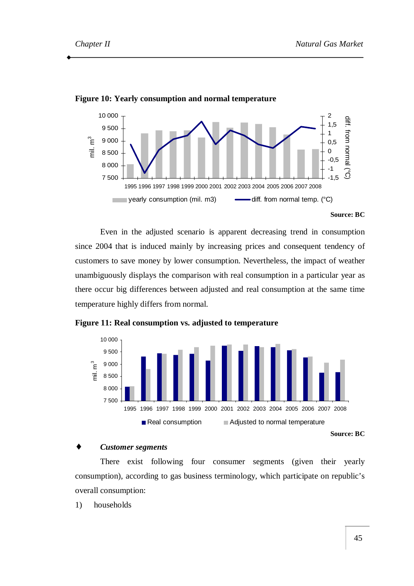

#### **Figure 10: Yearly consumption and normal temperature**

Even in the adjusted scenario is apparent decreasing trend in consumption since 2004 that is induced mainly by increasing prices and consequent tendency of customers to save money by lower consumption. Nevertheless, the impact of weather unambiguously displays the comparison with real consumption in a particular year as there occur big differences between adjusted and real consumption at the same time temperature highly differs from normal.



**Figure 11: Real consumption vs. adjusted to temperature** 

### *Customer segments*

There exist following four consumer segments (given their yearly consumption), according to gas business terminology, which participate on republic's overall consumption:

1) households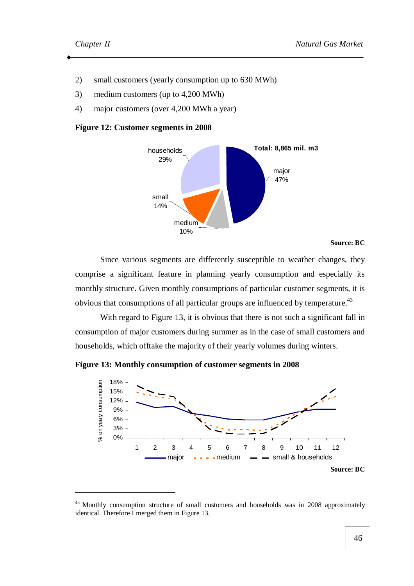- 2) small customers (yearly consumption up to 630 MWh)
- 3) medium customers (up to 4,200 MWh)
- 4) major customers (over 4,200 MWh a year)

#### **Figure 12: Customer segments in 2008**



#### **Source: BC**

Since various segments are differently susceptible to weather changes, they comprise a significant feature in planning yearly consumption and especially its monthly structure. Given monthly consumptions of particular customer segments, it is obvious that consumptions of all particular groups are influenced by temperature.<sup>43</sup>

With regard to Figure 13, it is obvious that there is not such a significant fall in consumption of major customers during summer as in the case of small customers and households, which offtake the majority of their yearly volumes during winters.

**Figure 13: Monthly consumption of customer segments in 2008** 



<sup>&</sup>lt;sup>43</sup> Monthly consumption structure of small customers and households was in 2008 approximately identical. Therefore I merged them in Figure 13.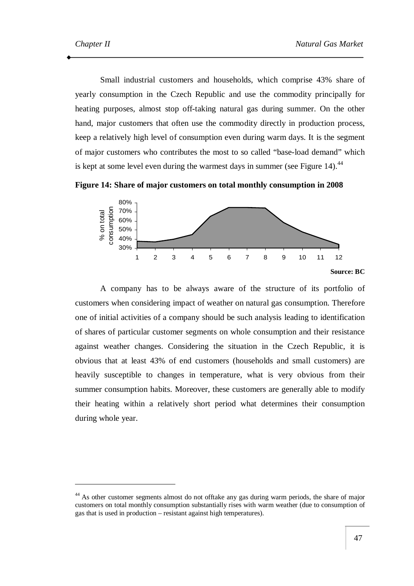Small industrial customers and households, which comprise 43% share of yearly consumption in the Czech Republic and use the commodity principally for heating purposes, almost stop off-taking natural gas during summer. On the other hand, major customers that often use the commodity directly in production process, keep a relatively high level of consumption even during warm days. It is the segment of major customers who contributes the most to so called "base-load demand" which is kept at some level even during the warmest days in summer (see Figure 14). $44$ 





A company has to be always aware of the structure of its portfolio of customers when considering impact of weather on natural gas consumption. Therefore one of initial activities of a company should be such analysis leading to identification of shares of particular customer segments on whole consumption and their resistance against weather changes. Considering the situation in the Czech Republic, it is obvious that at least 43% of end customers (households and small customers) are heavily susceptible to changes in temperature, what is very obvious from their summer consumption habits. Moreover, these customers are generally able to modify their heating within a relatively short period what determines their consumption during whole year.

<sup>&</sup>lt;sup>44</sup> As other customer segments almost do not offtake any gas during warm periods, the share of major customers on total monthly consumption substantially rises with warm weather (due to consumption of gas that is used in production – resistant against high temperatures).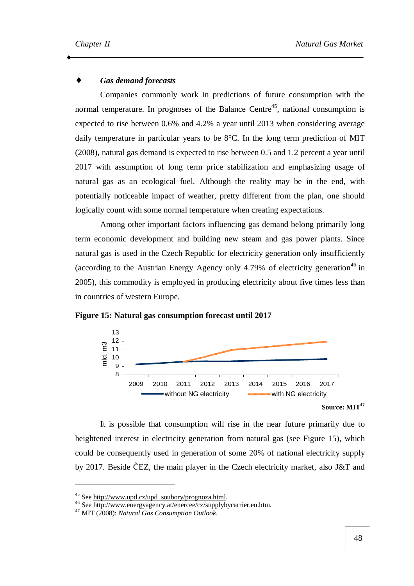### $Gas$  *demand forecasts*

Companies commonly work in predictions of future consumption with the normal temperature. In prognoses of the Balance Centre<sup>45</sup>, national consumption is expected to rise between 0.6% and 4.2% a year until 2013 when considering average daily temperature in particular years to be 8°C. In the long term prediction of MIT (2008), natural gas demand is expected to rise between 0.5 and 1.2 percent a year until 2017 with assumption of long term price stabilization and emphasizing usage of natural gas as an ecological fuel. Although the reality may be in the end, with potentially noticeable impact of weather, pretty different from the plan, one should logically count with some normal temperature when creating expectations.

Among other important factors influencing gas demand belong primarily long term economic development and building new steam and gas power plants. Since natural gas is used in the Czech Republic for electricity generation only insufficiently (according to the Austrian Energy Agency only 4.79% of electricity generation<sup>46</sup> in 2005), this commodity is employed in producing electricity about five times less than in countries of western Europe.





**Source: MIT<sup>47</sup>**

It is possible that consumption will rise in the near future primarily due to heightened interest in electricity generation from natural gas (see Figure 15), which could be consequently used in generation of some 20% of national electricity supply by 2017. Beside ČEZ, the main player in the Czech electricity market, also J&T and

 $\overline{a}$ 

<sup>&</sup>lt;sup>45</sup> See [http://www.upd.cz/upd\\_soubory/prognoza.html](http://www.upd.cz/upd_soubory/prognoza.html).

<sup>46</sup> See [http://www.energyagency.at/enercee/cz/supplybycarrier.en.htm.](http://www.energyagency.at/enercee/cz/supplybycarrier.en.htm)

<sup>47</sup> MIT (2008): *Natural Gas Consumption Outlook*.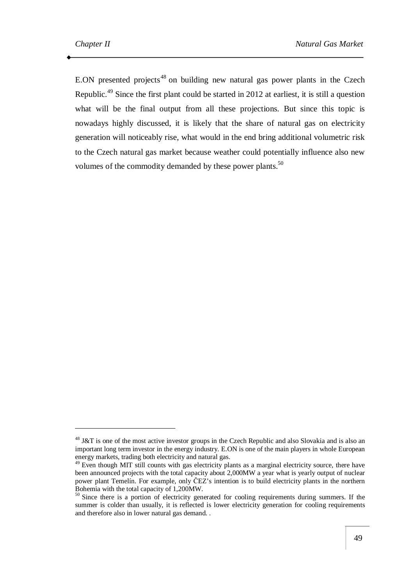E.ON presented projects<sup>48</sup> on building new natural gas power plants in the Czech Republic.<sup>49</sup> Since the first plant could be started in 2012 at earliest, it is still a question what will be the final output from all these projections. But since this topic is nowadays highly discussed, it is likely that the share of natural gas on electricity generation will noticeably rise, what would in the end bring additional volumetric risk to the Czech natural gas market because weather could potentially influence also new volumes of the commodity demanded by these power plants.<sup>50</sup>

<sup>&</sup>lt;sup>48</sup> J&T is one of the most active investor groups in the Czech Republic and also Slovakia and is also an important long term investor in the energy industry. E.ON is one of the main players in whole European energy markets, trading both electricity and natural gas.

<sup>&</sup>lt;sup>49</sup> Even though MIT still counts with gas electricity plants as a marginal electricity source, there have been announced projects with the total capacity about 2,000MW a year what is yearly output of nuclear power plant Temelín. For example, only ČEZ's intention is to build electricity plants in the northern Bohemia with the total capacity of 1,200MW.

<sup>&</sup>lt;sup>50</sup> Since there is a portion of electricity generated for cooling requirements during summers. If the summer is colder than usually, it is reflected is lower electricity generation for cooling requirements and therefore also in lower natural gas demand. .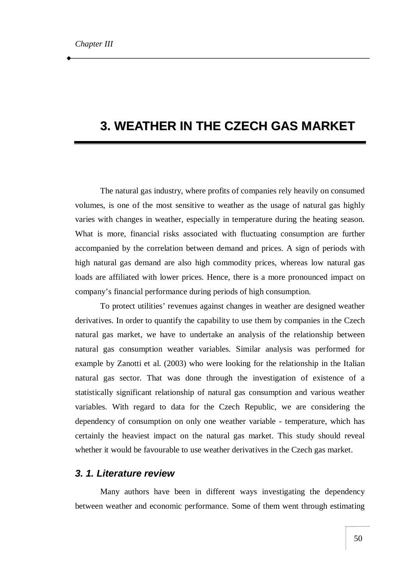# **3. WEATHER IN THE CZECH GAS MARKET**

The natural gas industry, where profits of companies rely heavily on consumed volumes, is one of the most sensitive to weather as the usage of natural gas highly varies with changes in weather, especially in temperature during the heating season. What is more, financial risks associated with fluctuating consumption are further accompanied by the correlation between demand and prices. A sign of periods with high natural gas demand are also high commodity prices, whereas low natural gas loads are affiliated with lower prices. Hence, there is a more pronounced impact on company's financial performance during periods of high consumption.

To protect utilities' revenues against changes in weather are designed weather derivatives. In order to quantify the capability to use them by companies in the Czech natural gas market, we have to undertake an analysis of the relationship between natural gas consumption weather variables. Similar analysis was performed for example by Zanotti et al. (2003) who were looking for the relationship in the Italian natural gas sector. That was done through the investigation of existence of a statistically significant relationship of natural gas consumption and various weather variables. With regard to data for the Czech Republic, we are considering the dependency of consumption on only one weather variable - temperature, which has certainly the heaviest impact on the natural gas market. This study should reveal whether it would be favourable to use weather derivatives in the Czech gas market.

# *3. 1. Literature review*

Many authors have been in different ways investigating the dependency between weather and economic performance. Some of them went through estimating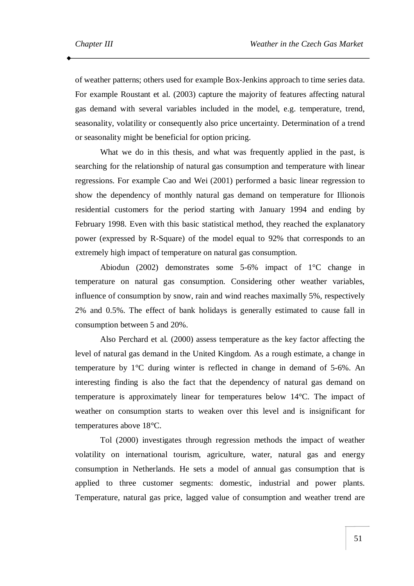of weather patterns; others used for example Box-Jenkins approach to time series data. For example Roustant et al. (2003) capture the majority of features affecting natural gas demand with several variables included in the model, e.g. temperature, trend, seasonality, volatility or consequently also price uncertainty. Determination of a trend or seasonality might be beneficial for option pricing.

What we do in this thesis, and what was frequently applied in the past, is searching for the relationship of natural gas consumption and temperature with linear regressions. For example Cao and Wei (2001) performed a basic linear regression to show the dependency of monthly natural gas demand on temperature for Illionois residential customers for the period starting with January 1994 and ending by February 1998. Even with this basic statistical method, they reached the explanatory power (expressed by R-Square) of the model equal to 92% that corresponds to an extremely high impact of temperature on natural gas consumption.

Abiodun (2002) demonstrates some 5-6% impact of 1°C change in temperature on natural gas consumption. Considering other weather variables, influence of consumption by snow, rain and wind reaches maximally 5%, respectively 2% and 0.5%. The effect of bank holidays is generally estimated to cause fall in consumption between 5 and 20%.

Also Perchard et al. (2000) assess temperature as the key factor affecting the level of natural gas demand in the United Kingdom. As a rough estimate, a change in temperature by 1°C during winter is reflected in change in demand of 5-6%. An interesting finding is also the fact that the dependency of natural gas demand on temperature is approximately linear for temperatures below 14°C. The impact of weather on consumption starts to weaken over this level and is insignificant for temperatures above 18°C.

Tol (2000) investigates through regression methods the impact of weather volatility on international tourism, agriculture, water, natural gas and energy consumption in Netherlands. He sets a model of annual gas consumption that is applied to three customer segments: domestic, industrial and power plants. Temperature, natural gas price, lagged value of consumption and weather trend are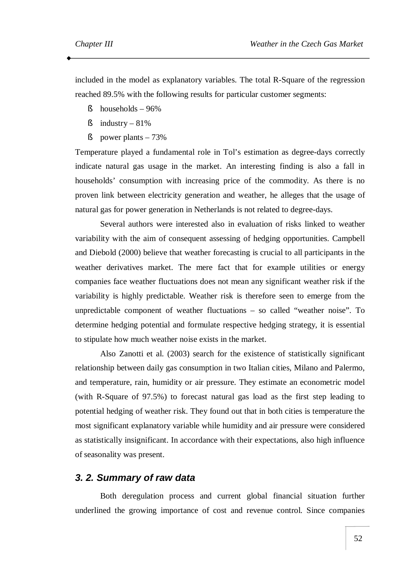included in the model as explanatory variables. The total R-Square of the regression reached 89.5% with the following results for particular customer segments:

- $\S$  households 96%
- $\sin$ dustry 81%
- $\S$  power plants 73%

Temperature played a fundamental role in Tol's estimation as degree-days correctly indicate natural gas usage in the market. An interesting finding is also a fall in households' consumption with increasing price of the commodity. As there is no proven link between electricity generation and weather, he alleges that the usage of natural gas for power generation in Netherlands is not related to degree-days.

Several authors were interested also in evaluation of risks linked to weather variability with the aim of consequent assessing of hedging opportunities. Campbell and Diebold (2000) believe that weather forecasting is crucial to all participants in the weather derivatives market. The mere fact that for example utilities or energy companies face weather fluctuations does not mean any significant weather risk if the variability is highly predictable. Weather risk is therefore seen to emerge from the unpredictable component of weather fluctuations – so called "weather noise". To determine hedging potential and formulate respective hedging strategy, it is essential to stipulate how much weather noise exists in the market.

Also Zanotti et al. (2003) search for the existence of statistically significant relationship between daily gas consumption in two Italian cities, Milano and Palermo, and temperature, rain, humidity or air pressure. They estimate an econometric model (with R-Square of 97.5%) to forecast natural gas load as the first step leading to potential hedging of weather risk. They found out that in both cities is temperature the most significant explanatory variable while humidity and air pressure were considered as statistically insignificant. In accordance with their expectations, also high influence of seasonality was present.

## *3. 2. Summary of raw data*

Both deregulation process and current global financial situation further underlined the growing importance of cost and revenue control. Since companies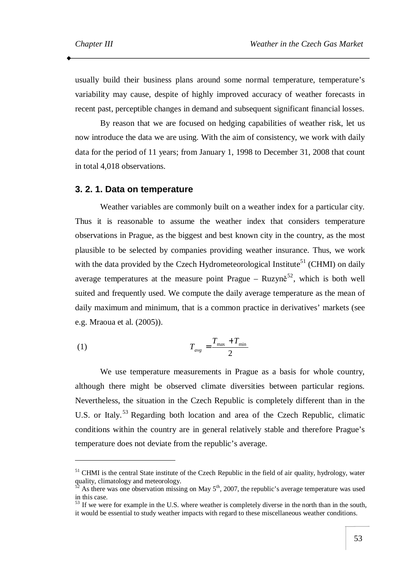usually build their business plans around some normal temperature, temperature's variability may cause, despite of highly improved accuracy of weather forecasts in recent past, perceptible changes in demand and subsequent significant financial losses.

By reason that we are focused on hedging capabilities of weather risk, let us now introduce the data we are using. With the aim of consistency, we work with daily data for the period of 11 years; from January 1, 1998 to December 31, 2008 that count in total 4,018 observations.

#### **3. 2. 1. Data on temperature**

Weather variables are commonly built on a weather index for a particular city. Thus it is reasonable to assume the weather index that considers temperature observations in Prague, as the biggest and best known city in the country, as the most plausible to be selected by companies providing weather insurance. Thus, we work with the data provided by the Czech Hydrometeorological Institute<sup>51</sup> (CHMI) on daily average temperatures at the measure point Prague  $-$  Ruzyně<sup>52</sup>, which is both well suited and frequently used. We compute the daily average temperature as the mean of daily maximum and minimum, that is a common practice in derivatives' markets (see e.g. Mraoua et al. (2005)).

$$
T_{\text{avg}} = \frac{T_{\text{max}} + T_{\text{min}}}{2}
$$

We use temperature measurements in Prague as a basis for whole country, although there might be observed climate diversities between particular regions. Nevertheless, the situation in the Czech Republic is completely different than in the U.S. or Italy.<sup>53</sup> Regarding both location and area of the Czech Republic, climatic conditions within the country are in general relatively stable and therefore Prague's temperature does not deviate from the republic's average.

<sup>&</sup>lt;sup>51</sup> CHMI is the central State institute of the Czech Republic in the field of air quality, hydrology, water quality, climatology and meteorology.

 $5^{\circ}$  As there was one observation missing on May  $5^{\text{th}}$ , 2007, the republic's average temperature was used in this case.

<sup>&</sup>lt;sup>53</sup> If we were for example in the U.S. where weather is completely diverse in the north than in the south, it would be essential to study weather impacts with regard to these miscellaneous weather conditions.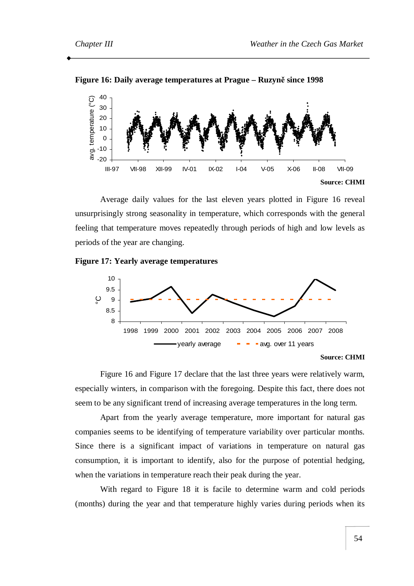

**Figure 16: Daily average temperatures at Prague – Ruzyně since 1998** 

Average daily values for the last eleven years plotted in Figure 16 reveal unsurprisingly strong seasonality in temperature, which corresponds with the general feeling that temperature moves repeatedly through periods of high and low levels as periods of the year are changing.

#### **Figure 17: Yearly average temperatures**



Figure 16 and Figure 17 declare that the last three years were relatively warm, especially winters, in comparison with the foregoing. Despite this fact, there does not seem to be any significant trend of increasing average temperatures in the long term.

Apart from the yearly average temperature, more important for natural gas companies seems to be identifying of temperature variability over particular months. Since there is a significant impact of variations in temperature on natural gas consumption, it is important to identify, also for the purpose of potential hedging, when the variations in temperature reach their peak during the year.

With regard to Figure 18 it is facile to determine warm and cold periods (months) during the year and that temperature highly varies during periods when its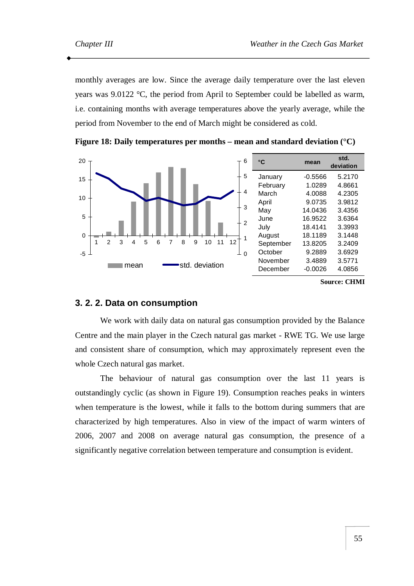monthly averages are low. Since the average daily temperature over the last eleven years was 9.0122 °C, the period from April to September could be labelled as warm, i.e. containing months with average temperatures above the yearly average, while the period from November to the end of March might be considered as cold.



**Figure 18: Daily temperatures per months – mean and standard deviation (°C)** 

#### **3. 2. 2. Data on consumption**

We work with daily data on natural gas consumption provided by the Balance Centre and the main player in the Czech natural gas market - RWE TG. We use large and consistent share of consumption, which may approximately represent even the whole Czech natural gas market.

The behaviour of natural gas consumption over the last 11 years is outstandingly cyclic (as shown in Figure 19). Consumption reaches peaks in winters when temperature is the lowest, while it falls to the bottom during summers that are characterized by high temperatures. Also in view of the impact of warm winters of 2006, 2007 and 2008 on average natural gas consumption, the presence of a significantly negative correlation between temperature and consumption is evident.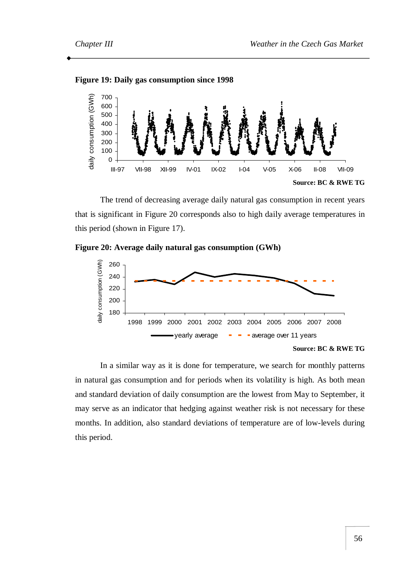



The trend of decreasing average daily natural gas consumption in recent years that is significant in Figure 20 corresponds also to high daily average temperatures in this period (shown in Figure 17).





In a similar way as it is done for temperature, we search for monthly patterns in natural gas consumption and for periods when its volatility is high. As both mean and standard deviation of daily consumption are the lowest from May to September, it may serve as an indicator that hedging against weather risk is not necessary for these months. In addition, also standard deviations of temperature are of low-levels during this period.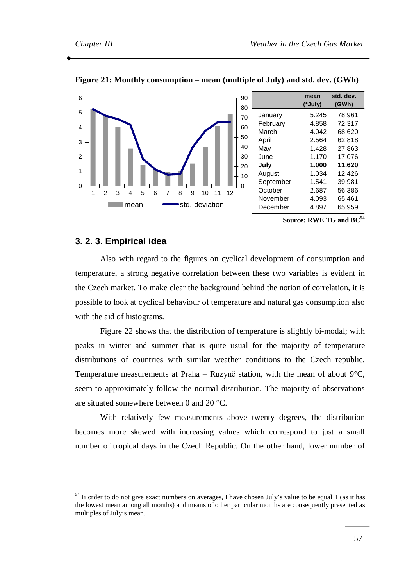

**Figure 21: Monthly consumption – mean (multiple of July) and std. dev. (GWh)** 

**Source: RWE TG and BC<sup>54</sup>**

### **3. 2. 3. Empirical idea**

 $\overline{a}$ 

Also with regard to the figures on cyclical development of consumption and temperature, a strong negative correlation between these two variables is evident in the Czech market. To make clear the background behind the notion of correlation, it is possible to look at cyclical behaviour of temperature and natural gas consumption also with the aid of histograms.

Figure 22 shows that the distribution of temperature is slightly bi-modal; with peaks in winter and summer that is quite usual for the majority of temperature distributions of countries with similar weather conditions to the Czech republic. Temperature measurements at Praha – Ruzyně station, with the mean of about 9°C, seem to approximately follow the normal distribution. The majority of observations are situated somewhere between 0 and 20 °C.

With relatively few measurements above twenty degrees, the distribution becomes more skewed with increasing values which correspond to just a small number of tropical days in the Czech Republic. On the other hand, lower number of

<sup>&</sup>lt;sup>54</sup> Ii order to do not give exact numbers on averages, I have chosen July's value to be equal 1 (as it has the lowest mean among all months) and means of other particular months are consequently presented as multiples of July's mean.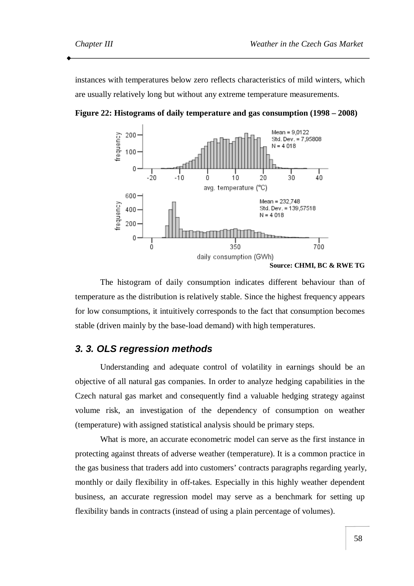instances with temperatures below zero reflects characteristics of mild winters, which are usually relatively long but without any extreme temperature measurements.



**Figure 22: Histograms of daily temperature and gas consumption (1998 – 2008)** 

The histogram of daily consumption indicates different behaviour than of temperature as the distribution is relatively stable. Since the highest frequency appears for low consumptions, it intuitively corresponds to the fact that consumption becomes stable (driven mainly by the base-load demand) with high temperatures.

# *3. 3. OLS regression methods*

Understanding and adequate control of volatility in earnings should be an objective of all natural gas companies. In order to analyze hedging capabilities in the Czech natural gas market and consequently find a valuable hedging strategy against volume risk, an investigation of the dependency of consumption on weather (temperature) with assigned statistical analysis should be primary steps.

What is more, an accurate econometric model can serve as the first instance in protecting against threats of adverse weather (temperature). It is a common practice in the gas business that traders add into customers' contracts paragraphs regarding yearly, monthly or daily flexibility in off-takes. Especially in this highly weather dependent business, an accurate regression model may serve as a benchmark for setting up flexibility bands in contracts (instead of using a plain percentage of volumes).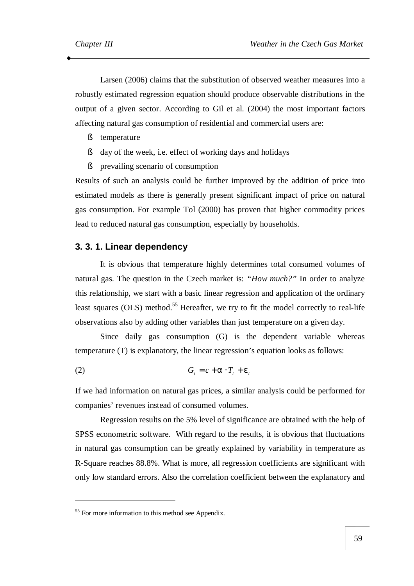Larsen (2006) claims that the substitution of observed weather measures into a robustly estimated regression equation should produce observable distributions in the output of a given sector. According to Gil et al. (2004) the most important factors affecting natural gas consumption of residential and commercial users are:

- § temperature
- § day of the week, i.e. effect of working days and holidays
- § prevailing scenario of consumption

Results of such an analysis could be further improved by the addition of price into estimated models as there is generally present significant impact of price on natural gas consumption. For example Tol (2000) has proven that higher commodity prices lead to reduced natural gas consumption, especially by households.

### **3. 3. 1. Linear dependency**

It is obvious that temperature highly determines total consumed volumes of natural gas. The question in the Czech market is: *"How much?"* In order to analyze this relationship, we start with a basic linear regression and application of the ordinary least squares (OLS) method.<sup>55</sup> Hereafter, we try to fit the model correctly to real-life observations also by adding other variables than just temperature on a given day.

Since daily gas consumption (G) is the dependent variable whereas temperature (T) is explanatory, the linear regression's equation looks as follows:

$$
(2) \tG_t = c + a \cdot T_t + e_t
$$

If we had information on natural gas prices, a similar analysis could be performed for companies' revenues instead of consumed volumes.

Regression results on the 5% level of significance are obtained with the help of SPSS econometric software. With regard to the results, it is obvious that fluctuations in natural gas consumption can be greatly explained by variability in temperature as R-Square reaches 88.8%. What is more, all regression coefficients are significant with only low standard errors. Also the correlation coefficient between the explanatory and

 $\overline{a}$ 

<sup>&</sup>lt;sup>55</sup> For more information to this method see Appendix.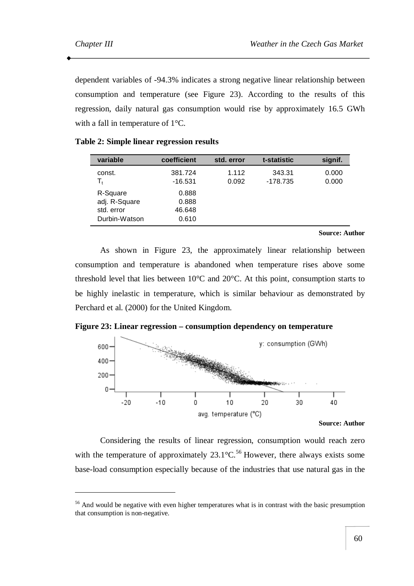dependent variables of -94.3% indicates a strong negative linear relationship between consumption and temperature (see Figure 23). According to the results of this regression, daily natural gas consumption would rise by approximately 16.5 GWh with a fall in temperature of 1°C.

| variable                                                 | coefficient                       | std. error     | t-statistic          | signif.        |
|----------------------------------------------------------|-----------------------------------|----------------|----------------------|----------------|
| const.<br>$T_{\rm t}$                                    | 381.724<br>$-16.531$              | 1.112<br>0.092 | 343.31<br>$-178.735$ | 0.000<br>0.000 |
| R-Square<br>adj. R-Square<br>std. error<br>Durbin-Watson | 0.888<br>0.888<br>46.648<br>0.610 |                |                      |                |

### **Table 2: Simple linear regression results**

#### **Source: Author**

As shown in Figure 23, the approximately linear relationship between consumption and temperature is abandoned when temperature rises above some threshold level that lies between 10°C and 20°C. At this point, consumption starts to be highly inelastic in temperature, which is similar behaviour as demonstrated by Perchard et al. (2000) for the United Kingdom.





#### **Source: Author**

Considering the results of linear regression, consumption would reach zero with the temperature of approximately  $23.1^{\circ}$ C.<sup>56</sup> However, there always exists some base-load consumption especially because of the industries that use natural gas in the

<sup>&</sup>lt;sup>56</sup> And would be negative with even higher temperatures what is in contrast with the basic presumption that consumption is non-negative.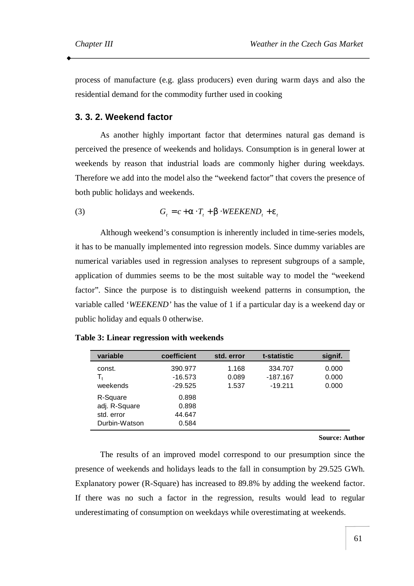process of manufacture (e.g. glass producers) even during warm days and also the residential demand for the commodity further used in cooking

### **3. 3. 2. Weekend factor**

As another highly important factor that determines natural gas demand is perceived the presence of weekends and holidays. Consumption is in general lower at weekends by reason that industrial loads are commonly higher during weekdays. Therefore we add into the model also the "weekend factor" that covers the presence of both public holidays and weekends.

(3) 
$$
G_t = c + a \cdot T_t + b \cdot \text{WEEKEND}_t + e_t
$$

Although weekend's consumption is inherently included in time-series models, it has to be manually implemented into regression models. Since dummy variables are numerical variables used in regression analyses to represent subgroups of a sample, application of dummies seems to be the most suitable way to model the "weekend factor". Since the purpose is to distinguish weekend patterns in consumption, the variable called '*WEEKEND'* has the value of 1 if a particular day is a weekend day or public holiday and equals 0 otherwise.

| variable                                                 | coefficient                       | std. error              | t-statistic                      | signif.                 |
|----------------------------------------------------------|-----------------------------------|-------------------------|----------------------------------|-------------------------|
| const.<br>$T_{t}$<br>weekends                            | 390.977<br>$-16.573$<br>$-29.525$ | 1.168<br>0.089<br>1.537 | 334.707<br>-187.167<br>$-19.211$ | 0.000<br>0.000<br>0.000 |
| R-Square<br>adj. R-Square<br>std. error<br>Durbin-Watson | 0.898<br>0.898<br>44.647<br>0.584 |                         |                                  |                         |

**Table 3: Linear regression with weekends** 

**Source: Author** 

The results of an improved model correspond to our presumption since the presence of weekends and holidays leads to the fall in consumption by 29.525 GWh. Explanatory power (R-Square) has increased to 89.8% by adding the weekend factor. If there was no such a factor in the regression, results would lead to regular underestimating of consumption on weekdays while overestimating at weekends.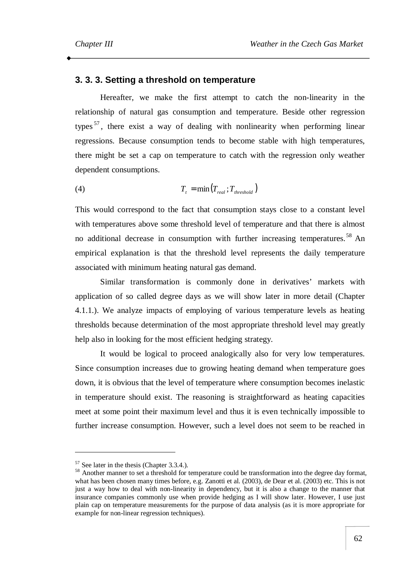#### **3. 3. 3. Setting a threshold on temperature**

Hereafter, we make the first attempt to catch the non-linearity in the relationship of natural gas consumption and temperature. Beside other regression types<sup>57</sup>, there exist a way of dealing with nonlinearity when performing linear regressions. Because consumption tends to become stable with high temperatures, there might be set a cap on temperature to catch with the regression only weather dependent consumptions.

$$
(4) \t\t Tt = \min(Treal; Tthreshold)
$$

This would correspond to the fact that consumption stays close to a constant level with temperatures above some threshold level of temperature and that there is almost no additional decrease in consumption with further increasing temperatures. <sup>58</sup> An empirical explanation is that the threshold level represents the daily temperature associated with minimum heating natural gas demand.

Similar transformation is commonly done in derivatives' markets with application of so called degree days as we will show later in more detail (Chapter 4.1.1.). We analyze impacts of employing of various temperature levels as heating thresholds because determination of the most appropriate threshold level may greatly help also in looking for the most efficient hedging strategy.

It would be logical to proceed analogically also for very low temperatures. Since consumption increases due to growing heating demand when temperature goes down, it is obvious that the level of temperature where consumption becomes inelastic in temperature should exist. The reasoning is straightforward as heating capacities meet at some point their maximum level and thus it is even technically impossible to further increase consumption. However, such a level does not seem to be reached in

 $\overline{a}$ 

<sup>&</sup>lt;sup>57</sup> See later in the thesis (Chapter 3.3.4.).

<sup>58</sup> Another manner to set a threshold for temperature could be transformation into the degree day format, what has been chosen many times before, e.g. Zanotti et al. (2003), de Dear et al. (2003) etc. This is not just a way how to deal with non-linearity in dependency, but it is also a change to the manner that insurance companies commonly use when provide hedging as I will show later. However, I use just plain cap on temperature measurements for the purpose of data analysis (as it is more appropriate for example for non-linear regression techniques).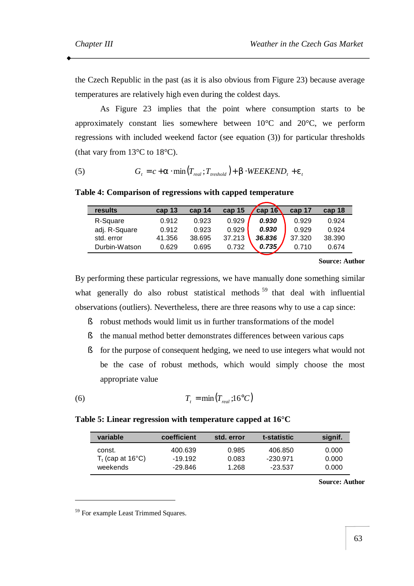the Czech Republic in the past (as it is also obvious from Figure 23) because average temperatures are relatively high even during the coldest days.

As Figure 23 implies that the point where consumption starts to be approximately constant lies somewhere between 10°C and 20°C, we perform regressions with included weekend factor (see equation (3)) for particular thresholds (that vary from  $13^{\circ}$ C to  $18^{\circ}$ C).

(5) 
$$
G_t = c + a \cdot \min\left(T_{real}; T_{threshold}\right) + b \cdot \text{WEEKEND}_t + e_t
$$

#### **Table 4: Comparison of regressions with capped temperature**

| results       | cap <sub>13</sub> | cap 14 | cap 15 | cap $16$ | cap 17 | cap 18 |
|---------------|-------------------|--------|--------|----------|--------|--------|
| R-Square      | 0.912             | 0.923  | 0.929  | 0.930    | 0.929  | 0.924  |
| adj. R-Square | 0.912             | 0.923  | 0.929  | 0.930    | 0.929  | 0.924  |
| std. error    | 41.356            | 38.695 | 37.213 | 36.836   | 37.320 | 38.390 |
| Durbin-Watson | 0.629             | 0.695  | 0.732  | 0.735,   | 0.710  | 0.674  |
|               |                   |        |        |          |        |        |

**Source: Author** 

By performing these particular regressions, we have manually done something similar what generally do also robust statistical methods  $59$  that deal with influential observations (outliers). Nevertheless, there are three reasons why to use a cap since:

- § robust methods would limit us in further transformations of the model
- § the manual method better demonstrates differences between various caps
- § for the purpose of consequent hedging, we need to use integers what would not be the case of robust methods, which would simply choose the most appropriate value

$$
(6) \t\t Tt = \min(Treal; 16oC)
$$

#### **Table 5: Linear regression with temperature capped at 16°C**

| variable            | coefficient | std. error | t-statistic | signif. |
|---------------------|-------------|------------|-------------|---------|
| const.              | 400.639     | 0.985      | 406.850     | 0.000   |
| $T_t$ (cap at 16°C) | $-19.192$   | 0.083      | $-230.971$  | 0.000   |
| weekends            | -29.846     | 1.268      | $-23.537$   | 0.000   |

**Source: Author** 

 $\overline{a}$ 

<sup>&</sup>lt;sup>59</sup> For example Least Trimmed Squares.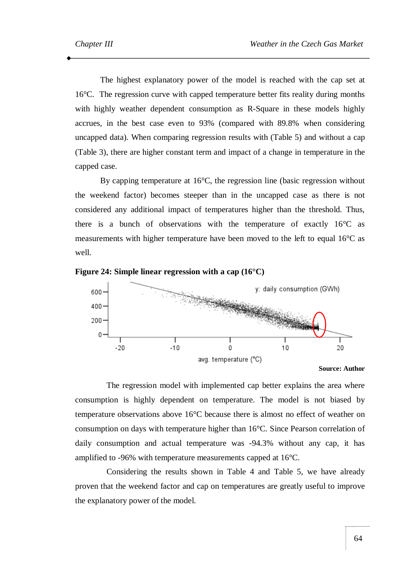The highest explanatory power of the model is reached with the cap set at 16°C. The regression curve with capped temperature better fits reality during months with highly weather dependent consumption as R-Square in these models highly accrues, in the best case even to 93% (compared with 89.8% when considering uncapped data). When comparing regression results with (Table 5) and without a cap (Table 3), there are higher constant term and impact of a change in temperature in the capped case.

By capping temperature at 16°C, the regression line (basic regression without the weekend factor) becomes steeper than in the uncapped case as there is not considered any additional impact of temperatures higher than the threshold. Thus, there is a bunch of observations with the temperature of exactly 16°C as measurements with higher temperature have been moved to the left to equal 16°C as well.



**Figure 24: Simple linear regression with a cap (16°C)** 

The regression model with implemented cap better explains the area where consumption is highly dependent on temperature. The model is not biased by temperature observations above 16°C because there is almost no effect of weather on consumption on days with temperature higher than 16°C. Since Pearson correlation of daily consumption and actual temperature was -94.3% without any cap, it has amplified to -96% with temperature measurements capped at 16°C.

Considering the results shown in Table 4 and Table 5, we have already proven that the weekend factor and cap on temperatures are greatly useful to improve the explanatory power of the model.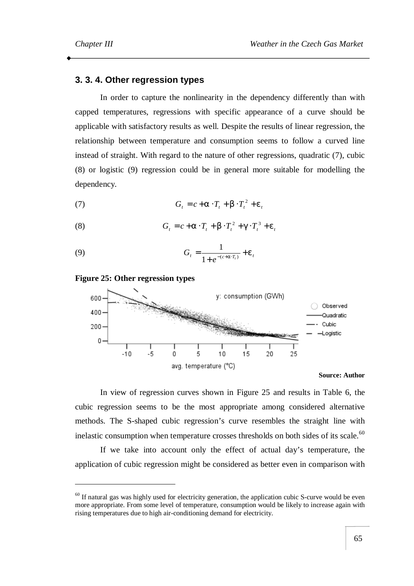### **3. 3. 4. Other regression types**

In order to capture the nonlinearity in the dependency differently than with capped temperatures, regressions with specific appearance of a curve should be applicable with satisfactory results as well. Despite the results of linear regression, the relationship between temperature and consumption seems to follow a curved line instead of straight. With regard to the nature of other regressions, quadratic (7), cubic (8) or logistic (9) regression could be in general more suitable for modelling the dependency.

$$
(7) \tG_t = c + a \cdot T_t + b \cdot T_t^2 + e_t
$$

(8) 
$$
G_t = c + a \cdot T_t + b \cdot T_t^2 + g \cdot T_t^3 + e_t
$$

(9) 
$$
G_t = \frac{1}{1 + e^{-(c+a \cdot T_t)}} + e_t
$$

**Figure 25: Other regression types** 

 $\overline{a}$ 



**Source: Author** 

In view of regression curves shown in Figure 25 and results in Table 6, the cubic regression seems to be the most appropriate among considered alternative methods. The S-shaped cubic regression's curve resembles the straight line with inelastic consumption when temperature crosses thresholds on both sides of its scale. $^{60}$ 

If we take into account only the effect of actual day's temperature, the application of cubic regression might be considered as better even in comparison with

 $60$  If natural gas was highly used for electricity generation, the application cubic S-curve would be even more appropriate. From some level of temperature, consumption would be likely to increase again with rising temperatures due to high air-conditioning demand for electricity.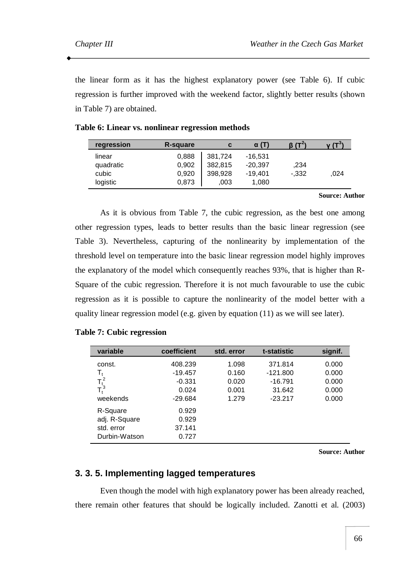the linear form as it has the highest explanatory power (see Table 6). If cubic regression is further improved with the weekend factor, slightly better results (shown in Table 7) are obtained.

| R-square | C       | <b>α</b> (Τ) |          |      |
|----------|---------|--------------|----------|------|
| 0,888    | 381,724 | $-16,531$    |          |      |
| 0,902    | 382,815 | $-20,397$    | ,234     |      |
| 0,920    | 398,928 | $-19,401$    | $-0.332$ | .024 |
| 0,873    | .003    | 1.080        |          |      |
|          |         |              |          |      |

#### **Source: Author**

As it is obvious from Table 7, the cubic regression, as the best one among other regression types, leads to better results than the basic linear regression (see Table 3). Nevertheless, capturing of the nonlinearity by implementation of the threshold level on temperature into the basic linear regression model highly improves the explanatory of the model which consequently reaches 93%, that is higher than R-Square of the cubic regression. Therefore it is not much favourable to use the cubic regression as it is possible to capture the nonlinearity of the model better with a quality linear regression model (e.g. given by equation (11) as we will see later).

#### **Table 7: Cubic regression**

| variable                | coefficient | std. error | t-statistic | signif. |
|-------------------------|-------------|------------|-------------|---------|
| const.                  | 408.239     | 1.098      | 371.814     | 0.000   |
| $\mathsf{T}_\mathsf{t}$ | $-19.457$   | 0.160      | $-121.800$  | 0.000   |
| $T_t^2$<br>$T_t^3$      | $-0.331$    | 0.020      | $-16.791$   | 0.000   |
|                         | 0.024       | 0.001      | 31.642      | 0.000   |
| weekends                | $-29.684$   | 1.279      | $-23.217$   | 0.000   |
| R-Square                | 0.929       |            |             |         |
| adj. R-Square           | 0.929       |            |             |         |
| std. error              | 37.141      |            |             |         |
| Durbin-Watson           | 0.727       |            |             |         |

**Source: Author** 

# **3. 3. 5. Implementing lagged temperatures**

Even though the model with high explanatory power has been already reached, there remain other features that should be logically included. Zanotti et al. (2003)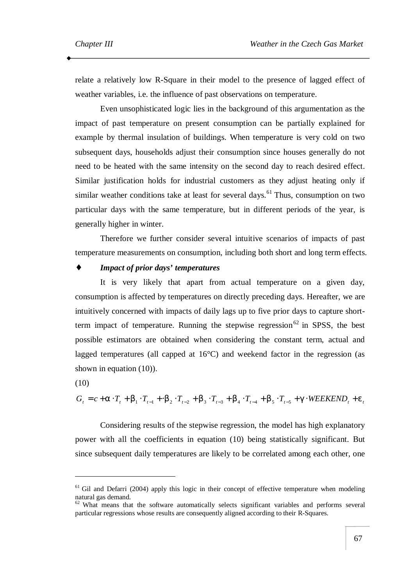relate a relatively low R-Square in their model to the presence of lagged effect of weather variables, i.e. the influence of past observations on temperature.

Even unsophisticated logic lies in the background of this argumentation as the impact of past temperature on present consumption can be partially explained for example by thermal insulation of buildings. When temperature is very cold on two subsequent days, households adjust their consumption since houses generally do not need to be heated with the same intensity on the second day to reach desired effect. Similar justification holds for industrial customers as they adjust heating only if similar weather conditions take at least for several days.<sup>61</sup> Thus, consumption on two particular days with the same temperature, but in different periods of the year, is generally higher in winter.

Therefore we further consider several intuitive scenarios of impacts of past temperature measurements on consumption, including both short and long term effects.

#### ♦ *Impact of prior days' temperatures*

It is very likely that apart from actual temperature on a given day, consumption is affected by temperatures on directly preceding days. Hereafter, we are intuitively concerned with impacts of daily lags up to five prior days to capture shortterm impact of temperature. Running the stepwise regression<sup>62</sup> in SPSS, the best possible estimators are obtained when considering the constant term, actual and lagged temperatures (all capped at  $16^{\circ}$ C) and weekend factor in the regression (as shown in equation (10)).

(10)

 $\overline{a}$ 

$$
G_{t} = c + a \cdot T_{t} + b_{1} \cdot T_{t-1} + b_{2} \cdot T_{t-2} + b_{3} \cdot T_{t-3} + b_{4} \cdot T_{t-4} + b_{5} \cdot T_{t-5} + g \cdot \text{WEEKEND}_{t} + e_{t}
$$

Considering results of the stepwise regression, the model has high explanatory power with all the coefficients in equation (10) being statistically significant. But since subsequent daily temperatures are likely to be correlated among each other, one

<sup>&</sup>lt;sup>61</sup> Gil and Defarri (2004) apply this logic in their concept of effective temperature when modeling natural gas demand.

<sup>&</sup>lt;sup>62</sup> What means that the software automatically selects significant variables and performs several particular regressions whose results are consequently aligned according to their R-Squares.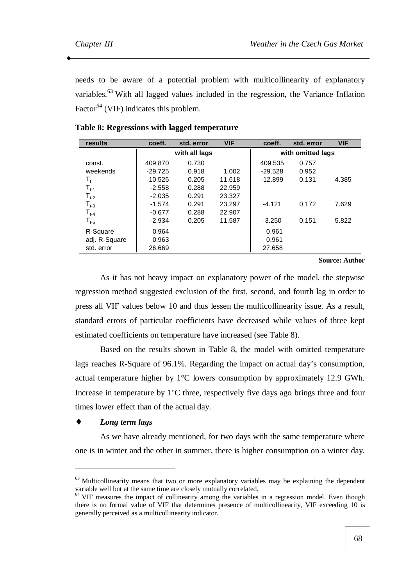needs to be aware of a potential problem with multicollinearity of explanatory variables.<sup>63</sup> With all lagged values included in the regression, the Variance Inflation Factor<sup>64</sup> (VIF) indicates this problem.

| results                            | coeff.    | std. error    | <b>VIF</b> | coeff.    | std. error        | <b>VIF</b> |
|------------------------------------|-----------|---------------|------------|-----------|-------------------|------------|
|                                    |           | with all lags |            |           | with omitted lags |            |
| const.                             | 409.870   | 0.730         |            | 409.535   | 0.757             |            |
| weekends                           | $-29.725$ | 0.918         | 1.002      | $-29.528$ | 0.952             |            |
| $\mathsf{T}_\mathsf{t}$            | $-10.526$ | 0.205         | 11.618     | $-12.899$ | 0.131             | 4.385      |
| $\mathsf{T}_{\mathsf{t}\text{-1}}$ | $-2.558$  | 0.288         | 22.959     |           |                   |            |
| $T_{t-2}$                          | $-2.035$  | 0.291         | 23.327     |           |                   |            |
| $T_{t-3}$                          | $-1.574$  | 0.291         | 23.297     | $-4.121$  | 0.172             | 7.629      |
| $T_{t-4}$                          | $-0.677$  | 0.288         | 22.907     |           |                   |            |
| $\mathsf{T_{t-5}}$                 | $-2.934$  | 0.205         | 11.587     | $-3.250$  | 0.151             | 5.822      |
| R-Square                           | 0.964     |               |            | 0.961     |                   |            |
| adj. R-Square                      | 0.963     |               |            | 0.961     |                   |            |
| std. error                         | 26.669    |               |            | 27.658    |                   |            |

#### **Table 8: Regressions with lagged temperature**

#### **Source: Author**

As it has not heavy impact on explanatory power of the model, the stepwise regression method suggested exclusion of the first, second, and fourth lag in order to press all VIF values below 10 and thus lessen the multicollinearity issue. As a result, standard errors of particular coefficients have decreased while values of three kept estimated coefficients on temperature have increased (see Table 8).

Based on the results shown in Table 8, the model with omitted temperature lags reaches R-Square of 96.1%. Regarding the impact on actual day's consumption, actual temperature higher by 1°C lowers consumption by approximately 12.9 GWh. Increase in temperature by  $1^{\circ}$ C three, respectively five days ago brings three and four times lower effect than of the actual day.

### *Long term lags*

 $\overline{a}$ 

As we have already mentioned, for two days with the same temperature where one is in winter and the other in summer, there is higher consumption on a winter day.

<sup>&</sup>lt;sup>63</sup> Multicollinearity means that two or more explanatory variables may be explaining the dependent variable well but at the same time are closely mutually correlated.

<sup>&</sup>lt;sup>64</sup> VIF measures the impact of collinearity among the variables in a regression model. Even though there is no formal value of VIF that determines presence of multicollinearity, VIF exceeding 10 is generally perceived as a multicollinearity indicator.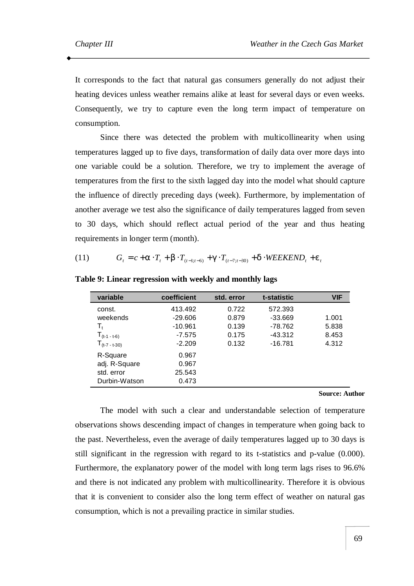It corresponds to the fact that natural gas consumers generally do not adjust their heating devices unless weather remains alike at least for several days or even weeks. Consequently, we try to capture even the long term impact of temperature on consumption.

Since there was detected the problem with multicollinearity when using temperatures lagged up to five days, transformation of daily data over more days into one variable could be a solution. Therefore, we try to implement the average of temperatures from the first to the sixth lagged day into the model what should capture the influence of directly preceding days (week). Furthermore, by implementation of another average we test also the significance of daily temperatures lagged from seven to 30 days, which should reflect actual period of the year and thus heating requirements in longer term (month).

(11) 
$$
G_t = c + a \cdot T_t + b \cdot T_{(t-1;t-6)} + g \cdot T_{(t-7;t-30)} + d \cdot WEEKEND_t + e_t
$$

| variable           | coefficient | std. error | t-statistic | <b>VIF</b> |
|--------------------|-------------|------------|-------------|------------|
| const.             | 413.492     | 0.722      | 572.393     |            |
| weekends           | $-29.606$   | 0.879      | $-33.669$   | 1.001      |
| T,                 | $-10.961$   | 0.139      | $-78.762$   | 5.838      |
| $T_{(t-1 - t-6)}$  | $-7.575$    | 0.175      | $-43.312$   | 8.453      |
| $T_{(t-7 - t-30)}$ | $-2.209$    | 0.132      | $-16.781$   | 4.312      |
| R-Square           | 0.967       |            |             |            |
| adj. R-Square      | 0.967       |            |             |            |
| std. error         | 25.543      |            |             |            |
| Durbin-Watson      | 0.473       |            |             |            |
|                    |             |            |             |            |

**Table 9: Linear regression with weekly and monthly lags** 

#### **Source: Author**

The model with such a clear and understandable selection of temperature observations shows descending impact of changes in temperature when going back to the past. Nevertheless, even the average of daily temperatures lagged up to 30 days is still significant in the regression with regard to its t-statistics and p-value (0.000). Furthermore, the explanatory power of the model with long term lags rises to 96.6% and there is not indicated any problem with multicollinearity. Therefore it is obvious that it is convenient to consider also the long term effect of weather on natural gas consumption, which is not a prevailing practice in similar studies.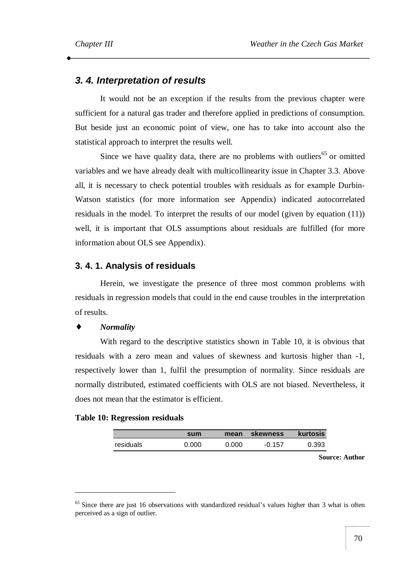## *3. 4. Interpretation of results*

It would not be an exception if the results from the previous chapter were sufficient for a natural gas trader and therefore applied in predictions of consumption. But beside just an economic point of view, one has to take into account also the statistical approach to interpret the results well.

Since we have quality data, there are no problems with outliers<sup>65</sup> or omitted variables and we have already dealt with multicollinearity issue in Chapter 3.3. Above all, it is necessary to check potential troubles with residuals as for example Durbin-Watson statistics (for more information see Appendix) indicated autocorrelated residuals in the model. To interpret the results of our model (given by equation (11)) well, it is important that OLS assumptions about residuals are fulfilled (for more information about OLS see Appendix).

## **3. 4. 1. Analysis of residuals**

Herein, we investigate the presence of three most common problems with residuals in regression models that could in the end cause troubles in the interpretation of results.

#### $$

 $\overline{a}$ 

With regard to the descriptive statistics shown in Table 10, it is obvious that residuals with a zero mean and values of skewness and kurtosis higher than -1, respectively lower than 1, fulfil the presumption of normality. Since residuals are normally distributed, estimated coefficients with OLS are not biased. Nevertheless, it does not mean that the estimator is efficient.

#### **Table 10: Regression residuals**

|           | sum   | mean  | <b>skewness</b> | kurtosis |
|-----------|-------|-------|-----------------|----------|
| residuals | 0.000 | 0.000 | $-0.157$        | 0.393    |

**Source: Author** 

<sup>&</sup>lt;sup>65</sup> Since there are just 16 observations with standardized residual's values higher than 3 what is often perceived as a sign of outlier.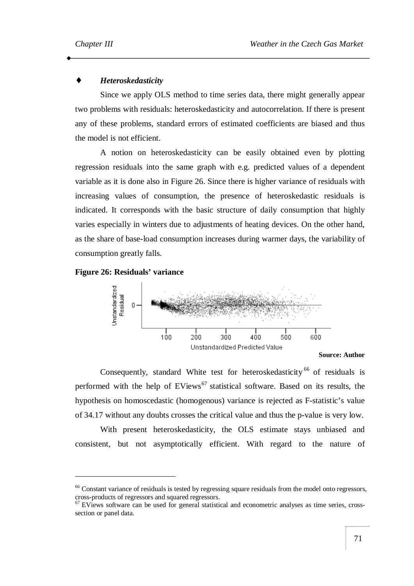#### ♦ *Heteroskedasticity*

Since we apply OLS method to time series data, there might generally appear two problems with residuals: heteroskedasticity and autocorrelation. If there is present any of these problems, standard errors of estimated coefficients are biased and thus the model is not efficient.

A notion on heteroskedasticity can be easily obtained even by plotting regression residuals into the same graph with e.g. predicted values of a dependent variable as it is done also in Figure 26. Since there is higher variance of residuals with increasing values of consumption, the presence of heteroskedastic residuals is indicated. It corresponds with the basic structure of daily consumption that highly varies especially in winters due to adjustments of heating devices. On the other hand, as the share of base-load consumption increases during warmer days, the variability of consumption greatly falls.

## **Figure 26: Residuals' variance**

 $\overline{a}$ 



**Source: Author** 

Consequently, standard White test for heteroskedasticity  $66$  of residuals is performed with the help of  $EViews^{67}$  statistical software. Based on its results, the hypothesis on homoscedastic (homogenous) variance is rejected as F-statistic's value of 34.17 without any doubts crosses the critical value and thus the p-value is very low.

With present heteroskedasticity, the OLS estimate stays unbiased and consistent, but not asymptotically efficient. With regard to the nature of

<sup>&</sup>lt;sup>66</sup> Constant variance of residuals is tested by regressing square residuals from the model onto regressors, cross-products of regressors and squared regressors.

 $67$  EViews software can be used for general statistical and econometric analyses as time series, crosssection or panel data.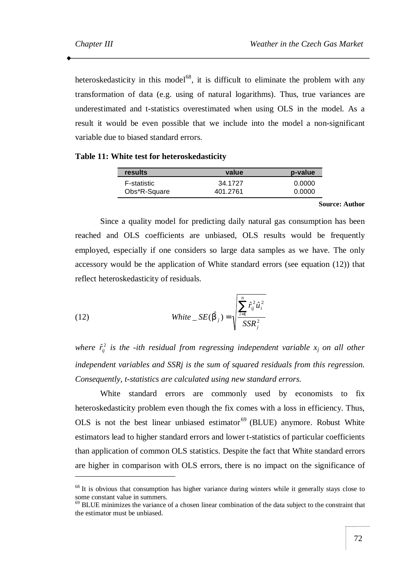heteroskedasticity in this model<sup>68</sup>, it is difficult to eliminate the problem with any transformation of data (e.g. using of natural logarithms). Thus, true variances are underestimated and t-statistics overestimated when using OLS in the model. As a result it would be even possible that we include into the model a non-significant variable due to biased standard errors.

#### **Table 11: White test for heteroskedasticity**

| results      | value    | p-value |
|--------------|----------|---------|
| F-statistic  | 34.1727  | 0.0000  |
| Obs*R-Square | 401.2761 | 0.0000  |

**Source: Author** 

Since a quality model for predicting daily natural gas consumption has been reached and OLS coefficients are unbiased, OLS results would be frequently employed, especially if one considers so large data samples as we have. The only accessory would be the application of White standard errors (see equation (12)) that reflect heteroskedasticity of residuals.

(12) 
$$
\text{White } \_\text{SE}(\hat{\boldsymbol{b}}_j) = \sqrt{\frac{\sum_{i=1}^n \hat{r}_{ij}^2 \hat{u}_i^2}{SSR_j^2}}
$$

*where*  $\hat{r}_{ij}^2$  *is the -ith residual from regressing independent variable*  $x_j$  *<i>on all other independent variables and SSRj is the sum of squared residuals from this regression. Consequently, t-statistics are calculated using new standard errors.*

White standard errors are commonly used by economists to fix heteroskedasticity problem even though the fix comes with a loss in efficiency. Thus, OLS is not the best linear unbiased estimator<sup> $69$ </sup> (BLUE) anymore. Robust White estimators lead to higher standard errors and lower t-statistics of particular coefficients than application of common OLS statistics. Despite the fact that White standard errors are higher in comparison with OLS errors, there is no impact on the significance of  $\overline{a}$ 

<sup>&</sup>lt;sup>68</sup> It is obvious that consumption has higher variance during winters while it generally stays close to some constant value in summers.

<sup>&</sup>lt;sup>69</sup> BLUE minimizes the variance of a chosen linear combination of the data subject to the constraint that the estimator must be unbiased.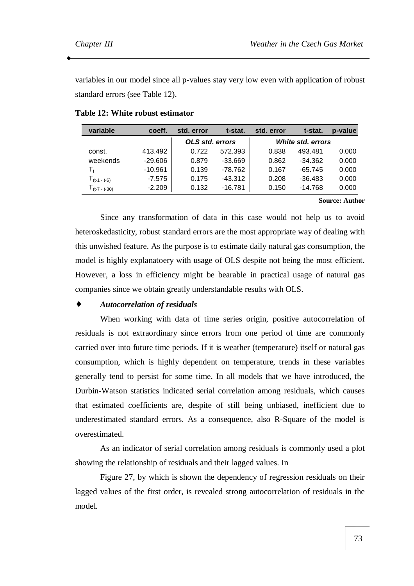variables in our model since all p-values stay very low even with application of robust standard errors (see Table 12).

| variable        | coeff.    | std. error      | t-stat.   | std. error | t-stat.           | p-value |
|-----------------|-----------|-----------------|-----------|------------|-------------------|---------|
|                 |           | OLS std. errors |           |            | White std. errors |         |
| const.          | 413.492   | 0.722           | 572.393   | 0.838      | 493.481           | 0.000   |
| weekends        | $-29.606$ | 0.879           | $-33.669$ | 0.862      | $-34.362$         | 0.000   |
| T,              | $-10.961$ | 0.139           | $-78.762$ | 0.167      | $-65.745$         | 0.000   |
| $1(t-1 - t-6)$  | $-7.575$  | 0.175           | $-43.312$ | 0.208      | $-36.483$         | 0.000   |
| $1(t-7 - t-30)$ | $-2.209$  | 0.132           | $-16.781$ | 0.150      | $-14.768$         | 0.000   |

**Table 12: White robust estimator** 

#### **Source: Author**

Since any transformation of data in this case would not help us to avoid heteroskedasticity, robust standard errors are the most appropriate way of dealing with this unwished feature. As the purpose is to estimate daily natural gas consumption, the model is highly explanatoery with usage of OLS despite not being the most efficient. However, a loss in efficiency might be bearable in practical usage of natural gas companies since we obtain greatly understandable results with OLS.

#### ♦ *Autocorrelation of residuals*

When working with data of time series origin, positive autocorrelation of residuals is not extraordinary since errors from one period of time are commonly carried over into future time periods. If it is weather (temperature) itself or natural gas consumption, which is highly dependent on temperature, trends in these variables generally tend to persist for some time. In all models that we have introduced, the Durbin-Watson statistics indicated serial correlation among residuals, which causes that estimated coefficients are, despite of still being unbiased, inefficient due to underestimated standard errors. As a consequence, also R-Square of the model is overestimated.

As an indicator of serial correlation among residuals is commonly used a plot showing the relationship of residuals and their lagged values. In

Figure 27, by which is shown the dependency of regression residuals on their lagged values of the first order, is revealed strong autocorrelation of residuals in the model.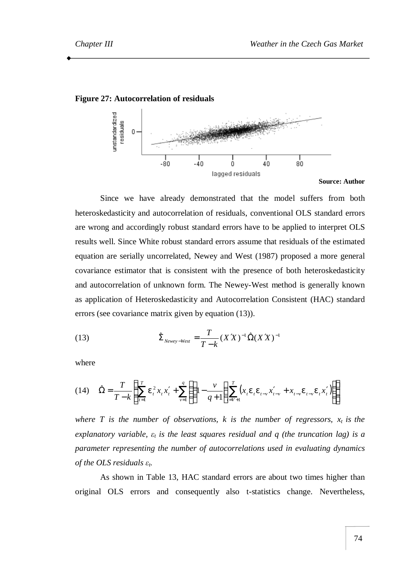



Since we have already demonstrated that the model suffers from both heteroskedasticity and autocorrelation of residuals, conventional OLS standard errors are wrong and accordingly robust standard errors have to be applied to interpret OLS results well. Since White robust standard errors assume that residuals of the estimated equation are serially uncorrelated, Newey and West (1987) proposed a more general covariance estimator that is consistent with the presence of both heteroskedasticity and autocorrelation of unknown form. The Newey-West method is generally known as application of Heteroskedasticity and Autocorrelation Consistent (HAC) standard errors (see covariance matrix given by equation (13)).

(13) 
$$
\hat{\Sigma}_{\text{Newey-West}} = \frac{T}{T-k} (X'X)^{-1} \hat{\Omega}(X'X)^{-1}
$$

where

$$
(14) \quad \hat{\Omega} = \frac{T}{T-k} \left\{ \sum_{t=1}^{T} e_t^2 x_t x_t' + \sum_{v=1}^{q} \left( \left( 1 - \frac{v}{q+1} \right) \sum_{t=v+1}^{T} (x_t e_t e_{t-v} x_{t-v}' + x_{t-v} e_{t-v} e_t x_t') \right) \right\}
$$

*where T is the number of observations, k is the number of regressors,*  $x_t$  *is the explanatory variable, ε<sup>t</sup> is the least squares residual and q (the truncation lag) is a parameter representing the number of autocorrelations used in evaluating dynamics of the OLS residuals εt.* 

As shown in Table 13, HAC standard errors are about two times higher than original OLS errors and consequently also t-statistics change. Nevertheless,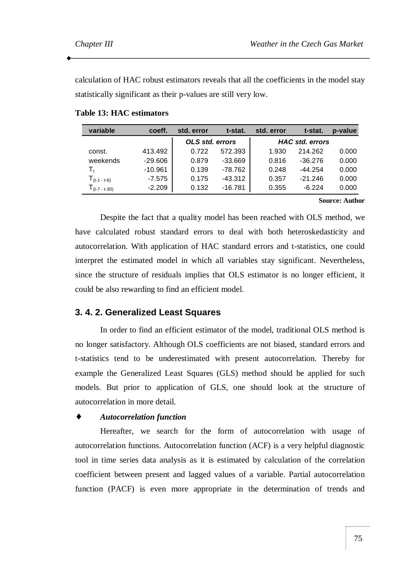calculation of HAC robust estimators reveals that all the coefficients in the model stay statistically significant as their p-values are still very low.

| variable          | coeff.    | std. error             | t-stat.   | std. error | t-stat.                | p-value |
|-------------------|-----------|------------------------|-----------|------------|------------------------|---------|
|                   |           | <b>OLS std. errors</b> |           |            | <b>HAC std. errors</b> |         |
| const.            | 413.492   | 0.722                  | 572.393   | 1.930      | 214.262                | 0.000   |
| weekends          | $-29.606$ | 0.879                  | $-33.669$ | 0.816      | -36.276                | 0.000   |
| T,                | $-10.961$ | 0.139                  | $-78.762$ | 0.248      | $-44.254$              | 0.000   |
| $T_{(t-1 - t-6)}$ | $-7.575$  | 0.175                  | $-43.312$ | 0.357      | $-21.246$              | 0.000   |
| $1(t-7 - t-30)$   | $-2.209$  | 0.132                  | $-16.781$ | 0.355      | $-6.224$               | 0.000   |

**Table 13: HAC estimators** 

**Source: Author** 

Despite the fact that a quality model has been reached with OLS method, we have calculated robust standard errors to deal with both heteroskedasticity and autocorrelation. With application of HAC standard errors and t-statistics, one could interpret the estimated model in which all variables stay significant. Nevertheless, since the structure of residuals implies that OLS estimator is no longer efficient, it could be also rewarding to find an efficient model.

## **3. 4. 2. Generalized Least Squares**

In order to find an efficient estimator of the model, traditional OLS method is no longer satisfactory. Although OLS coefficients are not biased, standard errors and t-statistics tend to be underestimated with present autocorrelation. Thereby for example the Generalized Least Squares (GLS) method should be applied for such models. But prior to application of GLS, one should look at the structure of autocorrelation in more detail.

## ♦ *Autocorrelation function*

Hereafter, we search for the form of autocorrelation with usage of autocorrelation functions. Autocorrelation function (ACF) is a very helpful diagnostic tool in time series data analysis as it is estimated by calculation of the correlation coefficient between present and lagged values of a variable. Partial autocorrelation function (PACF) is even more appropriate in the determination of trends and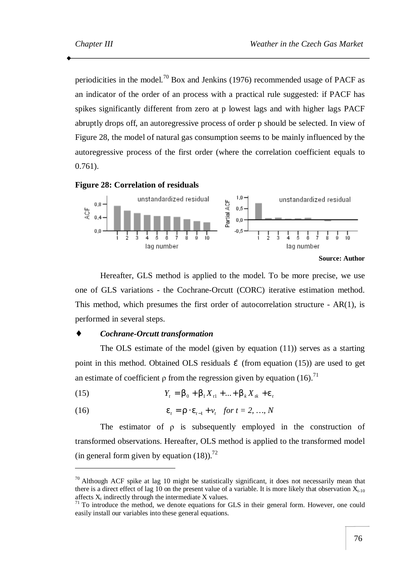periodicities in the model.<sup>70</sup> Box and Jenkins (1976) recommended usage of PACF as an indicator of the order of an process with a practical rule suggested: if PACF has spikes significantly different from zero at p lowest lags and with higher lags PACF abruptly drops off, an autoregressive process of order p should be selected. In view of Figure 28, the model of natural gas consumption seems to be mainly influenced by the autoregressive process of the first order (where the correlation coefficient equals to 0.761).





Hereafter, GLS method is applied to the model. To be more precise, we use one of GLS variations - the Cochrane-Orcutt (CORC) iterative estimation method. This method, which presumes the first order of autocorrelation structure - AR(1), is performed in several steps.

#### ♦ *Cochrane-Orcutt transformation*

 $\overline{a}$ 

The OLS estimate of the model (given by equation (11)) serves as a starting point in this method. Obtained OLS residuals  $\hat{e}$  (from equation (15)) are used to get an estimate of coefficient  $\rho$  from the regression given by equation (16).<sup>71</sup>

(15) 
$$
Y_t = b_0 + b_1 X_{t1} + ... + b_k X_{tk} + e_t
$$

(16) 
$$
e_t = r \cdot e_{t-1} + v_t
$$
 for  $t = 2, ..., N$ 

The estimator of ρ is subsequently employed in the construction of transformed observations. Hereafter, OLS method is applied to the transformed model (in general form given by equation  $(18)$ ).<sup>72</sup>

 $70$  Although ACF spike at lag 10 might be statistically significant, it does not necessarily mean that there is a direct effect of lag 10 on the present value of a variable. It is more likely that observation  $X_{t-10}$ affects  $X_t$  indirectly through the intermediate  $X$  values.

 $71$  To introduce the method, we denote equations for GLS in their general form. However, one could easily install our variables into these general equations.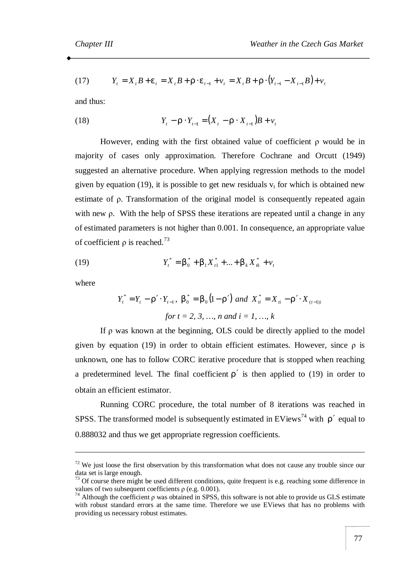(17) 
$$
Y_t = X_t B + e_t = X_t B + r \cdot e_{t-1} + v_t = X_t B + r \cdot (Y_{t-1} - X_{t-1} B) + v_t
$$

and thus:

(18) 
$$
Y_{t} - \mathbf{r} \cdot Y_{t-1} = (X_{t} - \mathbf{r} \cdot X_{t-1})B + v_{t}
$$

However, ending with the first obtained value of coefficient  $\rho$  would be in majority of cases only approximation. Therefore Cochrane and Orcutt (1949) suggested an alternative procedure. When applying regression methods to the model given by equation (19), it is possible to get new residuals  $v_t$  for which is obtained new estimate of ρ. Transformation of the original model is consequently repeated again with new ρ. With the help of SPSS these iterations are repeated until a change in any of estimated parameters is not higher than 0.001. In consequence, an appropriate value of coefficient  $\rho$  is reached.<sup>73</sup>

(19) 
$$
Y_t^* = b_0^* + b_1 X_{t1}^* + ... + b_k X_{tk}^* + v_t
$$

where

 $\overline{a}$ 

$$
Y_t^* = Y_t - \mathbf{r}' \cdot Y_{t-1}, \ \mathbf{b}_0^* = \mathbf{b}_0 (1 - \mathbf{r}') \ \text{and} \ \ X_{ti}^* = X_{ti} - \mathbf{r}' \cdot X_{(t-1)i}
$$
  
for  $t = 2, 3, ..., n$  and  $i = 1, ..., k$ 

If ρ was known at the beginning, OLS could be directly applied to the model given by equation (19) in order to obtain efficient estimates. However, since  $\rho$  is unknown, one has to follow CORC iterative procedure that is stopped when reaching a predetermined level. The final coefficient  $r'$  is then applied to (19) in order to obtain an efficient estimator.

Running CORC procedure, the total number of 8 iterations was reached in SPSS. The transformed model is subsequently estimated in EViews<sup>74</sup> with  $r'$  equal to 0.888032 and thus we get appropriate regression coefficients.

 $72$  We just loose the first observation by this transformation what does not cause any trouble since our data set is large enough.

 $73$  Of course there might be used different conditions, quite frequent is e.g. reaching some difference in values of two subsequent coefficients  $\rho$  (e.g. 0.001).

<sup>&</sup>lt;sup>74</sup> Although the coefficient  $\rho$  was obtained in SPSS, this software is not able to provide us GLS estimate with robust standard errors at the same time. Therefore we use EViews that has no problems with providing us necessary robust estimates.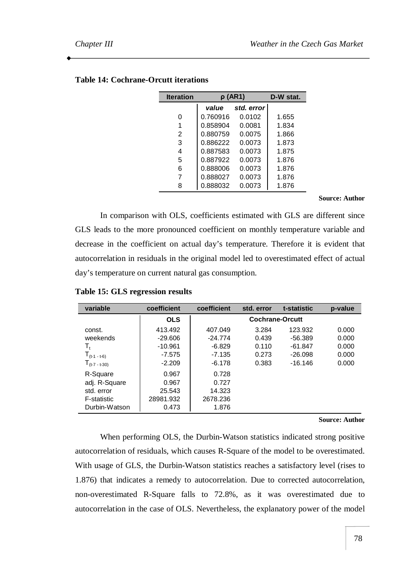| <b>Iteration</b> | $\rho$ (AR1) | D-W stat.    |       |
|------------------|--------------|--------------|-------|
|                  | value        | std. error l |       |
| 0                | 0.760916     | 0.0102       | 1.655 |
| 1                | 0.858904     | 0.0081       | 1.834 |
| 2                | 0.880759     | 0.0075       | 1.866 |
| 3                | 0.886222     | 0.0073       | 1.873 |
| 4                | 0.887583     | 0.0073       | 1.875 |
| 5                | 0.887922     | 0.0073       | 1.876 |
| 6                | 0.888006     | 0.0073       | 1.876 |
| 7                | 0.888027     | 0.0073       | 1.876 |
| 8                | 0.888032     | 0.0073       | 1.876 |
|                  |              |              |       |

## **Table 14: Cochrane-Orcutt iterations**

**Source: Author** 

In comparison with OLS, coefficients estimated with GLS are different since GLS leads to the more pronounced coefficient on monthly temperature variable and decrease in the coefficient on actual day's temperature. Therefore it is evident that autocorrelation in residuals in the original model led to overestimated effect of actual day's temperature on current natural gas consumption.

| variable           | coefficient | coefficient | std. error             | t-statistic | p-value |
|--------------------|-------------|-------------|------------------------|-------------|---------|
|                    | <b>OLS</b>  |             | <b>Cochrane-Orcutt</b> |             |         |
| const.             | 413.492     | 407.049     | 3.284                  | 123.932     | 0.000   |
| weekends           | $-29.606$   | $-24.774$   | 0.439                  | $-56.389$   | 0.000   |
| T,                 | $-10.961$   | $-6.829$    | 0.110                  | $-61.847$   | 0.000   |
| $T_{(t-1 - t-6)}$  | $-7.575$    | $-7.135$    | 0.273                  | $-26.098$   | 0.000   |
| $T_{(t-7 - t-30)}$ | $-2.209$    | $-6.178$    | 0.383                  | $-16.146$   | 0.000   |
| R-Square           | 0.967       | 0.728       |                        |             |         |
| adj. R-Square      | 0.967       | 0.727       |                        |             |         |
| std. error         | 25.543      | 14.323      |                        |             |         |
| <b>F-statistic</b> | 28981.932   | 2678.236    |                        |             |         |
| Durbin-Watson      | 0.473       | 1.876       |                        |             |         |

**Table 15: GLS regression results** 

#### **Source: Author**

When performing OLS, the Durbin-Watson statistics indicated strong positive autocorrelation of residuals, which causes R-Square of the model to be overestimated. With usage of GLS, the Durbin-Watson statistics reaches a satisfactory level (rises to 1.876) that indicates a remedy to autocorrelation. Due to corrected autocorrelation, non-overestimated R-Square falls to 72.8%, as it was overestimated due to autocorrelation in the case of OLS. Nevertheless, the explanatory power of the model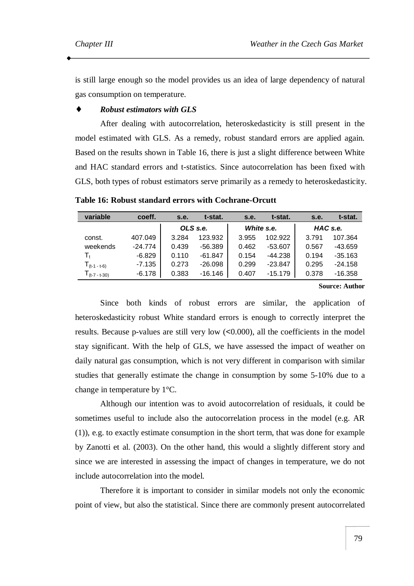is still large enough so the model provides us an idea of large dependency of natural gas consumption on temperature.

#### ♦ *Robust estimators with GLS*

After dealing with autocorrelation, heteroskedasticity is still present in the model estimated with GLS. As a remedy, robust standard errors are applied again. Based on the results shown in Table 16, there is just a slight difference between White and HAC standard errors and t-statistics. Since autocorrelation has been fixed with GLS, both types of robust estimators serve primarily as a remedy to heteroskedasticity.

| variable           | coeff.    | s.e.  | t-stat.   | s.e.  | t-stat.    | s.e.  | t-stat.   |
|--------------------|-----------|-------|-----------|-------|------------|-------|-----------|
|                    |           |       | OLS s.e.  |       | White s.e. |       | HAC s.e.  |
| const.             | 407.049   | 3.284 | 123.932   | 3.955 | 102.922    | 3.791 | 107.364   |
| weekends           | $-24.774$ | 0.439 | $-56.389$ | 0.462 | $-53.607$  | 0.567 | -43.659   |
|                    | $-6.829$  | 0.110 | $-61.847$ | 0.154 | $-44.238$  | 0.194 | $-35.163$ |
| $T_{(t-1 - t-6)}$  | $-7.135$  | 0.273 | $-26.098$ | 0.299 | $-23.847$  | 0.295 | $-24.158$ |
| $T_{(t-7 - t-30)}$ | $-6.178$  | 0.383 | $-16.146$ | 0.407 | $-15.179$  | 0.378 | $-16.358$ |

**Table 16: Robust standard errors with Cochrane-Orcutt** 

**Source: Author** 

Since both kinds of robust errors are similar, the application of heteroskedasticity robust White standard errors is enough to correctly interpret the results. Because p-values are still very low (<0.000), all the coefficients in the model stay significant. With the help of GLS, we have assessed the impact of weather on daily natural gas consumption, which is not very different in comparison with similar studies that generally estimate the change in consumption by some 5-10% due to a change in temperature by 1°C.

Although our intention was to avoid autocorrelation of residuals, it could be sometimes useful to include also the autocorrelation process in the model (e.g. AR (1)), e.g. to exactly estimate consumption in the short term, that was done for example by Zanotti et al. (2003). On the other hand, this would a slightly different story and since we are interested in assessing the impact of changes in temperature, we do not include autocorrelation into the model.

Therefore it is important to consider in similar models not only the economic point of view, but also the statistical. Since there are commonly present autocorrelated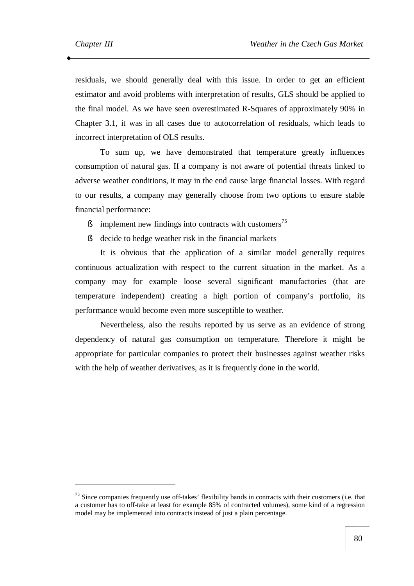$\overline{a}$ 

residuals, we should generally deal with this issue. In order to get an efficient estimator and avoid problems with interpretation of results, GLS should be applied to the final model. As we have seen overestimated R-Squares of approximately 90% in Chapter 3.1, it was in all cases due to autocorrelation of residuals, which leads to incorrect interpretation of OLS results.

To sum up, we have demonstrated that temperature greatly influences consumption of natural gas. If a company is not aware of potential threats linked to adverse weather conditions, it may in the end cause large financial losses. With regard to our results, a company may generally choose from two options to ensure stable financial performance:

- $\delta$  implement new findings into contracts with customers<sup>75</sup>
- § decide to hedge weather risk in the financial markets

It is obvious that the application of a similar model generally requires continuous actualization with respect to the current situation in the market. As a company may for example loose several significant manufactories (that are temperature independent) creating a high portion of company's portfolio, its performance would become even more susceptible to weather.

Nevertheless, also the results reported by us serve as an evidence of strong dependency of natural gas consumption on temperature. Therefore it might be appropriate for particular companies to protect their businesses against weather risks with the help of weather derivatives, as it is frequently done in the world.

<sup>&</sup>lt;sup>75</sup> Since companies frequently use off-takes' flexibility bands in contracts with their customers (i.e. that a customer has to off-take at least for example 85% of contracted volumes), some kind of a regression model may be implemented into contracts instead of just a plain percentage.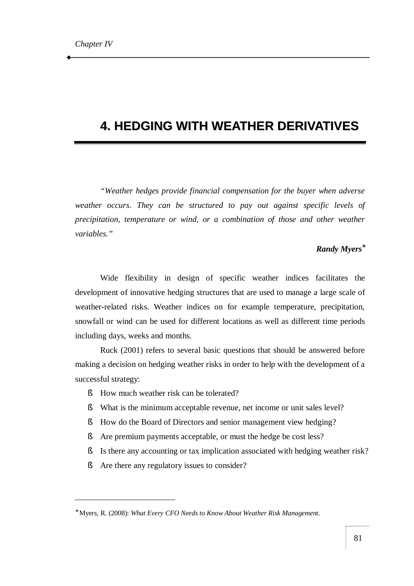# **4. HEDGING WITH WEATHER DERIVATIVES**

*"Weather hedges provide financial compensation for the buyer when adverse weather occurs. They can be structured to pay out against specific levels of precipitation, temperature or wind, or a combination of those and other weather variables."*

## *Randy Myers\**

Wide flexibility in design of specific weather indices facilitates the development of innovative hedging structures that are used to manage a large scale of weather-related risks. Weather indices on for example temperature, precipitation, snowfall or wind can be used for different locations as well as different time periods including days, weeks and months.

Ruck (2001) refers to several basic questions that should be answered before making a decision on hedging weather risks in order to help with the development of a successful strategy:

- § How much weather risk can be tolerated?
- § What is the minimum acceptable revenue, net income or unit sales level?
- § How do the Board of Directors and senior management view hedging?
- § Are premium payments acceptable, or must the hedge be cost less?
- § Is there any accounting or tax implication associated with hedging weather risk?
- § Are there any regulatory issues to consider?

 $\overline{a}$ 

<sup>∗</sup> Myers, R. (2008): *What Every CFO Needs to Know About Weather Risk Management*.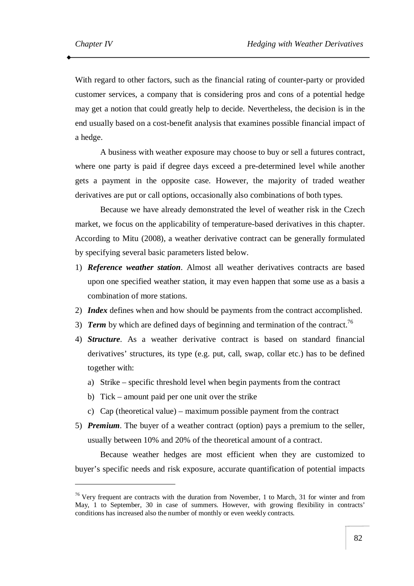$\overline{a}$ 

With regard to other factors, such as the financial rating of counter-party or provided customer services, a company that is considering pros and cons of a potential hedge may get a notion that could greatly help to decide. Nevertheless, the decision is in the end usually based on a cost-benefit analysis that examines possible financial impact of a hedge.

A business with weather exposure may choose to buy or sell a futures contract, where one party is paid if degree days exceed a pre-determined level while another gets a payment in the opposite case. However, the majority of traded weather derivatives are put or call options, occasionally also combinations of both types.

Because we have already demonstrated the level of weather risk in the Czech market, we focus on the applicability of temperature-based derivatives in this chapter. According to Mitu (2008), a weather derivative contract can be generally formulated by specifying several basic parameters listed below.

- 1) *Reference weather station*. Almost all weather derivatives contracts are based upon one specified weather station, it may even happen that some use as a basis a combination of more stations.
- 2) *Index* defines when and how should be payments from the contract accomplished.
- 3) *Term* by which are defined days of beginning and termination of the contract.<sup>76</sup>
- 4) *Structure*. As a weather derivative contract is based on standard financial derivatives' structures, its type (e.g. put, call, swap, collar etc.) has to be defined together with:
	- a) Strike specific threshold level when begin payments from the contract
	- b) Tick amount paid per one unit over the strike
	- c) Cap (theoretical value) maximum possible payment from the contract
- 5) *Premium*. The buyer of a weather contract (option) pays a premium to the seller, usually between 10% and 20% of the theoretical amount of a contract.

Because weather hedges are most efficient when they are customized to buyer's specific needs and risk exposure, accurate quantification of potential impacts

 $76$  Very frequent are contracts with the duration from November, 1 to March, 31 for winter and from May, 1 to September, 30 in case of summers. However, with growing flexibility in contracts' conditions has increased also the number of monthly or even weekly contracts.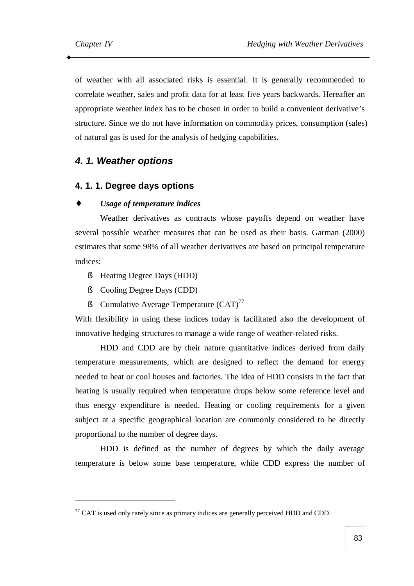of weather with all associated risks is essential. It is generally recommended to correlate weather, sales and profit data for at least five years backwards. Hereafter an appropriate weather index has to be chosen in order to build a convenient derivative's structure. Since we do not have information on commodity prices, consumption (sales) of natural gas is used for the analysis of hedging capabilities.

## *4. 1. Weather options*

## **4. 1. 1. Degree days options**

#### ♦ *Usage of temperature indices*

Weather derivatives as contracts whose payoffs depend on weather have several possible weather measures that can be used as their basis. Garman (2000) estimates that some 98% of all weather derivatives are based on principal temperature indices:

- § Heating Degree Days (HDD)
- § Cooling Degree Days (CDD)

 $\overline{a}$ 

§ Cumulative Average Temperature  $(CAT)^{77}$ 

With flexibility in using these indices today is facilitated also the development of innovative hedging structures to manage a wide range of weather-related risks.

HDD and CDD are by their nature quantitative indices derived from daily temperature measurements, which are designed to reflect the demand for energy needed to heat or cool houses and factories. The idea of HDD consists in the fact that heating is usually required when temperature drops below some reference level and thus energy expenditure is needed. Heating or cooling requirements for a given subject at a specific geographical location are commonly considered to be directly proportional to the number of degree days.

HDD is defined as the number of degrees by which the daily average temperature is below some base temperature, while CDD express the number of

 $^{77}$  CAT is used only rarely since as primary indices are generally perceived HDD and CDD.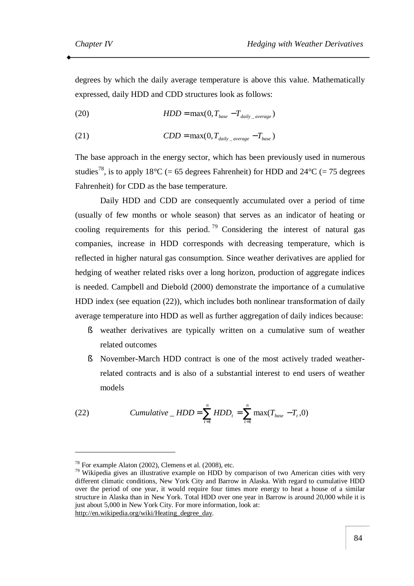degrees by which the daily average temperature is above this value. Mathematically expressed, daily HDD and CDD structures look as follows:

(20) 
$$
HDD = \max(0, T_{base} - T_{daily\_average})
$$

(21)  $CDD = \max(0, T_{\text{dailv} \text{ average}} - T_{\text{base}})$ 

The base approach in the energy sector, which has been previously used in numerous studies<sup>78</sup>, is to apply 18°C (= 65 degrees Fahrenheit) for HDD and 24°C (= 75 degrees Fahrenheit) for CDD as the base temperature.

Daily HDD and CDD are consequently accumulated over a period of time (usually of few months or whole season) that serves as an indicator of heating or cooling requirements for this period.<sup>79</sup> Considering the interest of natural gas companies, increase in HDD corresponds with decreasing temperature, which is reflected in higher natural gas consumption. Since weather derivatives are applied for hedging of weather related risks over a long horizon, production of aggregate indices is needed. Campbell and Diebold (2000) demonstrate the importance of a cumulative HDD index (see equation (22)), which includes both nonlinear transformation of daily average temperature into HDD as well as further aggregation of daily indices because:

- § weather derivatives are typically written on a cumulative sum of weather related outcomes
- § November-March HDD contract is one of the most actively traded weatherrelated contracts and is also of a substantial interest to end users of weather models

(22) *Cumulative* 
$$
– HDD = \sum_{t=1}^{n} HDD_t = \sum_{t=1}^{n} \max(T_{base} - T_t, 0)
$$

[http://en.wikipedia.org/wiki/Heating\\_degree\\_day.](http://en.wikipedia.org/wiki/Heating_degree_day)

 $\overline{a}$ 

<sup>78</sup> For example Alaton (2002), Clemens et al. (2008), etc.

 $79$  Wikipedia gives an illustrative example on HDD by comparison of two American cities with very different climatic conditions, New York City and Barrow in Alaska. With regard to cumulative HDD over the period of one year, it would require four times more energy to heat a house of a similar structure in Alaska than in New York. Total HDD over one year in Barrow is around 20,000 while it is just about 5,000 in New York City. For more information, look at: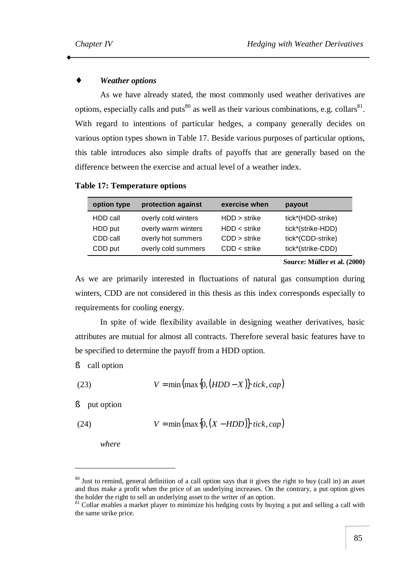## **Weather** *options*

As we have already stated, the most commonly used weather derivatives are options, especially calls and puts<sup>80</sup> as well as their various combinations, e.g. collars<sup>81</sup>. With regard to intentions of particular hedges, a company generally decides on various option types shown in Table 17. Beside various purposes of particular options, this table introduces also simple drafts of payoffs that are generally based on the difference between the exercise and actual level of a weather index.

| option type | protection against  | exercise when  | payout            |
|-------------|---------------------|----------------|-------------------|
| HDD call    | overly cold winters | HDD > strike   | tick*(HDD-strike) |
| HDD put     | overly warm winters | $HDD <$ strike | tick*(strike-HDD) |
| CDD call    | overly hot summers  | $CDD$ > strike | tick*(CDD-strike) |
| CDD put     | overly cold summers | $CDD <$ strike | tick*(strike-CDD) |

#### **Table 17: Temperature options**

**Source: Müller et al. (2000)** 

As we are primarily interested in fluctuations of natural gas consumption during winters, CDD are not considered in this thesis as this index corresponds especially to requirements for cooling energy.

In spite of wide flexibility available in designing weather derivatives, basic attributes are mutual for almost all contracts. Therefore several basic features have to be specified to determine the payoff from a HDD option.

§ call option

(23) 
$$
V = \min\left(\max\left\{0, \left(HDD - X\right)\right\} \cdot tick, cap\right)
$$

§ put option

 $\overline{a}$ 

(24) 
$$
V = \min\left(\max\left\{0, \left(X - HDD\right)\right\} \cdot tick, cap\right)
$$

*where* 

<sup>&</sup>lt;sup>80</sup> Just to remind, general definition of a call option says that it gives the right to buy (call in) an asset and thus make a profit when the price of an underlying increases. On the contrary, a put option gives the holder the right to sell an underlying asset to the writer of an option.

<sup>&</sup>lt;sup>81</sup> Collar enables a market player to minimize his hedging costs by buying a put and selling a call with the same strike price.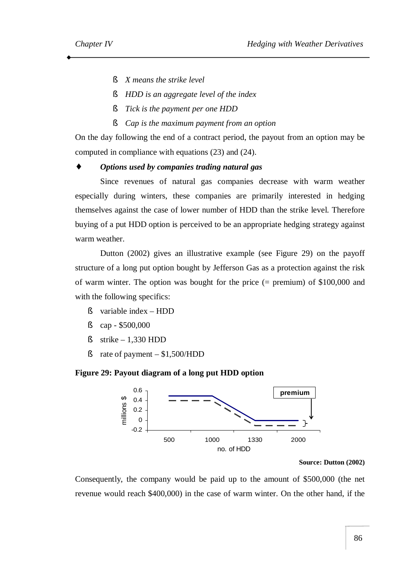- § *X means the strike level*
- § *HDD is an aggregate level of the index*
- § *Tick is the payment per one HDD*
- § *Cap is the maximum payment from an option*

On the day following the end of a contract period, the payout from an option may be computed in compliance with equations (23) and (24).

## ♦ *Options used by companies trading natural gas*

Since revenues of natural gas companies decrease with warm weather especially during winters, these companies are primarily interested in hedging themselves against the case of lower number of HDD than the strike level. Therefore buying of a put HDD option is perceived to be an appropriate hedging strategy against warm weather.

Dutton (2002) gives an illustrative example (see Figure 29) on the payoff structure of a long put option bought by Jefferson Gas as a protection against the risk of warm winter. The option was bought for the price (= premium) of \$100,000 and with the following specifics:

- § variable index HDD
- § cap \$500,000
- $$$  strike 1.330 HDD
- $\text{\$}$  rate of payment \$1,500/HDD

#### **Figure 29: Payout diagram of a long put HDD option**



#### **Source: Dutton (2002)**

Consequently, the company would be paid up to the amount of \$500,000 (the net revenue would reach \$400,000) in the case of warm winter. On the other hand, if the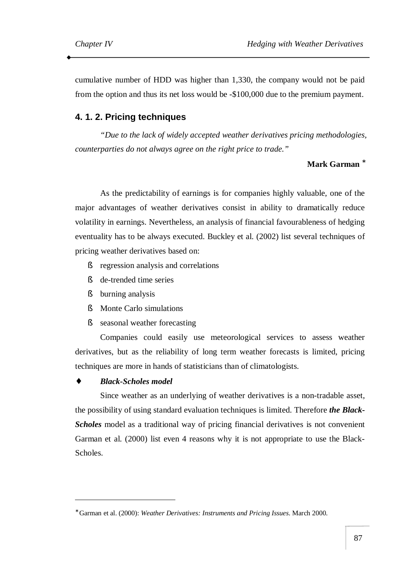cumulative number of HDD was higher than 1,330, the company would not be paid from the option and thus its net loss would be -\$100,000 due to the premium payment.

## **4. 1. 2. Pricing techniques**

*"Due to the lack of widely accepted weather derivatives pricing methodologies, counterparties do not always agree on the right price to trade."* 

## **Mark Garman \***

As the predictability of earnings is for companies highly valuable, one of the major advantages of weather derivatives consist in ability to dramatically reduce volatility in earnings. Nevertheless, an analysis of financial favourableness of hedging eventuality has to be always executed. Buckley et al. (2002) list several techniques of pricing weather derivatives based on:

- § regression analysis and correlations
- § de-trended time series
- § burning analysis
- § Monte Carlo simulations
- § seasonal weather forecasting

Companies could easily use meteorological services to assess weather derivatives, but as the reliability of long term weather forecasts is limited, pricing techniques are more in hands of statisticians than of climatologists.

#### ♦ *Black-Scholes model*

 $\overline{a}$ 

Since weather as an underlying of weather derivatives is a non-tradable asset, the possibility of using standard evaluation techniques is limited. Therefore *the Black-Scholes* model as a traditional way of pricing financial derivatives is not convenient Garman et al. (2000) list even 4 reasons why it is not appropriate to use the Black-Scholes.

<sup>∗</sup> Garman et al. (2000): *Weather Derivatives: Instruments and Pricing Issues*. March 2000.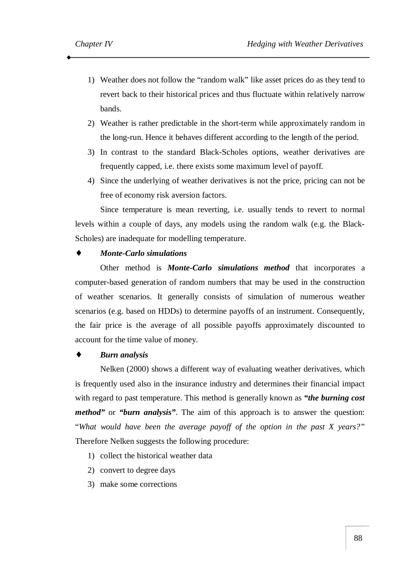- 1) Weather does not follow the "random walk" like asset prices do as they tend to revert back to their historical prices and thus fluctuate within relatively narrow bands.
- 2) Weather is rather predictable in the short-term while approximately random in the long-run. Hence it behaves different according to the length of the period.
- 3) In contrast to the standard Black-Scholes options, weather derivatives are frequently capped, i.e. there exists some maximum level of payoff.
- 4) Since the underlying of weather derivatives is not the price, pricing can not be free of economy risk aversion factors.

Since temperature is mean reverting, i.e. usually tends to revert to normal levels within a couple of days, any models using the random walk (e.g. the Black-Scholes) are inadequate for modelling temperature.

#### *Monte-Carlo simulations*

Other method is *Monte-Carlo simulations method* that incorporates a computer-based generation of random numbers that may be used in the construction of weather scenarios. It generally consists of simulation of numerous weather scenarios (e.g. based on HDDs) to determine payoffs of an instrument. Consequently, the fair price is the average of all possible payoffs approximately discounted to account for the time value of money.

## ♦ *Burn analysis*

Nelken (2000) shows a different way of evaluating weather derivatives, which is frequently used also in the insurance industry and determines their financial impact with regard to past temperature. This method is generally known as *"the burning cost method"* or *"burn analysis"*. The aim of this approach is to answer the question: "*What would have been the average payoff of the option in the past X years?"* Therefore Nelken suggests the following procedure:

- 1) collect the historical weather data
- 2) convert to degree days
- 3) make some corrections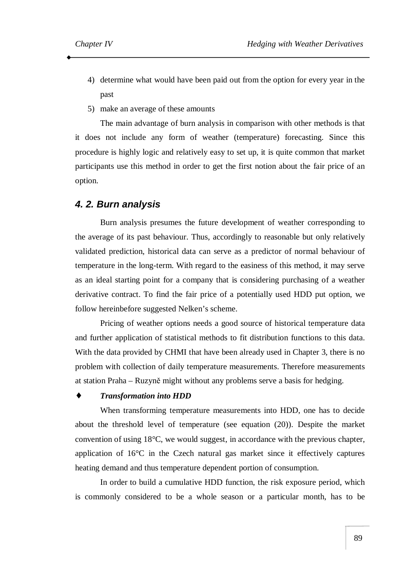- 4) determine what would have been paid out from the option for every year in the past
- 5) make an average of these amounts

The main advantage of burn analysis in comparison with other methods is that it does not include any form of weather (temperature) forecasting. Since this procedure is highly logic and relatively easy to set up, it is quite common that market participants use this method in order to get the first notion about the fair price of an option.

#### *4. 2. Burn analysis*

Burn analysis presumes the future development of weather corresponding to the average of its past behaviour. Thus, accordingly to reasonable but only relatively validated prediction, historical data can serve as a predictor of normal behaviour of temperature in the long-term. With regard to the easiness of this method, it may serve as an ideal starting point for a company that is considering purchasing of a weather derivative contract. To find the fair price of a potentially used HDD put option, we follow hereinbefore suggested Nelken's scheme.

Pricing of weather options needs a good source of historical temperature data and further application of statistical methods to fit distribution functions to this data. With the data provided by CHMI that have been already used in Chapter 3, there is no problem with collection of daily temperature measurements. Therefore measurements at station Praha – Ruzyně might without any problems serve a basis for hedging.

#### ♦ *Transformation into HDD*

When transforming temperature measurements into HDD, one has to decide about the threshold level of temperature (see equation (20)). Despite the market convention of using 18°C, we would suggest, in accordance with the previous chapter, application of 16°C in the Czech natural gas market since it effectively captures heating demand and thus temperature dependent portion of consumption.

In order to build a cumulative HDD function, the risk exposure period, which is commonly considered to be a whole season or a particular month, has to be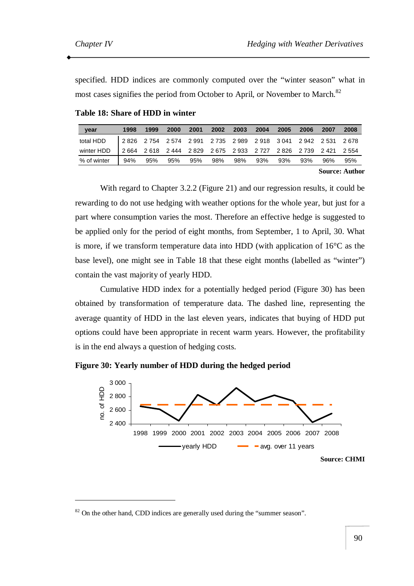$\overline{a}$ 

specified. HDD indices are commonly computed over the "winter season" what in most cases signifies the period from October to April, or November to March.<sup>82</sup>

| year        | 1998  | 1999 | 2000 | 2001 | 2002 | 2003 | 2004                                                        | 2005 | 2006 | 2007 | 2008 |
|-------------|-------|------|------|------|------|------|-------------------------------------------------------------|------|------|------|------|
| total HDD   |       |      |      |      |      |      | 2826 2754 2574 2991 2735 2989 2918 3041 2942 2531 2678      |      |      |      |      |
| winter HDD  | 2.664 |      |      |      |      |      | 2 618 2 444 2 829 2 675 2 933 2 727 2 826 2 739 2 421 2 554 |      |      |      |      |
| % of winter | 94%   | 95%  | 95%  | 95%  | 98%  | 98%  | 93%                                                         | 93%  | 93%  | 96%  | 95%  |

**Table 18: Share of HDD in winter** 

**Source: Author** 

With regard to Chapter 3.2.2 (Figure 21) and our regression results, it could be rewarding to do not use hedging with weather options for the whole year, but just for a part where consumption varies the most. Therefore an effective hedge is suggested to be applied only for the period of eight months, from September, 1 to April, 30. What is more, if we transform temperature data into HDD (with application of 16°C as the base level), one might see in Table 18 that these eight months (labelled as "winter") contain the vast majority of yearly HDD.

Cumulative HDD index for a potentially hedged period (Figure 30) has been obtained by transformation of temperature data. The dashed line, representing the average quantity of HDD in the last eleven years, indicates that buying of HDD put options could have been appropriate in recent warm years. However, the profitability is in the end always a question of hedging costs.





<sup>&</sup>lt;sup>82</sup> On the other hand, CDD indices are generally used during the "summer season".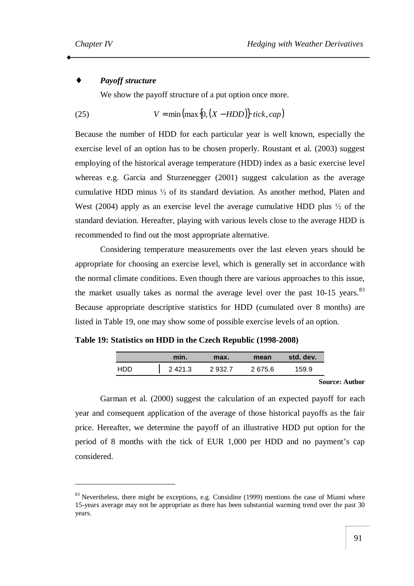$\overline{a}$ 

## *Payoff* structure

We show the payoff structure of a put option once more.

(25) 
$$
V = \min\left(\max\left\{0, \left(X - HDD\right)\right\} \cdot tick, cap\right)
$$

Because the number of HDD for each particular year is well known, especially the exercise level of an option has to be chosen properly. Roustant et al. (2003) suggest employing of the historical average temperature (HDD) index as a basic exercise level whereas e.g. Garcia and Sturzenegger (2001) suggest calculation as the average cumulative HDD minus ½ of its standard deviation. As another method, Platen and West (2004) apply as an exercise level the average cumulative HDD plus  $\frac{1}{2}$  of the standard deviation. Hereafter, playing with various levels close to the average HDD is recommended to find out the most appropriate alternative.

Considering temperature measurements over the last eleven years should be appropriate for choosing an exercise level, which is generally set in accordance with the normal climate conditions. Even though there are various approaches to this issue, the market usually takes as normal the average level over the past  $10-15$  vears.<sup>83</sup> Because appropriate descriptive statistics for HDD (cumulated over 8 months) are listed in Table 19, one may show some of possible exercise levels of an option.

**Table 19: Statistics on HDD in the Czech Republic (1998-2008)** 

|      | min.        | max.      | mean   | std. dev. |
|------|-------------|-----------|--------|-----------|
| חחו- | 2 4 2 1 . 3 | 2 9 3 2.7 | 2675.6 | 159.9     |

**Source: Author** 

Garman et al. (2000) suggest the calculation of an expected payoff for each year and consequent application of the average of those historical payoffs as the fair price. Hereafter, we determine the payoff of an illustrative HDD put option for the period of 8 months with the tick of EUR 1,000 per HDD and no payment's cap considered.

 $83$  Nevertheless, there might be exceptions, e.g. Considine (1999) mentions the case of Miami where 15-years average may not be appropriate as there has been substantial warming trend over the past 30 years.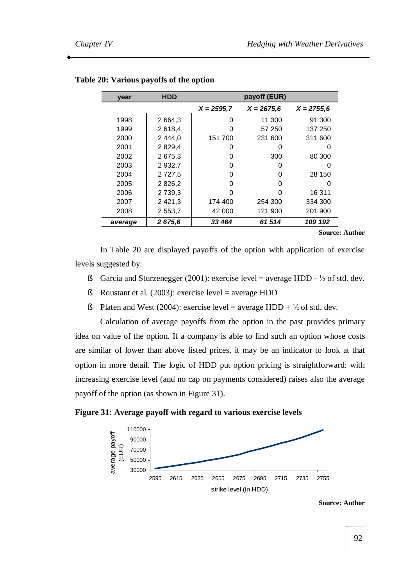| year    | <b>HDD</b>  |               | payoff (EUR) |               |
|---------|-------------|---------------|--------------|---------------|
|         |             | $X = 2595, 7$ | $X = 2675,6$ | $X = 2755, 6$ |
| 1998    | 2 6 6 4 , 3 | O             | 11 300       | 91 300        |
| 1999    | 2618,4      | O             | 57 250       | 137 250       |
| 2000    | 2 4 4 4 , 0 | 151 700       | 231 600      | 311 600       |
| 2001    | 2829,4      | 0             | O)           |               |
| 2002    | 2675.3      | 0             | 300          | 80 300        |
| 2003    | 2932,7      | 0             | 0            | O             |
| 2004    | 2 7 2 7 .5  | 0             | O            | 28 150        |
| 2005    | 2826,2      | 0             | 0            | O             |
| 2006    | 2 7 3 9, 3  | O             |              | 16 311        |
| 2007    | 2 4 2 1 , 3 | 174 400       | 254 300      | 334 300       |
| 2008    | 2553,7      | 42 000        | 121 900      | 201 900       |
| average | 2 675,6     | 33 4 64       | 61514        | 109 192       |

#### **Table 20: Various payoffs of the option**

**Source: Author** 

In Table 20 are displayed payoffs of the option with application of exercise levels suggested by:

- § Garcia and Sturzenegger (2001): exercise level = average HDD  $\frac{1}{2}$  of std. dev.
- § Roustant et al.  $(2003)$ : exercise level = average HDD
- § Platen and West (2004): exercise level = average HDD +  $\frac{1}{2}$  of std. dev.

Calculation of average payoffs from the option in the past provides primary idea on value of the option. If a company is able to find such an option whose costs are similar of lower than above listed prices, it may be an indicator to look at that option in more detail. The logic of HDD put option pricing is straightforward: with increasing exercise level (and no cap on payments considered) raises also the average payoff of the option (as shown in Figure 31).

#### **Figure 31: Average payoff with regard to various exercise levels**



**Source: Author**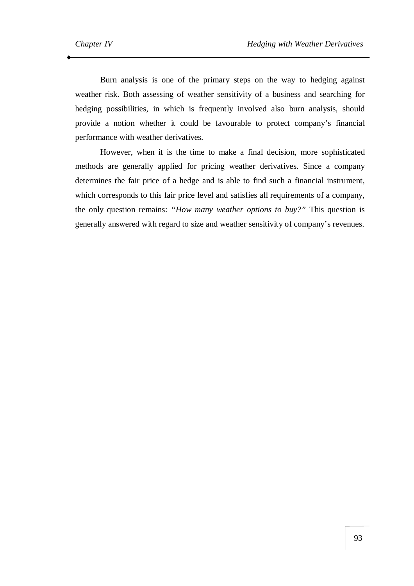Burn analysis is one of the primary steps on the way to hedging against weather risk. Both assessing of weather sensitivity of a business and searching for hedging possibilities, in which is frequently involved also burn analysis, should provide a notion whether it could be favourable to protect company's financial performance with weather derivatives.

However, when it is the time to make a final decision, more sophisticated methods are generally applied for pricing weather derivatives. Since a company determines the fair price of a hedge and is able to find such a financial instrument, which corresponds to this fair price level and satisfies all requirements of a company, the only question remains: *"How many weather options to buy?"* This question is generally answered with regard to size and weather sensitivity of company's revenues.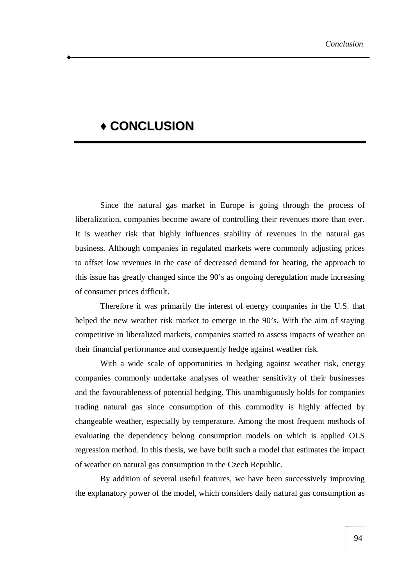# **♦ CONCLUSION**

Since the natural gas market in Europe is going through the process of liberalization, companies become aware of controlling their revenues more than ever. It is weather risk that highly influences stability of revenues in the natural gas business. Although companies in regulated markets were commonly adjusting prices to offset low revenues in the case of decreased demand for heating, the approach to this issue has greatly changed since the 90's as ongoing deregulation made increasing of consumer prices difficult.

Therefore it was primarily the interest of energy companies in the U.S. that helped the new weather risk market to emerge in the 90's. With the aim of staying competitive in liberalized markets, companies started to assess impacts of weather on their financial performance and consequently hedge against weather risk.

With a wide scale of opportunities in hedging against weather risk, energy companies commonly undertake analyses of weather sensitivity of their businesses and the favourableness of potential hedging. This unambiguously holds for companies trading natural gas since consumption of this commodity is highly affected by changeable weather, especially by temperature. Among the most frequent methods of evaluating the dependency belong consumption models on which is applied OLS regression method. In this thesis, we have built such a model that estimates the impact of weather on natural gas consumption in the Czech Republic.

By addition of several useful features, we have been successively improving the explanatory power of the model, which considers daily natural gas consumption as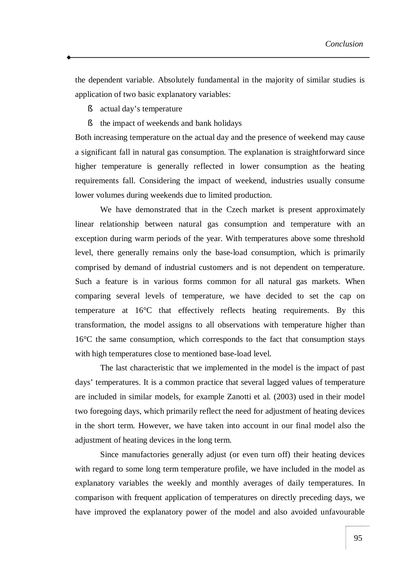the dependent variable. Absolutely fundamental in the majority of similar studies is application of two basic explanatory variables:

- § actual day's temperature
- § the impact of weekends and bank holidays

Both increasing temperature on the actual day and the presence of weekend may cause a significant fall in natural gas consumption. The explanation is straightforward since higher temperature is generally reflected in lower consumption as the heating requirements fall. Considering the impact of weekend, industries usually consume lower volumes during weekends due to limited production.

We have demonstrated that in the Czech market is present approximately linear relationship between natural gas consumption and temperature with an exception during warm periods of the year. With temperatures above some threshold level, there generally remains only the base-load consumption, which is primarily comprised by demand of industrial customers and is not dependent on temperature. Such a feature is in various forms common for all natural gas markets. When comparing several levels of temperature, we have decided to set the cap on temperature at 16°C that effectively reflects heating requirements. By this transformation, the model assigns to all observations with temperature higher than 16°C the same consumption, which corresponds to the fact that consumption stays with high temperatures close to mentioned base-load level.

The last characteristic that we implemented in the model is the impact of past days' temperatures. It is a common practice that several lagged values of temperature are included in similar models, for example Zanotti et al. (2003) used in their model two foregoing days, which primarily reflect the need for adjustment of heating devices in the short term. However, we have taken into account in our final model also the adjustment of heating devices in the long term.

Since manufactories generally adjust (or even turn off) their heating devices with regard to some long term temperature profile, we have included in the model as explanatory variables the weekly and monthly averages of daily temperatures. In comparison with frequent application of temperatures on directly preceding days, we have improved the explanatory power of the model and also avoided unfavourable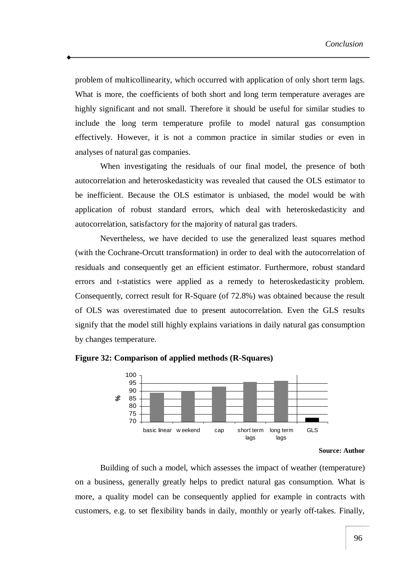problem of multicollinearity, which occurred with application of only short term lags. What is more, the coefficients of both short and long term temperature averages are highly significant and not small. Therefore it should be useful for similar studies to include the long term temperature profile to model natural gas consumption effectively. However, it is not a common practice in similar studies or even in analyses of natural gas companies.

When investigating the residuals of our final model, the presence of both autocorrelation and heteroskedasticity was revealed that caused the OLS estimator to be inefficient. Because the OLS estimator is unbiased, the model would be with application of robust standard errors, which deal with heteroskedasticity and autocorrelation, satisfactory for the majority of natural gas traders.

Nevertheless, we have decided to use the generalized least squares method (with the Cochrane-Orcutt transformation) in order to deal with the autocorrelation of residuals and consequently get an efficient estimator. Furthermore, robust standard errors and t-statistics were applied as a remedy to heteroskedasticity problem. Consequently, correct result for R-Square (of 72.8%) was obtained because the result of OLS was overestimated due to present autocorrelation. Even the GLS results signify that the model still highly explains variations in daily natural gas consumption by changes temperature.



**Figure 32: Comparison of applied methods (R-Squares)** 

**Source: Author** 

Building of such a model, which assesses the impact of weather (temperature) on a business, generally greatly helps to predict natural gas consumption. What is more, a quality model can be consequently applied for example in contracts with customers, e.g. to set flexibility bands in daily, monthly or yearly off-takes. Finally,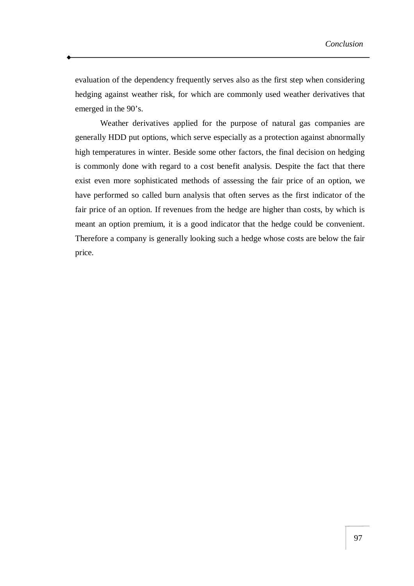evaluation of the dependency frequently serves also as the first step when considering hedging against weather risk, for which are commonly used weather derivatives that emerged in the 90's.

Weather derivatives applied for the purpose of natural gas companies are generally HDD put options, which serve especially as a protection against abnormally high temperatures in winter. Beside some other factors, the final decision on hedging is commonly done with regard to a cost benefit analysis. Despite the fact that there exist even more sophisticated methods of assessing the fair price of an option, we have performed so called burn analysis that often serves as the first indicator of the fair price of an option. If revenues from the hedge are higher than costs, by which is meant an option premium, it is a good indicator that the hedge could be convenient. Therefore a company is generally looking such a hedge whose costs are below the fair price.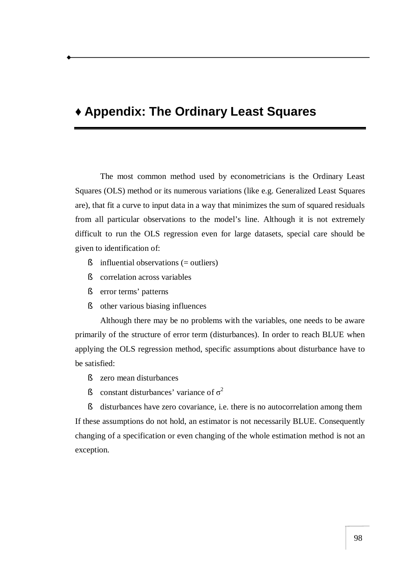# **♦ Appendix: The Ordinary Least Squares**

The most common method used by econometricians is the Ordinary Least Squares (OLS) method or its numerous variations (like e.g. Generalized Least Squares are), that fit a curve to input data in a way that minimizes the sum of squared residuals from all particular observations to the model's line. Although it is not extremely difficult to run the OLS regression even for large datasets, special care should be given to identification of:

- § influential observations (= outliers)
- § correlation across variables
- § error terms' patterns
- § other various biasing influences

Although there may be no problems with the variables, one needs to be aware primarily of the structure of error term (disturbances). In order to reach BLUE when applying the OLS regression method, specific assumptions about disturbance have to be satisfied:

- § zero mean disturbances
- S constant disturbances' variance of  $\sigma^2$

§ disturbances have zero covariance, i.e. there is no autocorrelation among them If these assumptions do not hold, an estimator is not necessarily BLUE. Consequently changing of a specification or even changing of the whole estimation method is not an exception.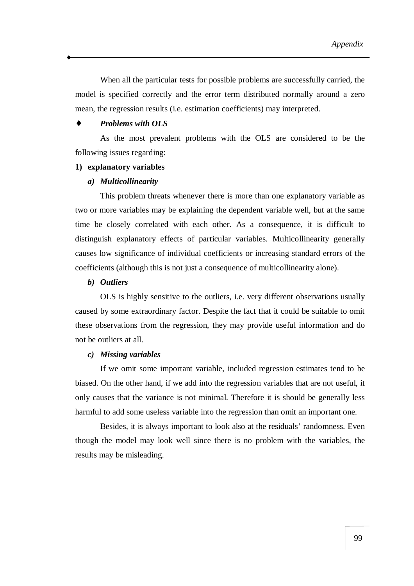When all the particular tests for possible problems are successfully carried, the model is specified correctly and the error term distributed normally around a zero mean, the regression results (i.e. estimation coefficients) may interpreted.

## ♦ *Problems with OLS*

As the most prevalent problems with the OLS are considered to be the following issues regarding:

#### **1) explanatory variables**

#### *a) Multicollinearity*

This problem threats whenever there is more than one explanatory variable as two or more variables may be explaining the dependent variable well, but at the same time be closely correlated with each other. As a consequence, it is difficult to distinguish explanatory effects of particular variables. Multicollinearity generally causes low significance of individual coefficients or increasing standard errors of the coefficients (although this is not just a consequence of multicollinearity alone).

#### *b) Outliers*

OLS is highly sensitive to the outliers, i.e. very different observations usually caused by some extraordinary factor. Despite the fact that it could be suitable to omit these observations from the regression, they may provide useful information and do not be outliers at all.

#### *c) Missing variables*

If we omit some important variable, included regression estimates tend to be biased. On the other hand, if we add into the regression variables that are not useful, it only causes that the variance is not minimal. Therefore it is should be generally less harmful to add some useless variable into the regression than omit an important one.

Besides, it is always important to look also at the residuals' randomness. Even though the model may look well since there is no problem with the variables, the results may be misleading.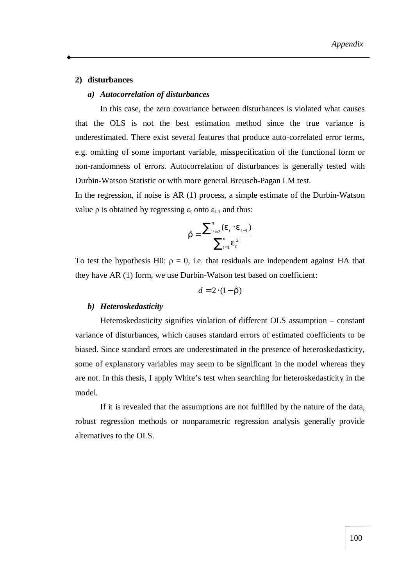#### **2) disturbances**

#### *a) Autocorrelation of disturbances*

In this case, the zero covariance between disturbances is violated what causes that the OLS is not the best estimation method since the true variance is underestimated. There exist several features that produce auto-correlated error terms, e.g. omitting of some important variable, misspecification of the functional form or non-randomness of errors. Autocorrelation of disturbances is generally tested with Durbin-Watson Statistic or with more general Breusch-Pagan LM test.

In the regression, if noise is AR (1) process, a simple estimate of the Durbin-Watson value ρ is obtained by regressing  $ε_t$  onto  $ε_{t-1}$  and thus:

$$
\hat{r} = \frac{\sum_{t=2}^{n} (e_t \cdot e_{t-1})}{\sum_{t=1}^{n} e_t^2}
$$

To test the hypothesis H0:  $\rho = 0$ , i.e. that residuals are independent against HA that they have AR (1) form, we use Durbin-Watson test based on coefficient:

$$
d=2\cdot(1-\hat{r})
$$

#### *b) Heteroskedasticity*

Heteroskedasticity signifies violation of different OLS assumption – constant variance of disturbances, which causes standard errors of estimated coefficients to be biased. Since standard errors are underestimated in the presence of heteroskedasticity, some of explanatory variables may seem to be significant in the model whereas they are not. In this thesis, I apply White's test when searching for heteroskedasticity in the model.

If it is revealed that the assumptions are not fulfilled by the nature of the data, robust regression methods or nonparametric regression analysis generally provide alternatives to the OLS.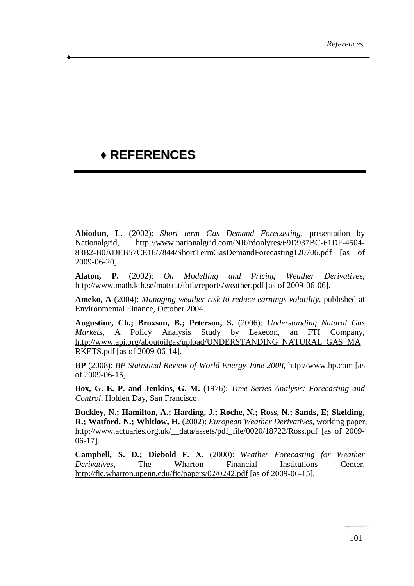# **♦ REFERENCES**

**Abiodun, L.** (2002): *Short term Gas Demand Forecasting*, presentation by Nationalgrid, <http://www.nationalgrid.com/NR/rdonlyres/69D937BC-61DF-4504>- 83B2-B0ADEB57CE16/7844/ShortTermGasDemandForecasting120706.pdf [as of 2009-06-20].

**Alaton, P.** (2002): *On Modelling and Pricing Weather Derivatives*, <http://www.math.kth.se/matstat/fofu/reports/weather.pdf> [as of 2009-06-06].

**Ameko, A** (2004): *Managing weather risk to reduce earnings volatility*, published at Environmental Finance, October 2004.

**Augustine, Ch.; Broxson, B.; Peterson, S.** (2006): *Understanding Natural Gas Markets*, A Policy Analysis Study by Lexecon, an FTI Company, [http://www.api.org/aboutoilgas/upload/UNDERSTANDING\\_NATURAL\\_GAS\\_MA](http://www.api.org/aboutoilgas/upload/UNDERSTANDING_NATURAL_GAS_MA) RKETS.pdf [as of 2009-06-14].

**BP** (2008): *BP Statistical Review of World Energy June 2008*, <http://www.bp.com> [as of 2009-06-15].

**Box, G. E. P. and Jenkins, G. M.** (1976): *Time Series Analysis: Forecasting and Control*, Holden Day, San Francisco.

**Buckley, N.; Hamilton, A.; Harding, J.; Roche, N.; Ross, N.; Sands, E; Skelding, R.; Watford, N.; Whitlow, H.** (2002): *European Weather Derivatives*, working paper, http://www.actuaries.org.uk/\_data/assets/pdf\_file/0020/18722/Ross.pdf [as of 2009-06-17].

**Campbell, S. D.; Diebold F. X.** (2000): *Weather Forecasting for Weather Derivatives*, The Wharton Financial Institutions Center, <http://fic.wharton.upenn.edu/fic/papers/02/0242.pdf> [as of 2009-06-15].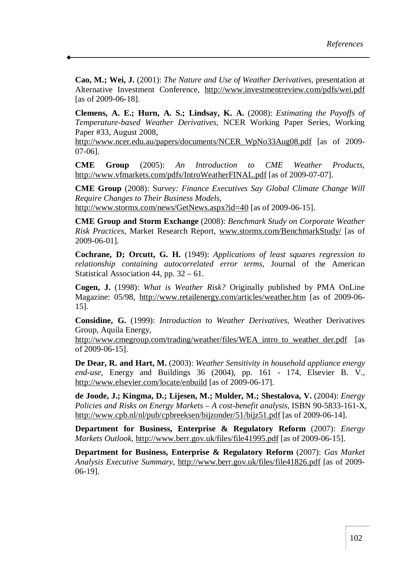**Cao, M.; Wei, J.** (2001): *The Nature and Use of Weather Derivatives*, presentation at Alternative Investment Conference, <http://www.investmentreview.com/pdfs/wei.pdf> [as of 2009-06-18].

**Clemens, A. E.; Hurn, A. S.; Lindsay, K. A.** (2008): *Estimating the Payoffs of Temperature-based Weather Derivatives*, NCER Working Paper Series, Working Paper #33, August 2008,

[http://www.ncer.edu.au/papers/documents/NCER\\_WpNo33Aug08.pdf](http://www.ncer.edu.au/papers/documents/NCER_WpNo33Aug08.pdf) [as of 2009-07-06].

**CME Group** (2005): *An Introduction to CME Weather Products*, <http://www.vfmarkets.com/pdfs/IntroWeatherFINAL.pdf> [as of 2009-07-07].

**CME Group** (2008): Su*rvey: Finance Executives Say Global Climate Change Will Require Changes to Their Business Models*, <http://www.stormx.com/news/GetNews.aspx?id=40> [as of 2009-06-15].

**CME Group and Storm Exchange** (2008): *Benchmark Study on Corporate Weather Risk Practices*, Market Research Report, [www.stormx.com/BenchmarkStudy/](http://www.stormx.com/BenchmarkStudy/) [as of 2009-06-01].

**Cochrane, D; Orcutt, G. H.** (1949): *Applications of least squares regression to relationship containing autocorrelated error terms*, Journal of the American Statistical Association 44, pp. 32 – 61.

**Cogen, J.** (1998): *What is Weather Risk?* Originally published by PMA OnLine Magazine: 05/98, <http://www.retailenergy.com/articles/weather.htm> [as of 2009-06- 15].

**Considine, G.** (1999): *Introduction to Weather Derivatives*, Weather Derivatives Group, Aquila Energy,

[http://www.cmegroup.com/trading/weather/files/WEA\\_intro\\_to\\_weather\\_der.pdf](http://www.cmegroup.com/trading/weather/files/WEA_intro_to_weather_der.pdf) [as of 2009-06-15].

**De Dear, R. and Hart, M.** (2003): *Weather Sensitivity in household appliance energy end-use,* Energy and Buildings 36 (2004), pp. 161 - 174, Elsevier B. V., <http://www.elsevier.com/locate/enbuild> [as of 2009-06-17].

**de Joode, J.; Kingma, D.; Lijesen, M.; Mulder, M.; Shestalova, V.** (2004): *Energy Policies and Risks on Energy Markets – A cost-benefit analysis*, ISBN 90-5833-161-X, <http://www.cpb.nl/nl/pub/cpbreeksen/bijzonder/51/bijz51.pdf> [as of 2009-06-14].

**Department for Business, Enterprise & Regulatory Reform** (2007): *Energy Markets Outlook*, <http://www.berr.gov.uk/files/file41995.pdf> [as of 2009-06-15].

**Department for Business, Enterprise & Regulatory Reform** (2007): *Gas Market Analysis Executive Summary*, <http://www.berr.gov.uk/files/file41826.pdf> [as of 2009- 06-19].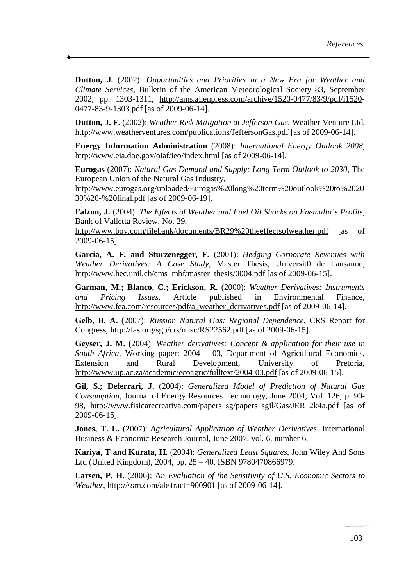**Dutton, J.** (2002): *Opportunities and Priorities in a New Era for Weather and Climate Services*, Bulletin of the American Meteorological Society 83, September 2002, pp. 1303-1311, <http://ams.allenpress.com/archive/1520-0477/83/9/pdf/i1520>- 0477-83-9-1303.pdf [as of 2009-06-14].

**Dutton, J. F.** (2002): *Weather Risk Mitigation at Jefferson Gas*, Weather Venture Ltd, <http://www.weatherventures.com/publications/JeffersonGas.pdf> [as of 2009-06-14].

**Energy Information Administration** (2008): *International Energy Outlook 2008*, <http://www.eia.doe.gov/oiaf/ieo/index.html> [as of 2009-06-14].

**Eurogas** (2007): *Natural Gas Demand and Supply: Long Term Outlook to 2030*, The European Union of the Natural Gas Industry,

<http://www.eurogas.org/uploaded/Eurogas%20long%20term%20outlook%20to%2020> 30%20-%20final.pdf [as of 2009-06-19].

**Falzon, J.** (2004): *The Effects of Weather and Fuel Oil Shocks on Enemalta's Profits*, Bank of Valletta Review, No. 29,

<http://www.bov.com/filebank/documents/BR29%20theeffectsofweather.pdf> [as of 2009-06-15].

**Garcia, A. F. and Sturzenegger, F.** (2001): *Hedging Corporate Revenues with Weather Derivatives: A Case Study*, Master Thesis, Universit0 de Lausanne, [http://www.hec.unil.ch/cms\\_mbf/master\\_thesis/0004.pdf](http://www.hec.unil.ch/cms_mbf/master_thesis/0004.pdf) [as of 2009-06-15].

**Garman, M.; Blanco, C.; Erickson, R.** (2000): *Weather Derivatives: Instruments and Pricing Issues*, Article published in Environmental Finance, [http://www.fea.com/resources/pdf/a\\_weather\\_derivatives.pdf](http://www.fea.com/resources/pdf/a_weather_derivatives.pdf) [as of 2009-06-14].

**Gelb, B. A.** (2007): *Russian Natural Gas: Regional Dependence*, CRS Report for Congress, <http://fas.org/sgp/crs/misc/RS22562.pdf> [as of 2009-06-15].

**Geyser, J. M.** (2004): *Weather derivatives: Concept & application for their use in South Africa*, Working paper: 2004 – 03, Department of Agricultural Economics, Extension and Rural Development, University of Pretoria, <http://www.up.ac.za/academic/ecoagric/fulltext/2004-03.pdf> [as of 2009-06-15].

**Gil, S.; Deferrari, J.** (2004): *Generalized Model of Prediction of Natural Gas Consumption*, Journal of Energy Resources Technology, June 2004, Vol. 126, p. 90- 98, [http://www.fisicarecreativa.com/papers\\_sg/papers\\_sgil/Gas/JER\\_2k4a.pdf](http://www.fisicarecreativa.com/papers_sg/papers_sgil/Gas/JER_2k4a.pdf) [as of 2009-06-15].

**Jones, T. L.** (2007): *Agricultural Application of Weather Derivatives*, International Business & Economic Research Journal, June 2007, vol. 6, number 6.

**Kariya, T and Kurata, H.** (2004): *Generalized Least Squares*, John Wiley And Sons Ltd (United Kingdom), 2004, pp. 25 – 40, ISBN 9780470866979.

**Larsen, P. H.** (2006): A*n Evaluation of the Sensitivity of U.S. Economic Sectors to Weather*, <http://ssrn.com/abstract=900901> [as of 2009-06-14].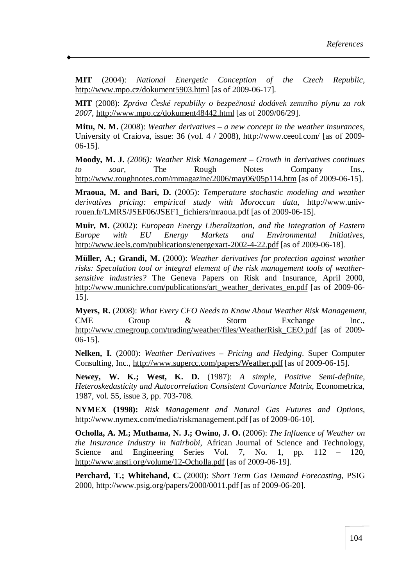**MIT** (2004): *National Energetic Conception of the Czech Republic*, <http://www.mpo.cz/dokument5903.html> [as of 2009-06-17].

**MIT** (2008): *Zpráva České republiky o bezpečnosti dodávek zemního plynu za rok 2007*,<http://www.mpo.cz/dokument48442.html> [as of 2009/06/29].

**Mitu, N. M.** (2008): *Weather derivatives – a new concept in the weather insurances*, University of Craiova, issue: 36 (vol. 4 / 2008), <http://www.ceeol.com/> [as of 2009- 06-15].

**Moody, M. J.** *(2006): Weather Risk Management – Growth in derivatives continues to soar,* The Rough Notes Company Ins., <http://www.roughnotes.com/rnmagazine/2006/may06/05p114.htm> [as of 2009-06-15].

**Mraoua, M. and Bari, D.** (2005): *Temperature stochastic modeling and weather derivatives pricing: empirical study with Moroccan data*, <http://www.univ>rouen.fr/LMRS/JSEF06/JSEF1\_fichiers/mraoua.pdf [as of 2009-06-15].

**Muir, M.** (2002): *European Energy Liberalization, and the Integration of Eastern Europe with EU Energy Markets and Environmental Initiatives*, <http://www.ieels.com/publications/energexart-2002-4-22.pdf> [as of 2009-06-18].

**Müller, A.; Grandi, M.** (2000): *Weather derivatives for protection against weather risks: Speculation tool or integral element of the risk management tools of weathersensitive industries?* The Geneva Papers on Risk and Insurance, April 2000, [http://www.munichre.com/publications/art\\_weather\\_derivates\\_en.pdf](http://www.munichre.com/publications/art_weather_derivates_en.pdf) [as of 2009-06- 15].

**Myers, R.** (2008): *What Every CFO Needs to Know About Weather Risk Management*, CME Group & Storm Exchange Inc., [http://www.cmegroup.com/trading/weather/files/WeatherRisk\\_CEO.pdf](http://www.cmegroup.com/trading/weather/files/WeatherRisk_CEO.pdf) [as of 2009- 06-15].

**Nelken, I.** (2000): *Weather Derivatives – Pricing and Hedging*. Super Computer Consulting, Inc., <http://www.supercc.com/papers/Weather.pdf> [as of 2009-06-15].

**Newey, W. K.; West, K. D.** (1987): *A simple, Positive Semi-definite, Heteroskedasticity and Autocorrelation Consistent Covariance Matrix*, Econometrica, 1987, vol. 55, issue 3, pp. 703-708.

**NYMEX (1998):** *Risk Management and Natural Gas Futures and Options*, <http://www.nymex.com/media/riskmanagement.pdf> [as of 2009-06-10].

**Ocholla, A. M.; Muthama, N. J.; Owino, J. O.** (2006): *The Influence of Weather on the Insurance Industry in Nairbobi*, African Journal of Science and Technology, Science and Engineering Series Vol. 7, No. 1, pp. 112 – 120, <http://www.ansti.org/volume/12-Ocholla.pdf> [as of 2009-06-19].

**Perchard, T.; Whitehand, C.** (2000): *Short Term Gas Demand Forecasting*, PSIG 2000,<http://www.psig.org/papers/2000/0011.pdf> [as of 2009-06-20].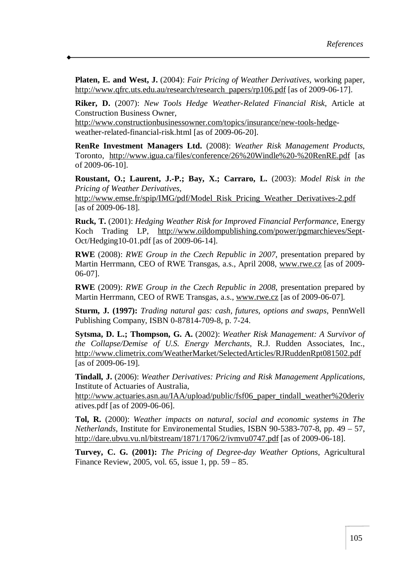**Platen, E. and West, J.** (2004): *Fair Pricing of Weather Derivatives*, working paper, [http://www.qfrc.uts.edu.au/research/research\\_papers/rp106.pdf](http://www.qfrc.uts.edu.au/research/research_papers/rp106.pdf) [as of 2009-06-17].

**Riker, D.** (2007): *New Tools Hedge Weather-Related Financial Risk*, Article at Construction Business Owner,

<http://www.constructionbusinessowner.com/topics/insurance/new-tools-hedge>weather-related-financial-risk.html [as of 2009-06-20].

**RenRe Investment Managers Ltd.** (2008): *Weather Risk Management Products*, Toronto, <http://www.igua.ca/files/conference/26%20Windle%20-%20RenRE.pdf> [as of 2009-06-10].

**Roustant, O.; Laurent, J.-P.; Bay, X.; Carraro, L.** (2003): *Model Risk in the Pricing of Weather Derivatives,* 

[http://www.emse.fr/spip/IMG/pdf/Model\\_Risk\\_Pricing\\_Weather\\_Derivatives-2.pdf](http://www.emse.fr/spip/IMG/pdf/Model_Risk_Pricing_Weather_Derivatives-2.pdf) [as of 2009-06-18].

**Ruck, T.** (2001): *Hedging Weather Risk for Improved Financial Performance*, Energy Koch Trading LP, [http://www.oildompublishing.com/power/pgmarchieves/Sept-](http://www.oildompublishing.com/power/pgmarchieves/Sept)Oct/Hedging10-01.pdf [as of 2009-06-14].

**RWE** (2008): *RWE Group in the Czech Republic in 2007*, presentation prepared by Martin Herrmann, CEO of RWE Transgas, a.s., April 2008, [www.rwe.cz](http://www.rwe.cz) [as of 2009- 06-07].

**RWE** (2009): *RWE Group in the Czech Republic in 2008*, presentation prepared by Martin Herrmann, CEO of RWE Transgas, a.s., [www.rwe.cz](http://www.rwe.cz) [as of 2009-06-07].

**Sturm, J. (1997):** *Trading natural gas: cash, futures, options and swaps*, PennWell Publishing Company, ISBN 0-87814-709-8, p. 7-24.

**Sytsma, D. L.; Thompson, G. A.** (2002): *Weather Risk Management: A Survivor of the Collapse/Demise of U.S. Energy Merchants*, R.J. Rudden Associates, Inc., <http://www.climetrix.com/WeatherMarket/SelectedArticles/RJRuddenRpt081502.pdf> [as of 2009-06-19].

**Tindall, J.** (2006): *Weather Derivatives: Pricing and Risk Management Applications*, Institute of Actuaries of Australia,

[http://www.actuaries.asn.au/IAA/upload/public/fsf06\\_paper\\_tindall\\_weather%20deriv](http://www.actuaries.asn.au/IAA/upload/public/fsf06_paper_tindall_weather%20deriv) atives.pdf [as of 2009-06-06].

**Tol, R.** (2000): *Weather impacts on natural, social and economic systems in The Netherlands*, Institute for Environemental Studies, ISBN 90-5383-707-8, pp. 49 – 57, <http://dare.ubvu.vu.nl/bitstream/1871/1706/2/ivmvu0747.pdf> [as of 2009-06-18].

**Turvey, C. G. (2001):** *The Pricing of Degree-day Weather Options*, Agricultural Finance Review, 2005, vol. 65, issue 1, pp. 59 – 85.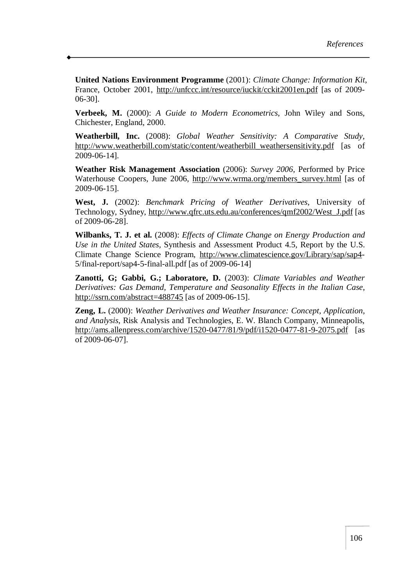**United Nations Environment Programme** (2001): *Climate Change: Information Kit*, France, October 2001, <http://unfccc.int/resource/iuckit/cckit2001en.pdf> [as of 2009- 06-30].

**Verbeek, M.** (2000): *A Guide to Modern Econometrics*, John Wiley and Sons, Chichester, England, 2000.

**Weatherbill, Inc.** (2008): *Global Weather Sensitivity: A Comparative Study*, [http://www.weatherbill.com/static/content/weatherbill\\_weathersensitivity.pdf](http://www.weatherbill.com/static/content/weatherbill_weathersensitivity.pdf) [as of 2009-06-14].

**Weather Risk Management Association** (2006): *Survey 2006*, Performed by Price Waterhouse Coopers, June 2006, [http://www.wrma.org/members\\_survey.html](http://www.wrma.org/members_survey.html) [as of 2009-06-15].

**West, J.** (2002): *Benchmark Pricing of Weather Derivatives*, University of Technology, Sydney, [http://www.qfrc.uts.edu.au/conferences/qmf2002/West\\_J.pdf](http://www.qfrc.uts.edu.au/conferences/qmf2002/West_J.pdf) [as of 2009-06-28].

**Wilbanks, T. J. et al.** (2008): *Effects of Climate Change on Energy Production and Use in the United States,* Synthesis and Assessment Product 4.5, Report by the U.S. Climate Change Science Program, <http://www.climatescience.gov/Library/sap/sap4>- 5/final-report/sap4-5-final-all.pdf [as of 2009-06-14]

**Zanotti, G; Gabbi, G.; Laboratore, D.** (2003): *Climate Variables and Weather Derivatives: Gas Demand, Temperature and Seasonality Effects in the Italian Case*, <http://ssrn.com/abstract=488745> [as of 2009-06-15].

**Zeng, L.** (2000): *Weather Derivatives and Weather Insurance: Concept, Application, and Analysis*, Risk Analysis and Technologies, E. W. Blanch Company, Minneapolis, <http://ams.allenpress.com/archive/1520-0477/81/9/pdf/i1520-0477-81-9-2075.pdf> [as of 2009-06-07].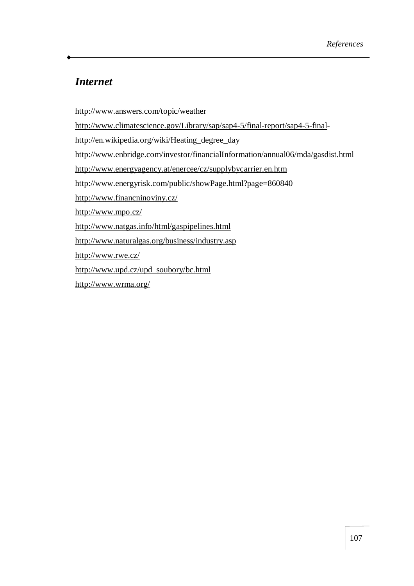### *Internet*

<http://www.answers.com/topic/weather>

<http://www.climatescience.gov/Library/sap/sap4-5/final-report/sap4-5-final>-

[http://en.wikipedia.org/wiki/Heating\\_degree\\_day](http://en.wikipedia.org/wiki/Heating_degree_day)

<http://www.enbridge.com/investor/financialInformation/annual06/mda/gasdist.html>

<http://www.energyagency.at/enercee/cz/supplybycarrier.en.htm>

<http://www.energyrisk.com/public/showPage.html?page=860840>

<http://www.financninoviny.cz/>

<http://www.mpo.cz/>

<http://www.natgas.info/html/gaspipelines.html>

<http://www.naturalgas.org/business/industry.asp>

<http://www.rwe.cz/>

[http://www.upd.cz/upd\\_soubory/bc.html](http://www.upd.cz/upd_soubory/bc.html)

<http://www.wrma.org/>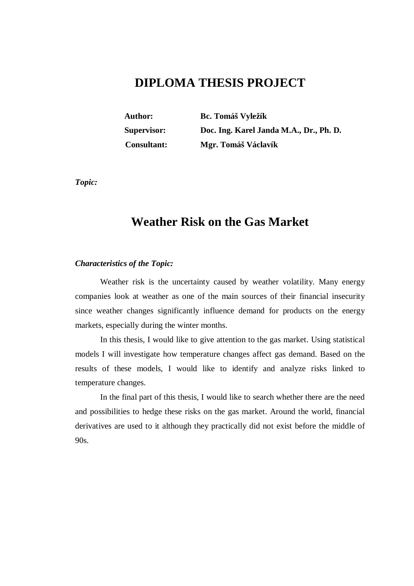# **DIPLOMA THESIS PROJECT**

**Author: Bc. Tomáš Vyležík Supervisor: Doc. Ing. Karel Janda M.A., Dr., Ph. D. Consultant: Mgr. Tomáš Václavík** 

*Topic:* 

## **Weather Risk on the Gas Market**

#### *Characteristics of the Topic:*

Weather risk is the uncertainty caused by weather volatility. Many energy companies look at weather as one of the main sources of their financial insecurity since weather changes significantly influence demand for products on the energy markets, especially during the winter months.

In this thesis, I would like to give attention to the gas market. Using statistical models I will investigate how temperature changes affect gas demand. Based on the results of these models, I would like to identify and analyze risks linked to temperature changes.

In the final part of this thesis, I would like to search whether there are the need and possibilities to hedge these risks on the gas market. Around the world, financial derivatives are used to it although they practically did not exist before the middle of 90s.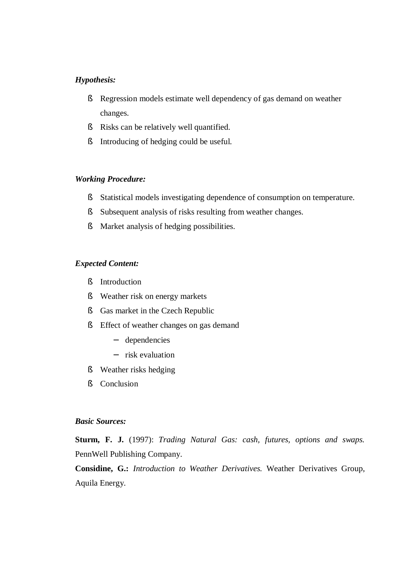#### *Hypothesis:*

- § Regression models estimate well dependency of gas demand on weather changes.
- § Risks can be relatively well quantified.
- § Introducing of hedging could be useful.

#### *Working Procedure:*

- § Statistical models investigating dependence of consumption on temperature.
- § Subsequent analysis of risks resulting from weather changes.
- § Market analysis of hedging possibilities.

#### *Expected Content:*

- § Introduction
- § Weather risk on energy markets
- § Gas market in the Czech Republic
- § Effect of weather changes on gas demand
	- − dependencies
	- − risk evaluation
- § Weather risks hedging
- § Conclusion

### *Basic Sources:*

**Sturm, F. J.** (1997): *Trading Natural Gas: cash, futures, options and swaps.* PennWell Publishing Company.

**Considine, G.:** *Introduction to Weather Derivatives.* Weather Derivatives Group, Aquila Energy.